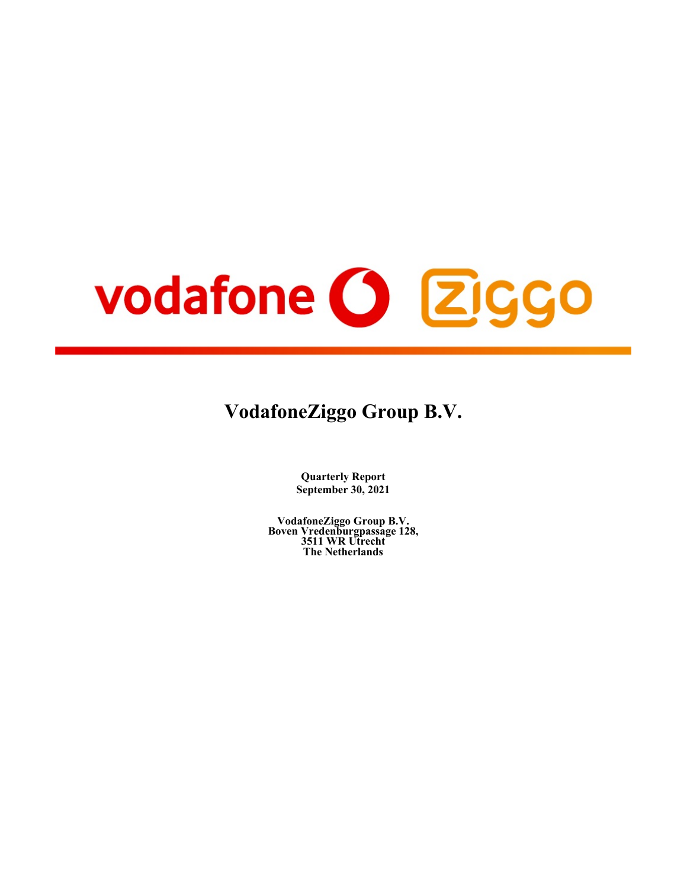# vodafone (3 Ziggo

# **VodafoneZiggo Group B.V.**

**Quarterly Report September 30, 2021**

**VodafoneZiggo Group B.V. Boven Vredenburgpassage 128, 3511 WR Utrecht The Netherlands**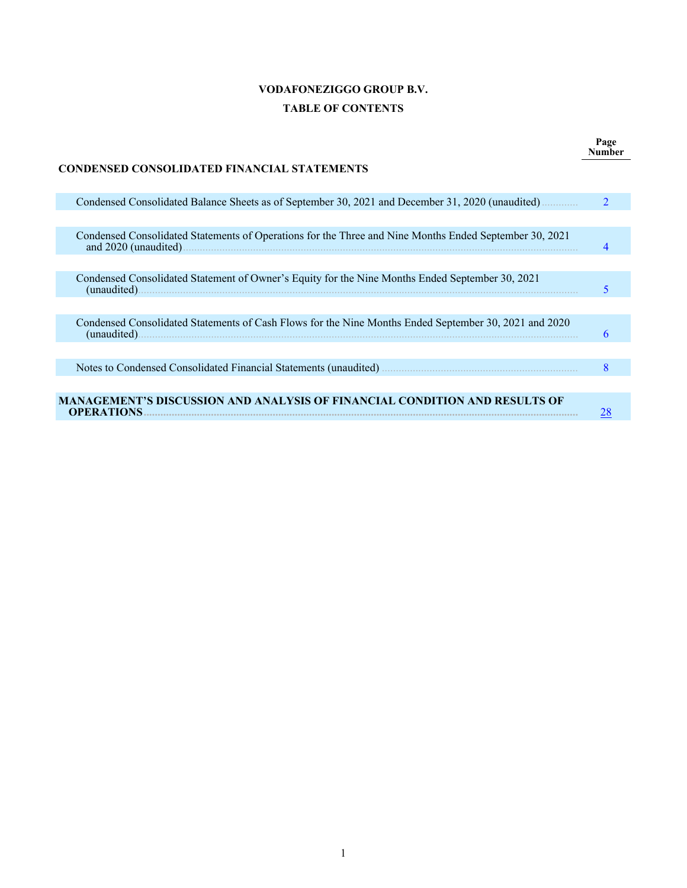# **VODAFONEZIGGO GROUP B.V. TABLE OF CONTENTS**

**Page Number**

| CONDENSED CONSOLIDATED FINANCIAL STATEMENTS                                                                           |                             |
|-----------------------------------------------------------------------------------------------------------------------|-----------------------------|
| Condensed Consolidated Balance Sheets as of September 30, 2021 and December 31, 2020 (unaudited)                      | $\mathcal{D}_{\mathcal{L}}$ |
|                                                                                                                       |                             |
| Condensed Consolidated Statements of Operations for the Three and Nine Months Ended September 30, 2021                |                             |
|                                                                                                                       |                             |
| Condensed Consolidated Statement of Owner's Equity for the Nine Months Ended September 30, 2021<br>(unaudited).       |                             |
|                                                                                                                       |                             |
| Condensed Consolidated Statements of Cash Flows for the Nine Months Ended September 30, 2021 and 2020<br>(unaudited). |                             |
|                                                                                                                       |                             |
|                                                                                                                       | 8                           |
|                                                                                                                       |                             |
| MANAGEMENT'S DISCUSSION AND ANALYSIS OF FINANCIAL CONDITION AND RESULTS OF<br><b>OPERATIONS.</b>                      |                             |

## **CONDENSED CONSOLIDATED FINANCIAL STATEMENTS**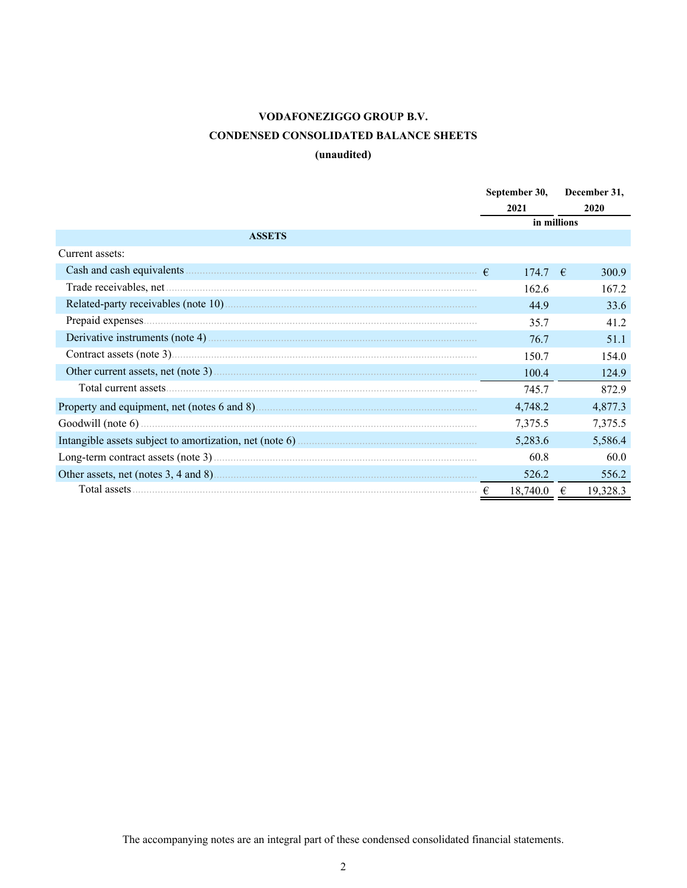# **VODAFONEZIGGO GROUP B.V. CONDENSED CONSOLIDATED BALANCE SHEETS**

# **(unaudited)**

<span id="page-2-0"></span>

|                 | September 30, | December 31,  |
|-----------------|---------------|---------------|
|                 | 2021          | 2020          |
|                 |               | in millions   |
| <b>ASSETS</b>   |               |               |
| Current assets: |               |               |
|                 | 1747          | 300.9<br>−€   |
|                 | 162.6         | 167.2         |
|                 | 44.9          | 33.6          |
|                 | 35.7          | 41.2          |
|                 | 76.7          | 51.1          |
|                 | 150.7         | 154.0         |
|                 | 100.4         | 124.9         |
|                 | 745.7         | 872.9         |
|                 | 4,748.2       | 4,877.3       |
|                 | 7,375.5       | 7,375.5       |
|                 | 5,283.6       | 5,586.4       |
|                 | 60.8          | 60.0          |
|                 | 526.2         | 556.2         |
|                 | 18,740.0      | 19,328.3<br>€ |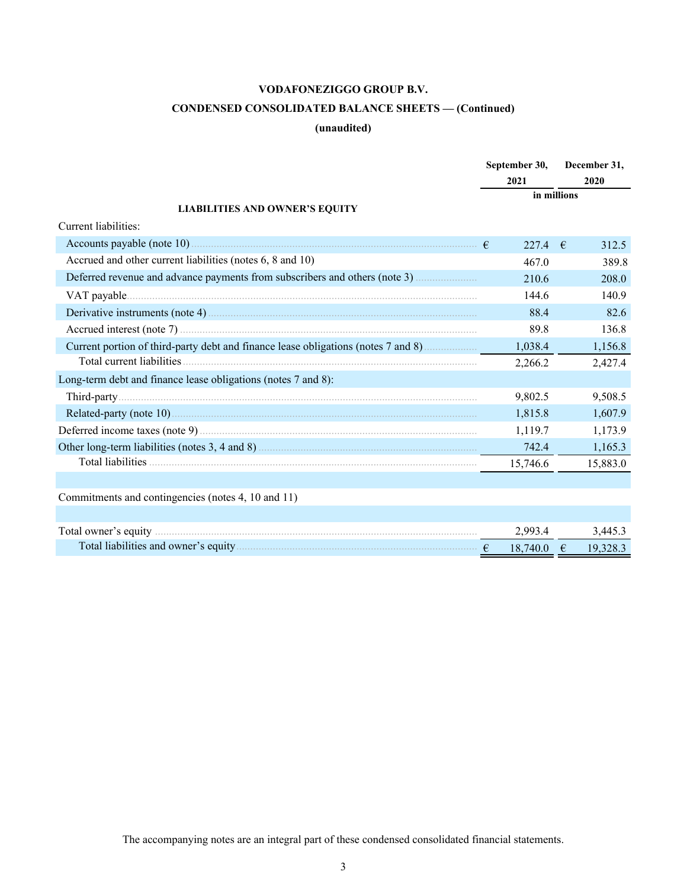# **CONDENSED CONSOLIDATED BALANCE SHEETS — (Continued)**

## **(unaudited)**

|                                                                                                                                                                                                                                      | September 30, | December 31, |
|--------------------------------------------------------------------------------------------------------------------------------------------------------------------------------------------------------------------------------------|---------------|--------------|
|                                                                                                                                                                                                                                      | 2021          | 2020         |
|                                                                                                                                                                                                                                      |               | in millions  |
| <b>LIABILITIES AND OWNER'S EQUITY</b>                                                                                                                                                                                                |               |              |
| Current liabilities:                                                                                                                                                                                                                 |               |              |
|                                                                                                                                                                                                                                      | 227.4 $\in$   | 312.5        |
| Accrued and other current liabilities (notes 6, 8 and 10)                                                                                                                                                                            | 467.0         | 389.8        |
|                                                                                                                                                                                                                                      | 210.6         | 208.0        |
|                                                                                                                                                                                                                                      | 144.6         | 140.9        |
|                                                                                                                                                                                                                                      | 88.4          | 82.6         |
|                                                                                                                                                                                                                                      | 89.8          | 136.8        |
| Current portion of third-party debt and finance lease obligations (notes 7 and 8)                                                                                                                                                    | 1,038.4       | 1,156.8      |
|                                                                                                                                                                                                                                      | 2,266.2       | 2,427.4      |
| Long-term debt and finance lease obligations (notes 7 and 8):                                                                                                                                                                        |               |              |
|                                                                                                                                                                                                                                      | 9,802.5       | 9,508.5      |
|                                                                                                                                                                                                                                      | 1,815.8       | 1,607.9      |
|                                                                                                                                                                                                                                      | 1,119.7       | 1,173.9      |
|                                                                                                                                                                                                                                      | 742.4         | 1,165.3      |
|                                                                                                                                                                                                                                      | 15,746.6      | 15,883.0     |
|                                                                                                                                                                                                                                      |               |              |
| Commitments and contingencies (notes 4, 10 and 11)                                                                                                                                                                                   |               |              |
|                                                                                                                                                                                                                                      |               |              |
| Total owner's equity <i>manufacture contained a contained a contained a contained a contained a contained a contained a contained a contained a contained a contained a contained a contained a contained a contained a containe</i> | 2,993.4       | 3,445.3      |
|                                                                                                                                                                                                                                      | $18,740.0$ €  | 19,328.3     |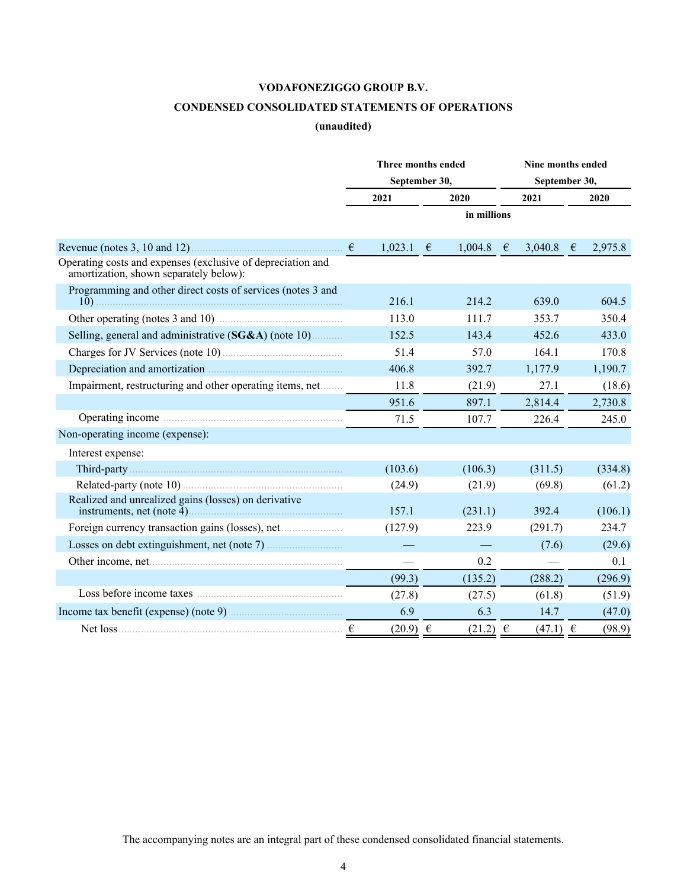## **CONDENSED CONSOLIDATED STATEMENTS OF OPERATIONS**

## **(unaudited)**

<span id="page-4-0"></span>

|                                                                                                                                                                                                                                          |   | Three months ended |               | Nine months ended |            |         |  |  |  |
|------------------------------------------------------------------------------------------------------------------------------------------------------------------------------------------------------------------------------------------|---|--------------------|---------------|-------------------|------------|---------|--|--|--|
|                                                                                                                                                                                                                                          |   | September 30,      |               | September 30,     |            |         |  |  |  |
|                                                                                                                                                                                                                                          |   | 2021               | 2020          | 2021              |            | 2020    |  |  |  |
|                                                                                                                                                                                                                                          |   |                    | in millions   |                   |            |         |  |  |  |
|                                                                                                                                                                                                                                          |   | $1,023.1$ €        | $1,004.8 \in$ | 3,040.8           | $\epsilon$ | 2,975.8 |  |  |  |
| Operating costs and expenses (exclusive of depreciation and<br>amortization, shown separately below):                                                                                                                                    |   |                    |               |                   |            |         |  |  |  |
| Programming and other direct costs of services (notes 3 and                                                                                                                                                                              |   | 216.1              | 214.2         | 639.0             |            | 604.5   |  |  |  |
| Other operating (notes 3 and 10)                                                                                                                                                                                                         |   | 113.0              | 111.7         | 353.7             |            | 350.4   |  |  |  |
| Selling, general and administrative (SG&A) (note 10)                                                                                                                                                                                     |   | 152.5              | 143.4         | 452.6             |            | 433.0   |  |  |  |
| Charges for JV Services (note 10)                                                                                                                                                                                                        |   | 51.4               | 57.0          | 164.1             |            | 170.8   |  |  |  |
| Depreciation and amortization <b>Example 20</b> in the set of an amortization <b>Example 20</b> is the set of the set of the set of the set of the set of the set of the set of the set of the set of the set of the set of the set of t |   | 406.8              | 392.7         | 1,177.9           |            | 1,190.7 |  |  |  |
| Impairment, restructuring and other operating items, net                                                                                                                                                                                 |   | 11.8               | (21.9)        | 27.1              |            | (18.6)  |  |  |  |
|                                                                                                                                                                                                                                          |   | 951.6              | 897.1         | 2,814.4           |            | 2,730.8 |  |  |  |
|                                                                                                                                                                                                                                          |   | 71.5               | 107.7         | 226.4             |            | 245.0   |  |  |  |
| Non-operating income (expense):                                                                                                                                                                                                          |   |                    |               |                   |            |         |  |  |  |
| Interest expense:                                                                                                                                                                                                                        |   |                    |               |                   |            |         |  |  |  |
|                                                                                                                                                                                                                                          |   | (103.6)            | (106.3)       | (311.5)           |            | (334.8) |  |  |  |
|                                                                                                                                                                                                                                          |   | (24.9)             | (21.9)        | (69.8)            |            | (61.2)  |  |  |  |
| Realized and unrealized gains (losses) on derivative                                                                                                                                                                                     |   | 157.1              | (231.1)       | 392.4             |            | (106.1) |  |  |  |
| Foreign currency transaction gains (losses), net                                                                                                                                                                                         |   | (127.9)            | 223.9         | (291.7)           |            | 234.7   |  |  |  |
|                                                                                                                                                                                                                                          |   |                    |               | (7.6)             |            | (29.6)  |  |  |  |
|                                                                                                                                                                                                                                          |   |                    | 0.2           |                   |            | 0.1     |  |  |  |
|                                                                                                                                                                                                                                          |   | (99.3)             | (135.2)       | (288.2)           |            | (296.9) |  |  |  |
|                                                                                                                                                                                                                                          |   | (27.8)             | (27.5)        | (61.8)            |            | (51.9)  |  |  |  |
|                                                                                                                                                                                                                                          |   | 6.9                | 6.3           | 14.7              |            | (47.0)  |  |  |  |
| Net loss                                                                                                                                                                                                                                 | € | $(20.9) \in$       | $(21.2) \in$  | $(47.1) \in$      |            | (98.9)  |  |  |  |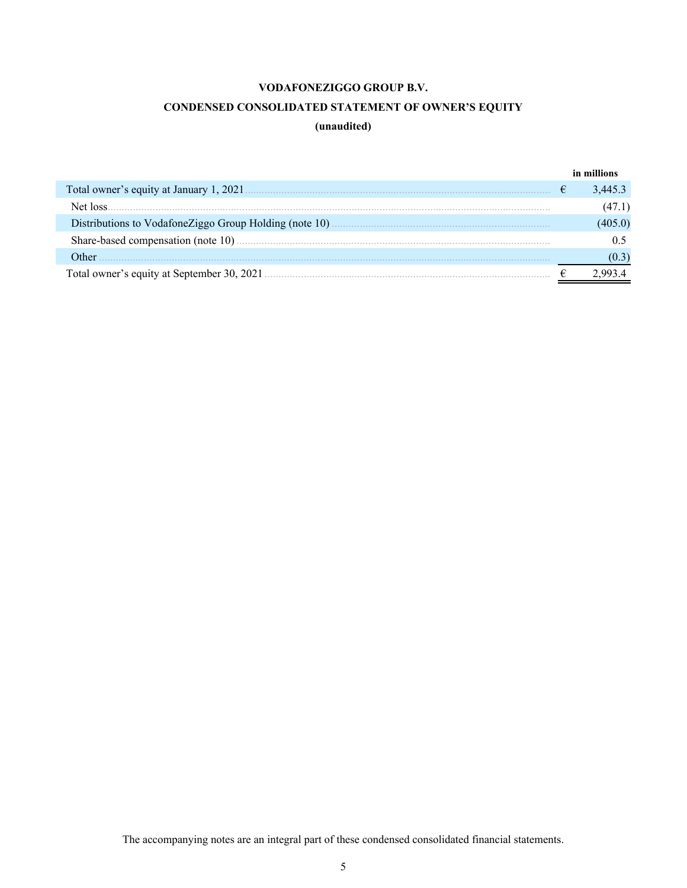## **CONDENSED CONSOLIDATED STATEMENT OF OWNER'S EQUITY**

## **(unaudited)**

<span id="page-5-0"></span>

|                                            |   | in millions |
|--------------------------------------------|---|-------------|
|                                            | € | 3.445.3     |
| Net loss                                   |   | (47.1)      |
|                                            |   | .405.0)     |
|                                            |   |             |
| Other                                      |   |             |
| Total owner's equity at September 30, 2021 |   |             |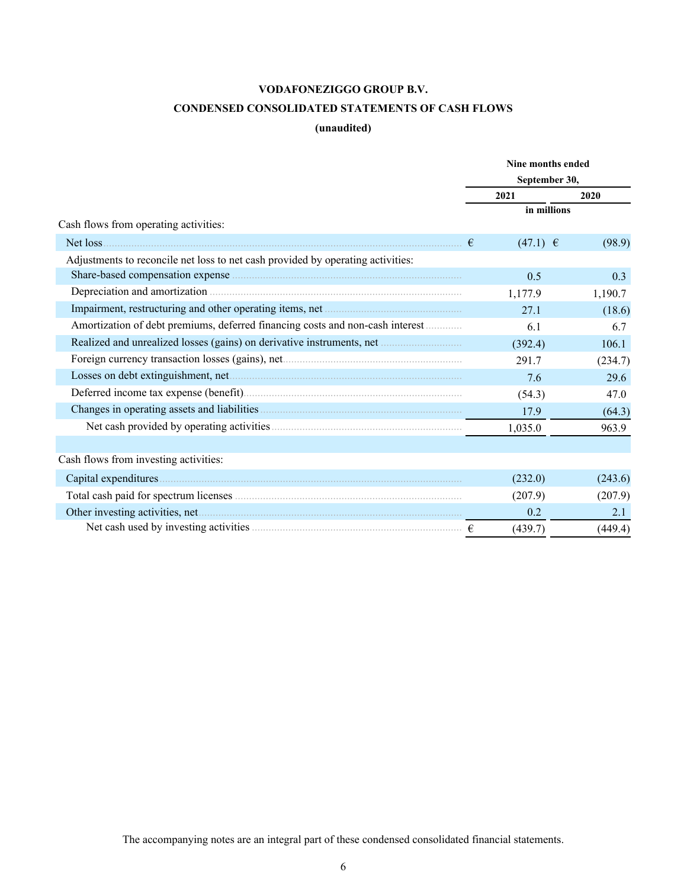## **CONDENSED CONSOLIDATED STATEMENTS OF CASH FLOWS**

## **(unaudited)**

<span id="page-6-0"></span>

| September 30,<br>2021<br>2020<br>in millions<br>Cash flows from operating activities:<br>$(47.1)$ €<br>(98.9)<br>€<br>Adjustments to reconcile net loss to net cash provided by operating activities:<br>0.3<br>0.5<br>1,190.7<br>1,177.9<br>(18.6)<br>27.1<br>Amortization of debt premiums, deferred financing costs and non-cash interest<br>6.7<br>6.1<br>Realized and unrealized losses (gains) on derivative instruments, net<br>(392.4)<br>106.1<br>291.7<br>(234.7)<br>29.6<br>7.6<br>(54.3)<br>47.0<br>17.9<br>(64.3)<br>1,035.0<br>963.9<br>(243.6)<br>(232.0)<br>(207.9)<br>(207.9)<br>0.2<br>2.1 |                                       | Nine months ended |  |  |  |  |  |
|--------------------------------------------------------------------------------------------------------------------------------------------------------------------------------------------------------------------------------------------------------------------------------------------------------------------------------------------------------------------------------------------------------------------------------------------------------------------------------------------------------------------------------------------------------------------------------------------------------------|---------------------------------------|-------------------|--|--|--|--|--|
|                                                                                                                                                                                                                                                                                                                                                                                                                                                                                                                                                                                                              |                                       |                   |  |  |  |  |  |
|                                                                                                                                                                                                                                                                                                                                                                                                                                                                                                                                                                                                              |                                       |                   |  |  |  |  |  |
|                                                                                                                                                                                                                                                                                                                                                                                                                                                                                                                                                                                                              |                                       |                   |  |  |  |  |  |
|                                                                                                                                                                                                                                                                                                                                                                                                                                                                                                                                                                                                              |                                       |                   |  |  |  |  |  |
|                                                                                                                                                                                                                                                                                                                                                                                                                                                                                                                                                                                                              |                                       |                   |  |  |  |  |  |
|                                                                                                                                                                                                                                                                                                                                                                                                                                                                                                                                                                                                              |                                       |                   |  |  |  |  |  |
|                                                                                                                                                                                                                                                                                                                                                                                                                                                                                                                                                                                                              |                                       |                   |  |  |  |  |  |
|                                                                                                                                                                                                                                                                                                                                                                                                                                                                                                                                                                                                              |                                       |                   |  |  |  |  |  |
|                                                                                                                                                                                                                                                                                                                                                                                                                                                                                                                                                                                                              |                                       |                   |  |  |  |  |  |
|                                                                                                                                                                                                                                                                                                                                                                                                                                                                                                                                                                                                              |                                       |                   |  |  |  |  |  |
|                                                                                                                                                                                                                                                                                                                                                                                                                                                                                                                                                                                                              |                                       |                   |  |  |  |  |  |
|                                                                                                                                                                                                                                                                                                                                                                                                                                                                                                                                                                                                              |                                       |                   |  |  |  |  |  |
|                                                                                                                                                                                                                                                                                                                                                                                                                                                                                                                                                                                                              |                                       |                   |  |  |  |  |  |
|                                                                                                                                                                                                                                                                                                                                                                                                                                                                                                                                                                                                              |                                       |                   |  |  |  |  |  |
|                                                                                                                                                                                                                                                                                                                                                                                                                                                                                                                                                                                                              |                                       |                   |  |  |  |  |  |
|                                                                                                                                                                                                                                                                                                                                                                                                                                                                                                                                                                                                              |                                       |                   |  |  |  |  |  |
|                                                                                                                                                                                                                                                                                                                                                                                                                                                                                                                                                                                                              |                                       |                   |  |  |  |  |  |
|                                                                                                                                                                                                                                                                                                                                                                                                                                                                                                                                                                                                              | Cash flows from investing activities: |                   |  |  |  |  |  |
|                                                                                                                                                                                                                                                                                                                                                                                                                                                                                                                                                                                                              |                                       |                   |  |  |  |  |  |
|                                                                                                                                                                                                                                                                                                                                                                                                                                                                                                                                                                                                              |                                       |                   |  |  |  |  |  |
|                                                                                                                                                                                                                                                                                                                                                                                                                                                                                                                                                                                                              |                                       |                   |  |  |  |  |  |
| (439.7)<br>(449.4)                                                                                                                                                                                                                                                                                                                                                                                                                                                                                                                                                                                           |                                       |                   |  |  |  |  |  |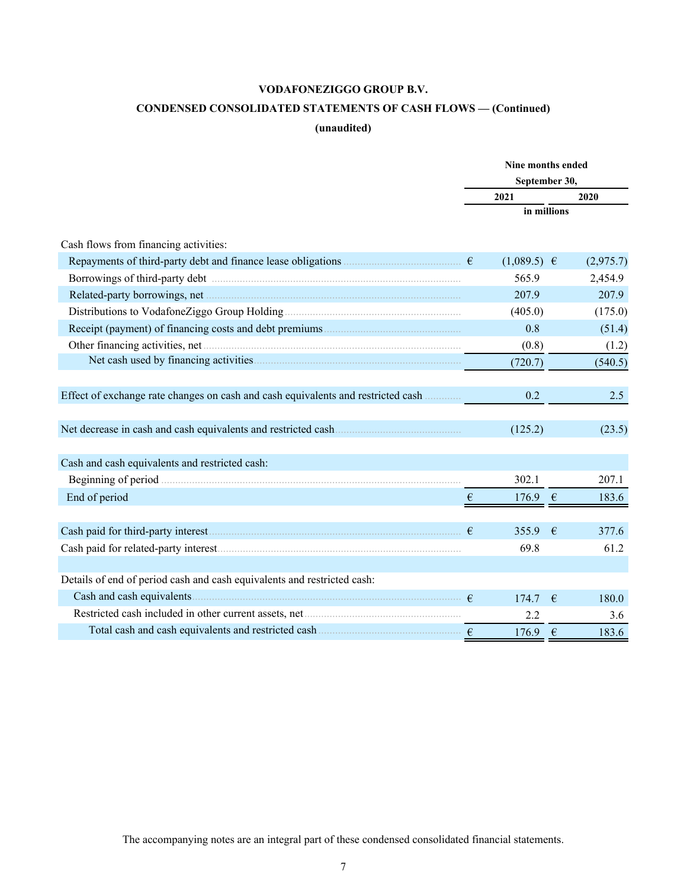# **CONDENSED CONSOLIDATED STATEMENTS OF CASH FLOWS — (Continued)**

## **(unaudited)**

|                                                                                  | Nine months ended<br>September 30, |                 |            |           |  |
|----------------------------------------------------------------------------------|------------------------------------|-----------------|------------|-----------|--|
|                                                                                  |                                    |                 |            |           |  |
|                                                                                  |                                    | 2021            |            | 2020      |  |
|                                                                                  |                                    | in millions     |            |           |  |
|                                                                                  |                                    |                 |            |           |  |
| Cash flows from financing activities:                                            |                                    |                 |            |           |  |
|                                                                                  |                                    | $(1,089.5) \in$ |            | (2,975.7) |  |
|                                                                                  |                                    | 565.9           |            | 2,454.9   |  |
|                                                                                  |                                    | 207.9           |            | 207.9     |  |
|                                                                                  |                                    | (405.0)         |            | (175.0)   |  |
|                                                                                  |                                    | 0.8             |            | (51.4)    |  |
|                                                                                  |                                    | (0.8)           |            | (1.2)     |  |
|                                                                                  |                                    | (720.7)         |            | (540.5)   |  |
|                                                                                  |                                    |                 |            |           |  |
| Effect of exchange rate changes on cash and cash equivalents and restricted cash |                                    | 0.2             |            | 2.5       |  |
|                                                                                  |                                    |                 |            |           |  |
| Net decrease in cash and cash equivalents and restricted cash                    |                                    | (125.2)         |            | (23.5)    |  |
|                                                                                  |                                    |                 |            |           |  |
| Cash and cash equivalents and restricted cash:                                   |                                    |                 |            |           |  |
|                                                                                  |                                    | 302.1           |            | 207.1     |  |
| End of period                                                                    | $\epsilon$                         | 176.9           | $\epsilon$ | 183.6     |  |
|                                                                                  |                                    |                 |            |           |  |
|                                                                                  |                                    | 355.9           | €          | 377.6     |  |
|                                                                                  |                                    | 69.8            |            | 61.2      |  |
|                                                                                  |                                    |                 |            |           |  |
| Details of end of period cash and cash equivalents and restricted cash:          |                                    |                 |            |           |  |
|                                                                                  |                                    | 174.7           | €          | 180.0     |  |
|                                                                                  |                                    | 2.2             |            | 3.6       |  |
|                                                                                  |                                    | 176.9           | $\epsilon$ | 183.6     |  |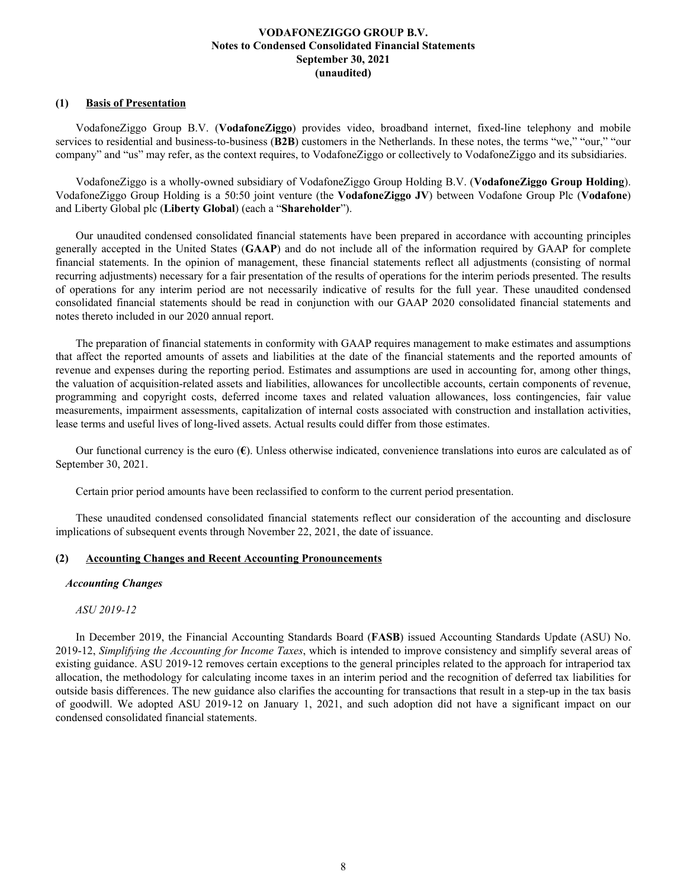## <span id="page-8-0"></span>**(1) Basis of Presentation**

VodafoneZiggo Group B.V. (**VodafoneZiggo**) provides video, broadband internet, fixed-line telephony and mobile services to residential and business-to-business (**B2B**) customers in the Netherlands. In these notes, the terms "we," "our," "our company" and "us" may refer, as the context requires, to VodafoneZiggo or collectively to VodafoneZiggo and its subsidiaries.

VodafoneZiggo is a wholly-owned subsidiary of VodafoneZiggo Group Holding B.V. (**VodafoneZiggo Group Holding**). VodafoneZiggo Group Holding is a 50:50 joint venture (the **VodafoneZiggo JV**) between Vodafone Group Plc (**Vodafone**) and Liberty Global plc (**Liberty Global**) (each a "**Shareholder**").

Our unaudited condensed consolidated financial statements have been prepared in accordance with accounting principles generally accepted in the United States (**GAAP**) and do not include all of the information required by GAAP for complete financial statements. In the opinion of management, these financial statements reflect all adjustments (consisting of normal recurring adjustments) necessary for a fair presentation of the results of operations for the interim periods presented. The results of operations for any interim period are not necessarily indicative of results for the full year. These unaudited condensed consolidated financial statements should be read in conjunction with our GAAP 2020 consolidated financial statements and notes thereto included in our 2020 annual report.

The preparation of financial statements in conformity with GAAP requires management to make estimates and assumptions that affect the reported amounts of assets and liabilities at the date of the financial statements and the reported amounts of revenue and expenses during the reporting period. Estimates and assumptions are used in accounting for, among other things, the valuation of acquisition-related assets and liabilities, allowances for uncollectible accounts, certain components of revenue, programming and copyright costs, deferred income taxes and related valuation allowances, loss contingencies, fair value measurements, impairment assessments, capitalization of internal costs associated with construction and installation activities, lease terms and useful lives of long-lived assets. Actual results could differ from those estimates.

Our functional currency is the euro (**€**). Unless otherwise indicated, convenience translations into euros are calculated as of September 30, 2021.

Certain prior period amounts have been reclassified to conform to the current period presentation.

These unaudited condensed consolidated financial statements reflect our consideration of the accounting and disclosure implications of subsequent events through November 22, 2021, the date of issuance.

## **(2) Accounting Changes and Recent Accounting Pronouncements**

## *Accounting Changes*

## *ASU 2019-12*

In December 2019, the Financial Accounting Standards Board (**FASB**) issued Accounting Standards Update (ASU) No. 2019-12, *Simplifying the Accounting for Income Taxes*, which is intended to improve consistency and simplify several areas of existing guidance. ASU 2019-12 removes certain exceptions to the general principles related to the approach for intraperiod tax allocation, the methodology for calculating income taxes in an interim period and the recognition of deferred tax liabilities for outside basis differences. The new guidance also clarifies the accounting for transactions that result in a step-up in the tax basis of goodwill. We adopted ASU 2019-12 on January 1, 2021, and such adoption did not have a significant impact on our condensed consolidated financial statements.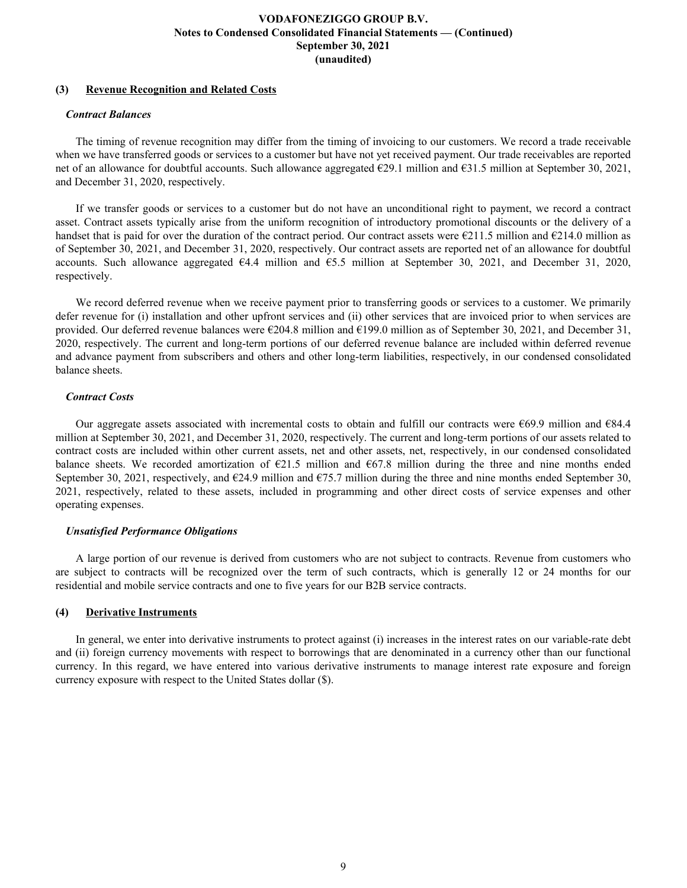## **(3) Revenue Recognition and Related Costs**

## *Contract Balances*

The timing of revenue recognition may differ from the timing of invoicing to our customers. We record a trade receivable when we have transferred goods or services to a customer but have not yet received payment. Our trade receivables are reported net of an allowance for doubtful accounts. Such allowance aggregated €29.1 million and €31.5 million at September 30, 2021, and December 31, 2020, respectively.

If we transfer goods or services to a customer but do not have an unconditional right to payment, we record a contract asset. Contract assets typically arise from the uniform recognition of introductory promotional discounts or the delivery of a handset that is paid for over the duration of the contract period. Our contract assets were  $\epsilon$ 211.5 million and  $\epsilon$ 214.0 million as of September 30, 2021, and December 31, 2020, respectively. Our contract assets are reported net of an allowance for doubtful accounts. Such allowance aggregated €4.4 million and €5.5 million at September 30, 2021, and December 31, 2020, respectively.

We record deferred revenue when we receive payment prior to transferring goods or services to a customer. We primarily defer revenue for (i) installation and other upfront services and (ii) other services that are invoiced prior to when services are provided. Our deferred revenue balances were €204.8 million and €199.0 million as of September 30, 2021, and December 31, 2020, respectively. The current and long-term portions of our deferred revenue balance are included within deferred revenue and advance payment from subscribers and others and other long-term liabilities, respectively, in our condensed consolidated balance sheets.

## *Contract Costs*

Our aggregate assets associated with incremental costs to obtain and fulfill our contracts were  $669.9$  million and  $684.4$ million at September 30, 2021, and December 31, 2020, respectively. The current and long-term portions of our assets related to contract costs are included within other current assets, net and other assets, net, respectively, in our condensed consolidated balance sheets. We recorded amortization of  $E21.5$  million and  $E67.8$  million during the three and nine months ended September 30, 2021, respectively, and  $\epsilon$ 24.9 million and  $\epsilon$ 75.7 million during the three and nine months ended September 30, 2021, respectively, related to these assets, included in programming and other direct costs of service expenses and other operating expenses.

## *Unsatisfied Performance Obligations*

A large portion of our revenue is derived from customers who are not subject to contracts. Revenue from customers who are subject to contracts will be recognized over the term of such contracts, which is generally 12 or 24 months for our residential and mobile service contracts and one to five years for our B2B service contracts.

## **(4) Derivative Instruments**

In general, we enter into derivative instruments to protect against (i) increases in the interest rates on our variable-rate debt and (ii) foreign currency movements with respect to borrowings that are denominated in a currency other than our functional currency. In this regard, we have entered into various derivative instruments to manage interest rate exposure and foreign currency exposure with respect to the United States dollar (\$).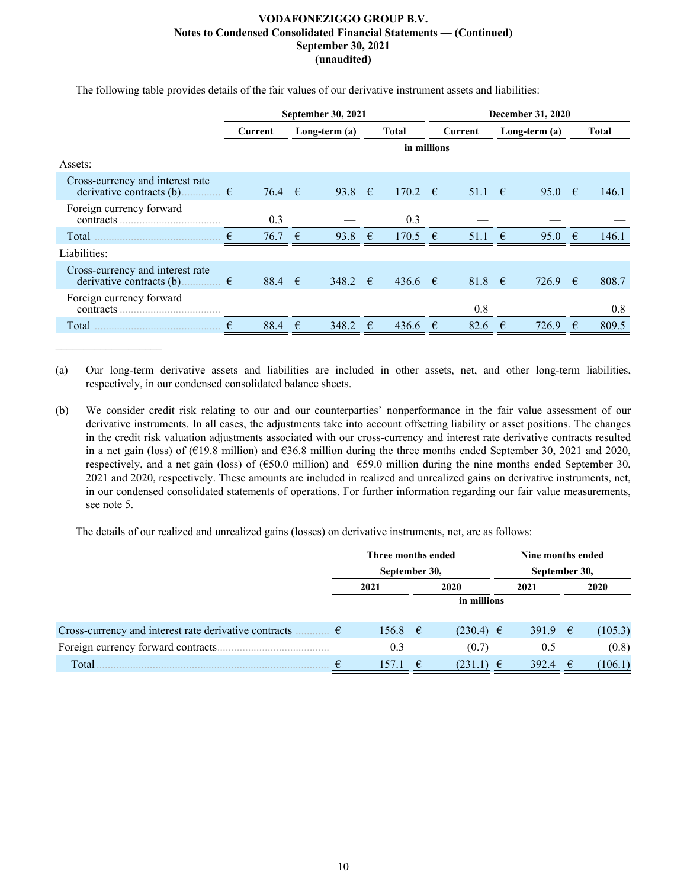|                                                                                    | September 30, 2021 |            |   |                 | <b>December 31, 2020</b> |              |   |                  |   |                 |            |       |
|------------------------------------------------------------------------------------|--------------------|------------|---|-----------------|--------------------------|--------------|---|------------------|---|-----------------|------------|-------|
|                                                                                    |                    | Current    |   | Long-term $(a)$ |                          | <b>Total</b> |   | Current          |   | Long-term $(a)$ |            | Total |
|                                                                                    |                    |            |   |                 |                          | in millions  |   |                  |   |                 |            |       |
| Assets:                                                                            |                    |            |   |                 |                          |              |   |                  |   |                 |            |       |
| Cross-currency and interest rate<br>derivative contracts (b).<br>………… €            |                    | 76.4 $\in$ |   | 93.8 $\epsilon$ |                          | 170.2 $\in$  |   | $51.1 \quad \in$ |   | 95.0            | $\epsilon$ | 146.1 |
| Foreign currency forward<br>contracts                                              |                    | 0.3        |   |                 |                          | 0.3          |   |                  |   |                 |            |       |
| Total                                                                              | €                  | 76.7       | € | 93.8            | $\epsilon$               | 170.5        | € | 51.1             | € | 95.0            | $\epsilon$ | 146.1 |
| Liabilities:                                                                       |                    |            |   |                 |                          |              |   |                  |   |                 |            |       |
| Cross-currency and interest rate<br>derivative contracts (b) $\qquad \qquad$ $\in$ |                    | 88.4 $\in$ |   | 348.2 $\in$     |                          | $436.6$ €    |   | 81.8 $\in$       |   | 726.9           | €          | 808.7 |
| Foreign currency forward<br>contracts                                              |                    |            |   |                 |                          |              |   | 0.8              |   |                 |            | 0.8   |
| Total                                                                              | €                  | 88.4       | € | 348.2           | €                        | 436.6        | € | 82.6             | € | 726.9           | €          | 809.5 |

The following table provides details of the fair values of our derivative instrument assets and liabilities:

(a) Our long-term derivative assets and liabilities are included in other assets, net, and other long-term liabilities, respectively, in our condensed consolidated balance sheets.

(b) We consider credit risk relating to our and our counterparties' nonperformance in the fair value assessment of our derivative instruments. In all cases, the adjustments take into account offsetting liability or asset positions. The changes in the credit risk valuation adjustments associated with our cross-currency and interest rate derivative contracts resulted in a net gain (loss) of (€19.8 million) and €36.8 million during the three months ended September 30, 2021 and 2020, respectively, and a net gain (loss) of ( $\epsilon$ 50.0 million) and  $\epsilon$ 59.0 million during the nine months ended September 30, 2021 and 2020, respectively. These amounts are included in realized and unrealized gains on derivative instruments, net, in our condensed consolidated statements of operations. For further information regarding our fair value measurements, see note 5.

The details of our realized and unrealized gains (losses) on derivative instruments, net, are as follows:

|                                                                |               | Three months ended |      |               |   | Nine months ended |            |         |  |  |
|----------------------------------------------------------------|---------------|--------------------|------|---------------|---|-------------------|------------|---------|--|--|
|                                                                | September 30, |                    |      |               |   | September 30,     |            |         |  |  |
|                                                                |               | 2021               | 2020 |               |   | 2021              |            | 2020    |  |  |
|                                                                |               |                    |      | in millions   |   |                   |            |         |  |  |
|                                                                |               |                    |      |               |   |                   |            |         |  |  |
| Cross-currency and interest rate derivative contracts<br>……… € |               | $156.8 \t∈$        |      | $(230.4) \in$ |   | 391.9 $\epsilon$  |            | (105.3) |  |  |
| Foreign currency forward contracts.                            |               | 0.3                |      | (0.7)         |   | 0.5               |            | (0.8)   |  |  |
| Total                                                          |               | 157.               | €    | (231.1)       | € | 392.4             | $\epsilon$ | (106.1) |  |  |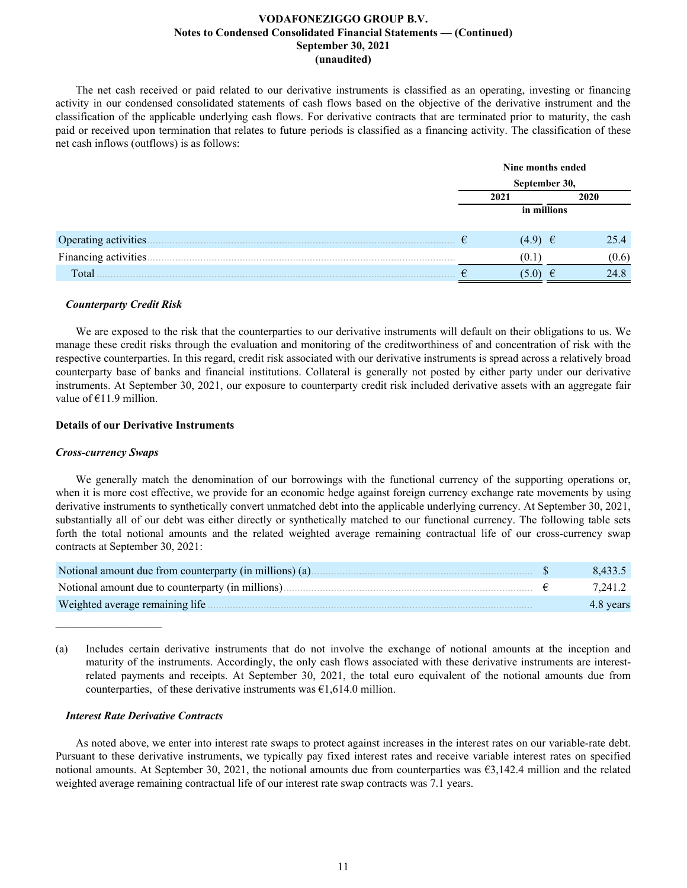The net cash received or paid related to our derivative instruments is classified as an operating, investing or financing activity in our condensed consolidated statements of cash flows based on the objective of the derivative instrument and the classification of the applicable underlying cash flows. For derivative contracts that are terminated prior to maturity, the cash paid or received upon termination that relates to future periods is classified as a financing activity. The classification of these net cash inflows (outflows) is as follows:

|                       | Nine months ended |               |       |  |  |  |  |
|-----------------------|-------------------|---------------|-------|--|--|--|--|
|                       |                   | September 30, |       |  |  |  |  |
|                       |                   | 2020<br>2021  |       |  |  |  |  |
|                       |                   | in millions   |       |  |  |  |  |
| Operating activities. |                   | $(4.9) \t∈$   | 25.4  |  |  |  |  |
| Financing activities  |                   | (V. 1         | (0.6) |  |  |  |  |
| Total                 |                   | 5.0)          | 24.8  |  |  |  |  |

#### *Counterparty Credit Risk*

We are exposed to the risk that the counterparties to our derivative instruments will default on their obligations to us. We manage these credit risks through the evaluation and monitoring of the creditworthiness of and concentration of risk with the respective counterparties. In this regard, credit risk associated with our derivative instruments is spread across a relatively broad counterparty base of banks and financial institutions. Collateral is generally not posted by either party under our derivative instruments. At September 30, 2021, our exposure to counterparty credit risk included derivative assets with an aggregate fair value of  $E11.9$  million.

#### **Details of our Derivative Instruments**

#### *Cross-currency Swaps*

 $\mathcal{L}_\text{max}$  , where  $\mathcal{L}_\text{max}$  and  $\mathcal{L}_\text{max}$ 

We generally match the denomination of our borrowings with the functional currency of the supporting operations or, when it is more cost effective, we provide for an economic hedge against foreign currency exchange rate movements by using derivative instruments to synthetically convert unmatched debt into the applicable underlying currency. At September 30, 2021, substantially all of our debt was either directly or synthetically matched to our functional currency. The following table sets forth the total notional amounts and the related weighted average remaining contractual life of our cross-currency swap contracts at September 30, 2021:

| Notional amount due from counterparty (in millions) (a). | 8.433.5   |
|----------------------------------------------------------|-----------|
| Notional amount due to counterparty (in millions).       | 7.241.2   |
| Weighted average remaining life.                         | 4.8 years |

(a) Includes certain derivative instruments that do not involve the exchange of notional amounts at the inception and maturity of the instruments. Accordingly, the only cash flows associated with these derivative instruments are interestrelated payments and receipts. At September 30, 2021, the total euro equivalent of the notional amounts due from counterparties, of these derivative instruments was  $\epsilon$ 1,614.0 million.

#### *Interest Rate Derivative Contracts*

As noted above, we enter into interest rate swaps to protect against increases in the interest rates on our variable-rate debt. Pursuant to these derivative instruments, we typically pay fixed interest rates and receive variable interest rates on specified notional amounts. At September 30, 2021, the notional amounts due from counterparties was  $\epsilon$ 3,142.4 million and the related weighted average remaining contractual life of our interest rate swap contracts was 7.1 years.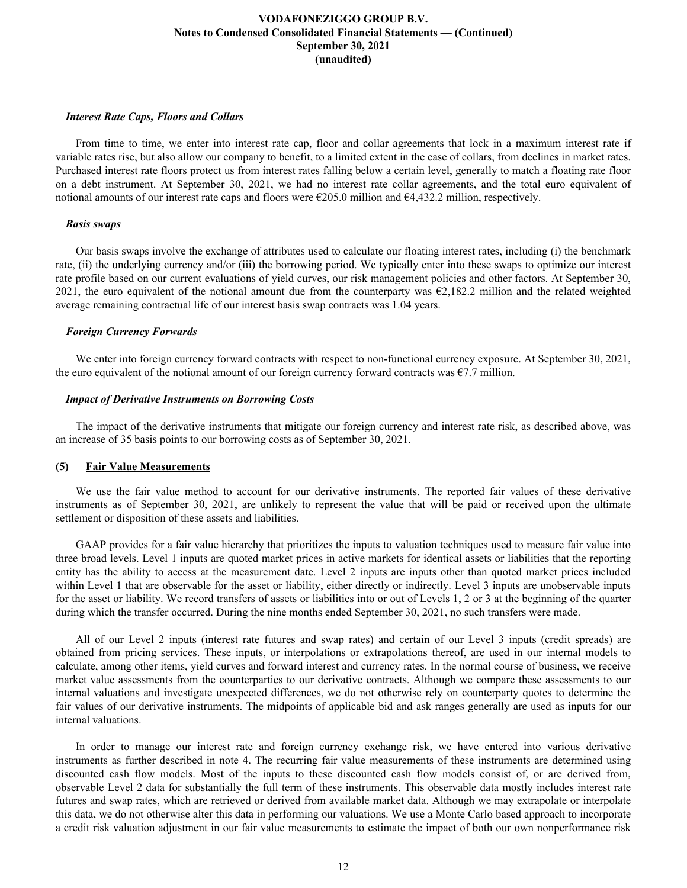## *Interest Rate Caps, Floors and Collars*

From time to time, we enter into interest rate cap, floor and collar agreements that lock in a maximum interest rate if variable rates rise, but also allow our company to benefit, to a limited extent in the case of collars, from declines in market rates. Purchased interest rate floors protect us from interest rates falling below a certain level, generally to match a floating rate floor on a debt instrument. At September 30, 2021, we had no interest rate collar agreements, and the total euro equivalent of notional amounts of our interest rate caps and floors were €205.0 million and €4,432.2 million, respectively.

#### *Basis swaps*

Our basis swaps involve the exchange of attributes used to calculate our floating interest rates, including (i) the benchmark rate, (ii) the underlying currency and/or (iii) the borrowing period. We typically enter into these swaps to optimize our interest rate profile based on our current evaluations of yield curves, our risk management policies and other factors. At September 30, 2021, the euro equivalent of the notional amount due from the counterparty was  $\epsilon$ 2,182.2 million and the related weighted average remaining contractual life of our interest basis swap contracts was 1.04 years.

## *Foreign Currency Forwards*

We enter into foreign currency forward contracts with respect to non-functional currency exposure. At September 30, 2021, the euro equivalent of the notional amount of our foreign currency forward contracts was  $\epsilon$ 7.7 million.

#### *Impact of Derivative Instruments on Borrowing Costs*

The impact of the derivative instruments that mitigate our foreign currency and interest rate risk, as described above, was an increase of 35 basis points to our borrowing costs as of September 30, 2021.

#### **(5) Fair Value Measurements**

We use the fair value method to account for our derivative instruments. The reported fair values of these derivative instruments as of September 30, 2021, are unlikely to represent the value that will be paid or received upon the ultimate settlement or disposition of these assets and liabilities.

GAAP provides for a fair value hierarchy that prioritizes the inputs to valuation techniques used to measure fair value into three broad levels. Level 1 inputs are quoted market prices in active markets for identical assets or liabilities that the reporting entity has the ability to access at the measurement date. Level 2 inputs are inputs other than quoted market prices included within Level 1 that are observable for the asset or liability, either directly or indirectly. Level 3 inputs are unobservable inputs for the asset or liability. We record transfers of assets or liabilities into or out of Levels 1, 2 or 3 at the beginning of the quarter during which the transfer occurred. During the nine months ended September 30, 2021, no such transfers were made.

All of our Level 2 inputs (interest rate futures and swap rates) and certain of our Level 3 inputs (credit spreads) are obtained from pricing services. These inputs, or interpolations or extrapolations thereof, are used in our internal models to calculate, among other items, yield curves and forward interest and currency rates. In the normal course of business, we receive market value assessments from the counterparties to our derivative contracts. Although we compare these assessments to our internal valuations and investigate unexpected differences, we do not otherwise rely on counterparty quotes to determine the fair values of our derivative instruments. The midpoints of applicable bid and ask ranges generally are used as inputs for our internal valuations.

In order to manage our interest rate and foreign currency exchange risk, we have entered into various derivative instruments as further described in note 4. The recurring fair value measurements of these instruments are determined using discounted cash flow models. Most of the inputs to these discounted cash flow models consist of, or are derived from, observable Level 2 data for substantially the full term of these instruments. This observable data mostly includes interest rate futures and swap rates, which are retrieved or derived from available market data. Although we may extrapolate or interpolate this data, we do not otherwise alter this data in performing our valuations. We use a Monte Carlo based approach to incorporate a credit risk valuation adjustment in our fair value measurements to estimate the impact of both our own nonperformance risk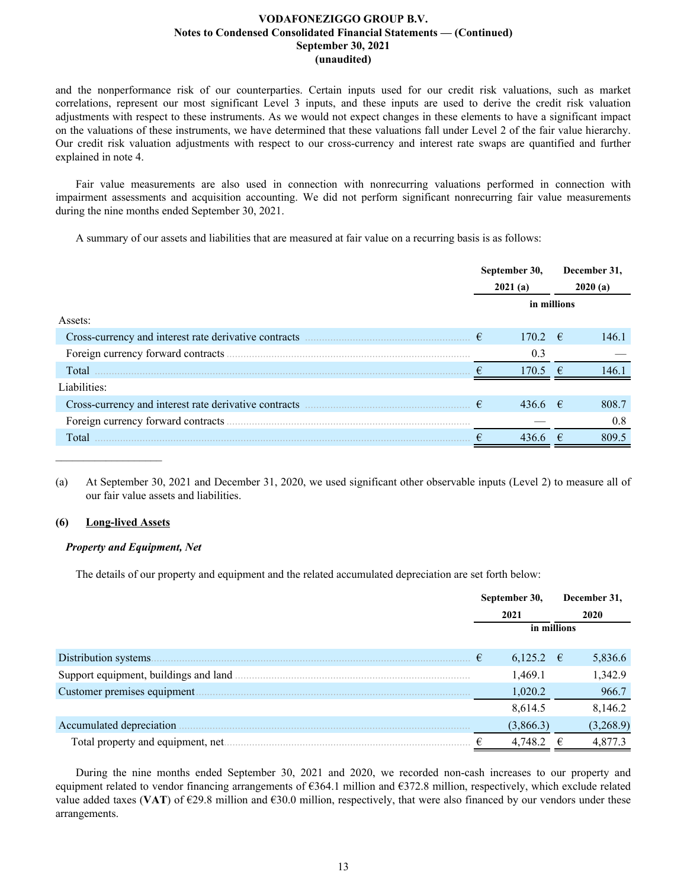and the nonperformance risk of our counterparties. Certain inputs used for our credit risk valuations, such as market correlations, represent our most significant Level 3 inputs, and these inputs are used to derive the credit risk valuation adjustments with respect to these instruments. As we would not expect changes in these elements to have a significant impact on the valuations of these instruments, we have determined that these valuations fall under Level 2 of the fair value hierarchy. Our credit risk valuation adjustments with respect to our cross-currency and interest rate swaps are quantified and further explained in note 4.

Fair value measurements are also used in connection with nonrecurring valuations performed in connection with impairment assessments and acquisition accounting. We did not perform significant nonrecurring fair value measurements during the nine months ended September 30, 2021.

A summary of our assets and liabilities that are measured at fair value on a recurring basis is as follows:

|                                                       | September 30,<br>2021(a) |             |             | December 31,<br>2020(a) |
|-------------------------------------------------------|--------------------------|-------------|-------------|-------------------------|
|                                                       |                          | in millions |             |                         |
| Assets:                                               |                          |             |             |                         |
| Cross-currency and interest rate derivative contracts | €                        | 170.2       | $-\epsilon$ | 146.1                   |
|                                                       |                          | 0.3         |             |                         |
| Total                                                 |                          | 170.5       | $-\epsilon$ | 1461                    |
| Liabilities:                                          |                          |             |             |                         |
|                                                       | €                        | $436.6$ €   |             | 808.7                   |
|                                                       |                          |             |             | 0.8                     |
| Total                                                 |                          | 436.6       |             | 809.5                   |

(a) At September 30, 2021 and December 31, 2020, we used significant other observable inputs (Level 2) to measure all of our fair value assets and liabilities.

## **(6) Long-lived Assets**

 $\mathcal{L}_\text{max}$  , where  $\mathcal{L}_\text{max}$  and  $\mathcal{L}_\text{max}$ 

## *Property and Equipment, Net*

The details of our property and equipment and the related accumulated depreciation are set forth below:

|                                        | September 30, |   | December 31, |
|----------------------------------------|---------------|---|--------------|
|                                        | 2021          |   | 2020         |
|                                        | in millions   |   |              |
| Distribution systems.                  | $6,125.2$ €   |   | 5,836.6      |
| Support equipment, buildings and land. | 1,469.1       |   | 1,342.9      |
| Customer premises equipment.           | 1,020.2       |   | 966.7        |
|                                        | 8,614.5       |   | 8,146.2      |
| Accumulated depreciation               | (3,866.3)     |   | (3,268.9)    |
| Total property and equipment, net.     | 4,748.2       | € | 4,877.3      |

During the nine months ended September 30, 2021 and 2020, we recorded non-cash increases to our property and equipment related to vendor financing arrangements of €364.1 million and €372.8 million, respectively, which exclude related value added taxes (VAT) of  $\epsilon$ 29.8 million and  $\epsilon$ 30.0 million, respectively, that were also financed by our vendors under these arrangements.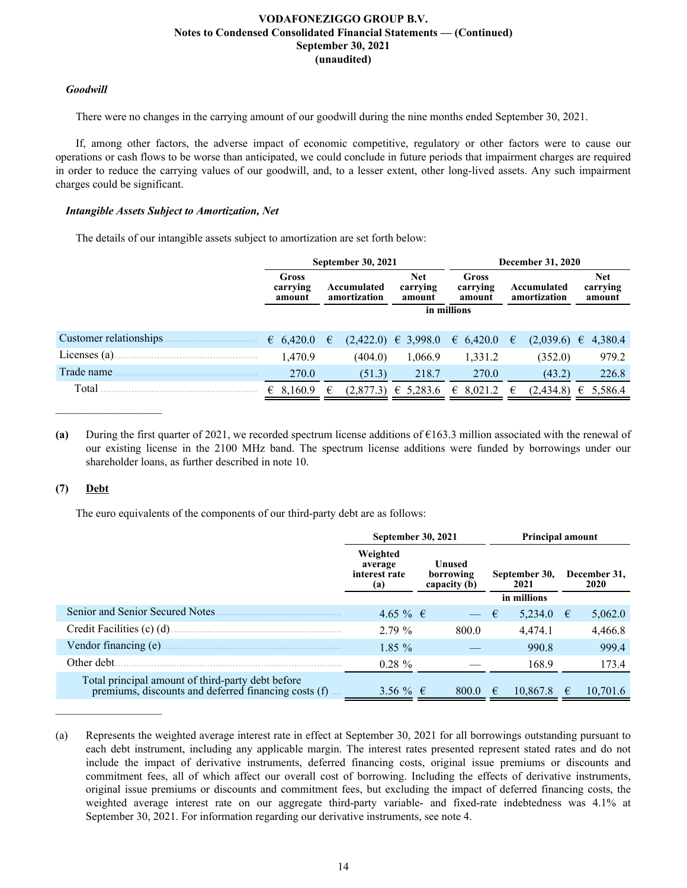## *Goodwill*

There were no changes in the carrying amount of our goodwill during the nine months ended September 30, 2021.

If, among other factors, the adverse impact of economic competitive, regulatory or other factors were to cause our operations or cash flows to be worse than anticipated, we could conclude in future periods that impairment charges are required in order to reduce the carrying values of our goodwill, and, to a lesser extent, other long-lived assets. Any such impairment charges could be significant.

## *Intangible Assets Subject to Amortization, Net*

The details of our intangible assets subject to amortization are set forth below:

|                        |                                    | <b>September 30, 2021</b>                                       |                         |                                    | December 31, 2020           |                                  |
|------------------------|------------------------------------|-----------------------------------------------------------------|-------------------------|------------------------------------|-----------------------------|----------------------------------|
|                        | <b>Gross</b><br>carrying<br>amount | <b>Net</b><br>carrying<br>Accumulated<br>amortization<br>amount |                         | <b>Gross</b><br>carrying<br>amount | Accumulated<br>amortization | <b>Net</b><br>carrying<br>amount |
|                        |                                    |                                                                 |                         | in millions                        |                             |                                  |
| Customer relationships | 6,420.0                            | €                                                               | $(2,422.0) \in 3.998.0$ | 6,420.0                            | $(2,039.6) \in$<br>€        | 4,380.4                          |
| Licenses $(a)$ .       | 1.470.9                            | (404.0)                                                         | 1,066.9                 | 1,331.2                            | (352.0)                     | 979.2                            |
| Trade name             | 270.0                              | (51.3)                                                          | 218.7                   | 270.0                              | (43.2)                      | 226.8                            |
| Total                  | € 8,160.9                          | (2,877.3)                                                       | € 5,283.6               | $\epsilon$ 8.021.2                 | (2,434.8)<br>€              | 5,586.4<br>€                     |

**(a)** During the first quarter of 2021, we recorded spectrum license additions of €163.3 million associated with the renewal of our existing license in the 2100 MHz band. The spectrum license additions were funded by borrowings under our shareholder loans, as further described in note 10.

## **(7) Debt**

 $\mathcal{L}_\text{max}$  , where  $\mathcal{L}_\text{max}$  and  $\mathcal{L}_\text{max}$ 

The euro equivalents of the components of our third-party debt are as follows:

|                                                                                                           | <b>September 30, 2021</b>                   |                                     |                        | <b>Principal amount</b> |
|-----------------------------------------------------------------------------------------------------------|---------------------------------------------|-------------------------------------|------------------------|-------------------------|
|                                                                                                           | Weighted<br>average<br>interest rate<br>(a) | Unused<br>borrowing<br>capacity (b) | September 30,<br>2021  | December 31,<br>2020    |
|                                                                                                           |                                             |                                     | in millions            |                         |
| Senior and Senior Secured Notes.                                                                          | 4.65 % €                                    | $ \epsilon$                         | 5,234.0                | 5,062.0<br>€            |
|                                                                                                           | $2.79\%$                                    | 800.0                               | 4,474.1                | 4,466.8                 |
| Vendor financing (e).                                                                                     | $1.85\%$                                    |                                     | 990.8                  | 999.4                   |
| Other debt.                                                                                               | $0.28 \%$                                   |                                     | 168.9                  | 173.4                   |
| Total principal amount of third-party debt before<br>premiums, discounts and deferred financing costs (f) | 3.56 $\%$ $\in$                             | 800.0                               | 10.867.8<br>$\epsilon$ | 10,701.6<br>$\epsilon$  |

<sup>(</sup>a) Represents the weighted average interest rate in effect at September 30, 2021 for all borrowings outstanding pursuant to each debt instrument, including any applicable margin. The interest rates presented represent stated rates and do not include the impact of derivative instruments, deferred financing costs, original issue premiums or discounts and commitment fees, all of which affect our overall cost of borrowing. Including the effects of derivative instruments, original issue premiums or discounts and commitment fees, but excluding the impact of deferred financing costs, the weighted average interest rate on our aggregate third-party variable- and fixed-rate indebtedness was 4.1% at September 30, 2021. For information regarding our derivative instruments, see note 4.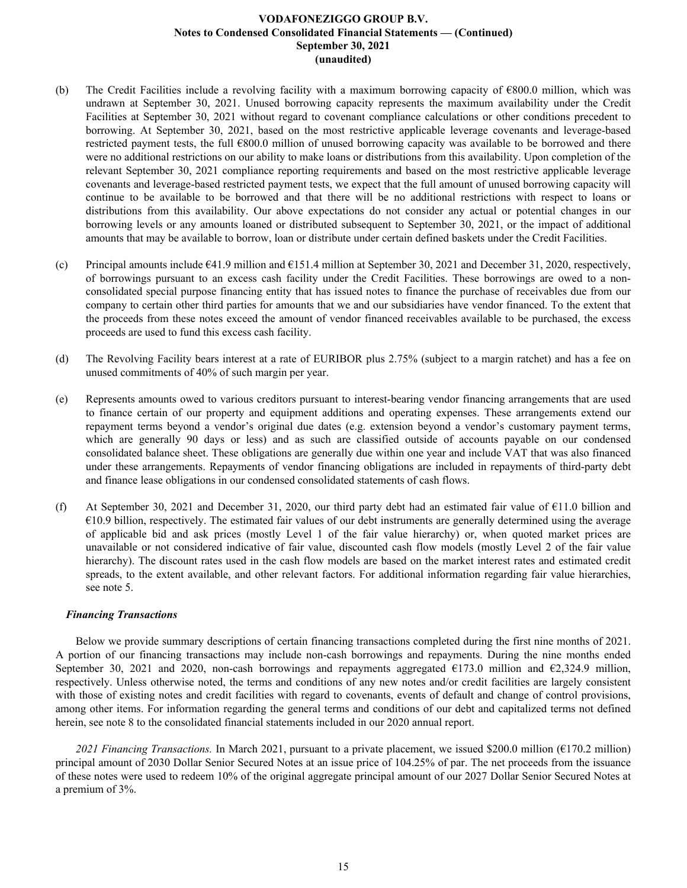- (b) The Credit Facilities include a revolving facility with a maximum borrowing capacity of €800.0 million, which was undrawn at September 30, 2021. Unused borrowing capacity represents the maximum availability under the Credit Facilities at September 30, 2021 without regard to covenant compliance calculations or other conditions precedent to borrowing. At September 30, 2021, based on the most restrictive applicable leverage covenants and leverage-based restricted payment tests, the full €800.0 million of unused borrowing capacity was available to be borrowed and there were no additional restrictions on our ability to make loans or distributions from this availability. Upon completion of the relevant September 30, 2021 compliance reporting requirements and based on the most restrictive applicable leverage covenants and leverage-based restricted payment tests, we expect that the full amount of unused borrowing capacity will continue to be available to be borrowed and that there will be no additional restrictions with respect to loans or distributions from this availability. Our above expectations do not consider any actual or potential changes in our borrowing levels or any amounts loaned or distributed subsequent to September 30, 2021, or the impact of additional amounts that may be available to borrow, loan or distribute under certain defined baskets under the Credit Facilities.
- (c) Principal amounts include  $641.9$  million and  $6151.4$  million at September 30, 2021 and December 31, 2020, respectively, of borrowings pursuant to an excess cash facility under the Credit Facilities. These borrowings are owed to a nonconsolidated special purpose financing entity that has issued notes to finance the purchase of receivables due from our company to certain other third parties for amounts that we and our subsidiaries have vendor financed. To the extent that the proceeds from these notes exceed the amount of vendor financed receivables available to be purchased, the excess proceeds are used to fund this excess cash facility.
- (d) The Revolving Facility bears interest at a rate of EURIBOR plus 2.75% (subject to a margin ratchet) and has a fee on unused commitments of 40% of such margin per year.
- (e) Represents amounts owed to various creditors pursuant to interest-bearing vendor financing arrangements that are used to finance certain of our property and equipment additions and operating expenses. These arrangements extend our repayment terms beyond a vendor's original due dates (e.g. extension beyond a vendor's customary payment terms, which are generally 90 days or less) and as such are classified outside of accounts payable on our condensed consolidated balance sheet. These obligations are generally due within one year and include VAT that was also financed under these arrangements. Repayments of vendor financing obligations are included in repayments of third-party debt and finance lease obligations in our condensed consolidated statements of cash flows.
- (f) At September 30, 2021 and December 31, 2020, our third party debt had an estimated fair value of €11.0 billion and  $\epsilon$ 10.9 billion, respectively. The estimated fair values of our debt instruments are generally determined using the average of applicable bid and ask prices (mostly Level 1 of the fair value hierarchy) or, when quoted market prices are unavailable or not considered indicative of fair value, discounted cash flow models (mostly Level 2 of the fair value hierarchy). The discount rates used in the cash flow models are based on the market interest rates and estimated credit spreads, to the extent available, and other relevant factors. For additional information regarding fair value hierarchies, see note 5.

## *Financing Transactions*

Below we provide summary descriptions of certain financing transactions completed during the first nine months of 2021. A portion of our financing transactions may include non-cash borrowings and repayments. During the nine months ended September 30, 2021 and 2020, non-cash borrowings and repayments aggregated  $\epsilon$ 173.0 million and  $\epsilon$ 2,324.9 million, respectively. Unless otherwise noted, the terms and conditions of any new notes and/or credit facilities are largely consistent with those of existing notes and credit facilities with regard to covenants, events of default and change of control provisions, among other items. For information regarding the general terms and conditions of our debt and capitalized terms not defined herein, see note 8 to the consolidated financial statements included in our 2020 annual report.

*2021 Financing Transactions.* In March 2021, pursuant to a private placement, we issued \$200.0 million (€170.2 million) principal amount of 2030 Dollar Senior Secured Notes at an issue price of 104.25% of par. The net proceeds from the issuance of these notes were used to redeem 10% of the original aggregate principal amount of our 2027 Dollar Senior Secured Notes at a premium of 3%.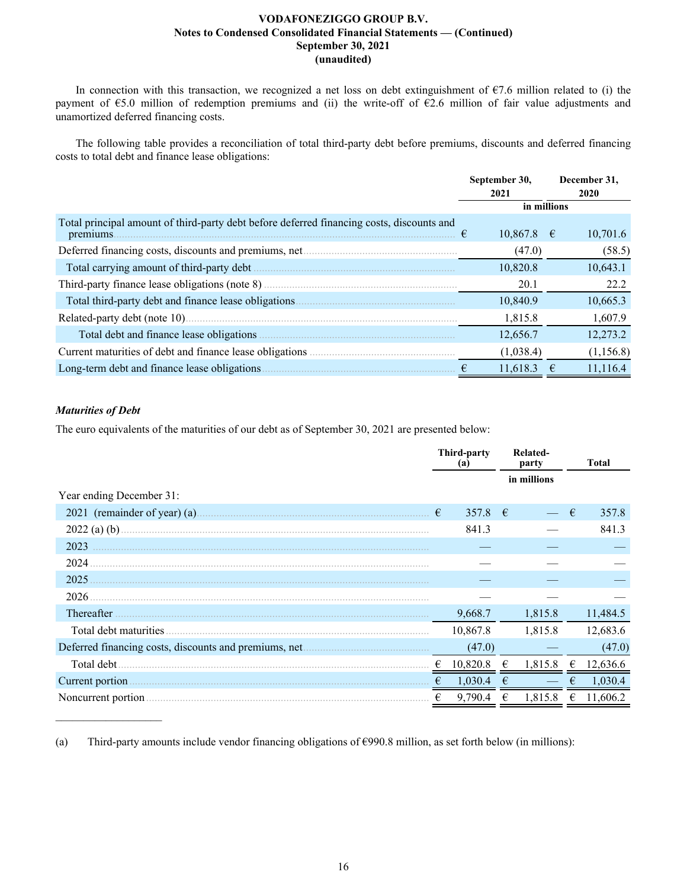In connection with this transaction, we recognized a net loss on debt extinguishment of  $E$ 7.6 million related to (i) the payment of €5.0 million of redemption premiums and (ii) the write-off of €2.6 million of fair value adjustments and unamortized deferred financing costs.

The following table provides a reconciliation of total third-party debt before premiums, discounts and deferred financing costs to total debt and finance lease obligations:

|                                                                                                        | September 30,<br>2021 | December 31,<br><b>2020</b> |
|--------------------------------------------------------------------------------------------------------|-----------------------|-----------------------------|
|                                                                                                        | in millions           |                             |
| Total principal amount of third-party debt before deferred financing costs, discounts and<br>premiums. | $10,867.8$ €          | 10,701.6                    |
|                                                                                                        | (47.0)                | (58.5)                      |
|                                                                                                        | 10,820.8              | 10,643.1                    |
|                                                                                                        | 20.1                  | 22.2                        |
|                                                                                                        | 10,840.9              | 10,665.3                    |
|                                                                                                        | 1,815.8               | 1,607.9                     |
| Total debt and finance lease obligations.                                                              | 12,656.7              | 12,273.2                    |
| Current maturities of debt and finance lease obligations.                                              | (1,038.4)             | (1, 156.8)                  |
| Long-term debt and finance lease obligations.                                                          | 11,618.3              | 11,116.4                    |

## *Maturities of Debt*

 $\mathcal{L}_\text{max}$  , where  $\mathcal{L}_\text{max}$  and  $\mathcal{L}_\text{max}$ 

The euro equivalents of the maturities of our debt as of September 30, 2021 are presented below:

|                              |   | <b>Third-party</b><br>(a) |   | Related-<br>party |   | <b>Total</b> |
|------------------------------|---|---------------------------|---|-------------------|---|--------------|
|                              |   |                           |   | in millions       |   |              |
| Year ending December 31:     |   |                           |   |                   |   |              |
| 2021 (remainder of year) (a) | € | 357.8                     | € |                   | € | 357.8        |
| 2022 (a) (b).                |   | 841.3                     |   |                   |   | 841.3        |
| 2023                         |   |                           |   |                   |   |              |
| 2024                         |   |                           |   |                   |   |              |
| 2025                         |   |                           |   |                   |   |              |
| 2026                         |   |                           |   |                   |   |              |
| Thereafter                   |   | 9,668.7                   |   | 1,815.8           |   | 11,484.5     |
| Total debt maturities        |   | 10,867.8                  |   | 1,815.8           |   | 12,683.6     |
|                              |   | (47.0)                    |   |                   |   | (47.0)       |
| Total debt                   |   | 10,820.8                  |   | 1,815.8           | € | 12,636.6     |
| Current portion              |   | 1,030.4                   |   |                   |   | 1,030.4      |
| Noncurrent portion           |   | 9,790.4                   | € | 1,815.8           | € | 11,606.2     |

(a) Third-party amounts include vendor financing obligations of  $\epsilon$ 990.8 million, as set forth below (in millions):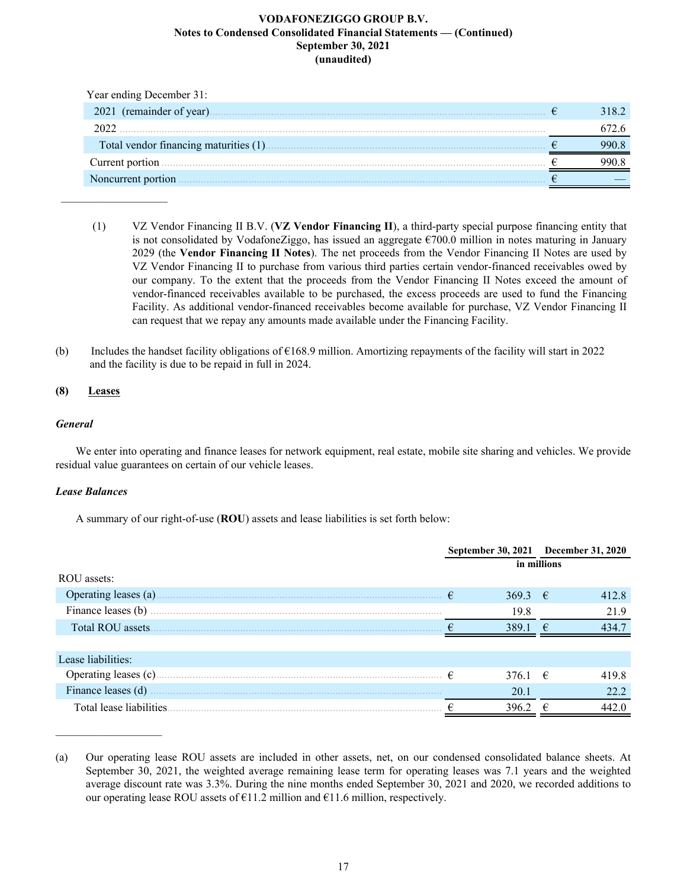| Year ending December 31:  |       |
|---------------------------|-------|
| 2021 (remainder of year). | 318.2 |
| 2022                      |       |
|                           |       |
| Current portion.          |       |
| Noncurrent portion        |       |

- (1) VZ Vendor Financing II B.V. (**VZ Vendor Financing II**), a third-party special purpose financing entity that is not consolidated by VodafoneZiggo, has issued an aggregate  $\epsilon$ 700.0 million in notes maturing in January 2029 (the **Vendor Financing II Notes**). The net proceeds from the Vendor Financing II Notes are used by VZ Vendor Financing II to purchase from various third parties certain vendor-financed receivables owed by our company. To the extent that the proceeds from the Vendor Financing II Notes exceed the amount of vendor-financed receivables available to be purchased, the excess proceeds are used to fund the Financing Facility. As additional vendor-financed receivables become available for purchase, VZ Vendor Financing II can request that we repay any amounts made available under the Financing Facility.
- (b) Includes the handset facility obligations of  $\epsilon$ 168.9 million. Amortizing repayments of the facility will start in 2022 and the facility is due to be repaid in full in 2024.

## **(8) Leases**

 $\frac{1}{2}$  ,  $\frac{1}{2}$  ,  $\frac{1}{2}$  ,  $\frac{1}{2}$  ,  $\frac{1}{2}$  ,  $\frac{1}{2}$  ,  $\frac{1}{2}$  ,  $\frac{1}{2}$  ,  $\frac{1}{2}$  ,  $\frac{1}{2}$ 

## *General*

We enter into operating and finance leases for network equipment, real estate, mobile site sharing and vehicles. We provide residual value guarantees on certain of our vehicle leases.

## *Lease Balances*

 $\mathcal{L}_\text{max}$  , where  $\mathcal{L}_\text{max}$  and  $\mathcal{L}_\text{max}$ 

A summary of our right-of-use (**ROU**) assets and lease liabilities is set forth below:

|                          | September 30, 2021 December 31, 2020 |             |       |
|--------------------------|--------------------------------------|-------------|-------|
|                          |                                      | in millions |       |
| ROU assets:              |                                      |             |       |
| Operating leases (a).    | 369.3 $\in$                          |             | 412.8 |
| Finance leases (b)       | 19.8                                 |             | 21.9  |
| Total ROU assets.        | 3891                                 | €           | 4347  |
|                          |                                      |             |       |
| Lease liabilities:       |                                      |             |       |
| Operating leases (c).    | 376.1 $\in$                          |             | 419.8 |
| Finance leases (d)       | 20.1                                 |             | 22.2  |
| Total lease liabilities. | 396.2                                | €           | 442.0 |

<sup>(</sup>a) Our operating lease ROU assets are included in other assets, net, on our condensed consolidated balance sheets. At September 30, 2021, the weighted average remaining lease term for operating leases was 7.1 years and the weighted average discount rate was 3.3%. During the nine months ended September 30, 2021 and 2020, we recorded additions to our operating lease ROU assets of  $E11.2$  million and  $E11.6$  million, respectively.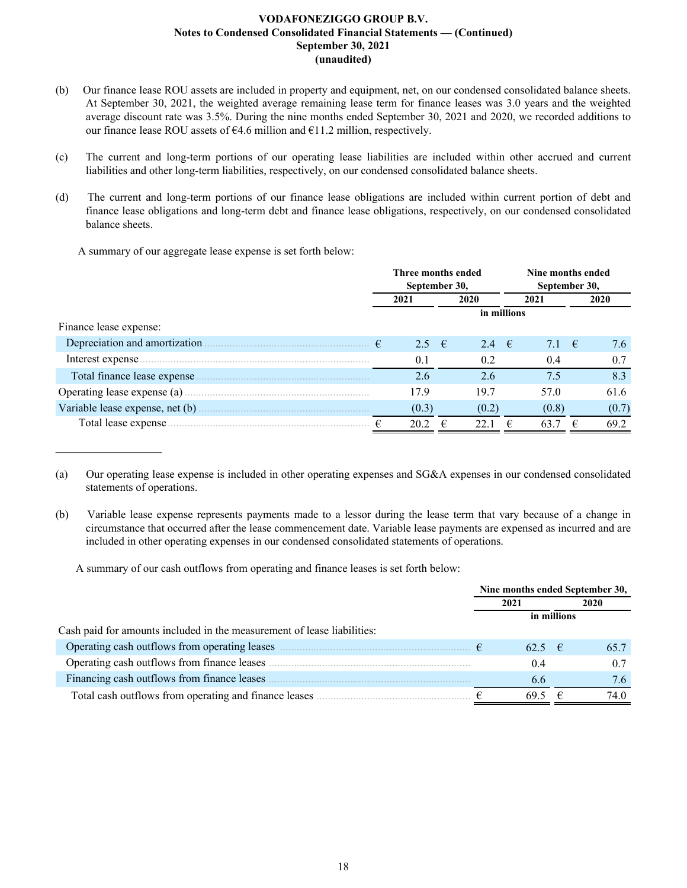- (b) Our finance lease ROU assets are included in property and equipment, net, on our condensed consolidated balance sheets. At September 30, 2021, the weighted average remaining lease term for finance leases was 3.0 years and the weighted average discount rate was 3.5%. During the nine months ended September 30, 2021 and 2020, we recorded additions to our finance lease ROU assets of €4.6 million and €11.2 million, respectively.
- (c) The current and long-term portions of our operating lease liabilities are included within other accrued and current liabilities and other long-term liabilities, respectively, on our condensed consolidated balance sheets.
- (d) The current and long-term portions of our finance lease obligations are included within current portion of debt and finance lease obligations and long-term debt and finance lease obligations, respectively, on our condensed consolidated balance sheets.

A summary of our aggregate lease expense is set forth below:

 $\mathcal{L}_\text{max}$  , where  $\mathcal{L}_\text{max}$  and  $\mathcal{L}_\text{max}$ 

|                                | Three months ended<br>September 30, |                |   |                | Nine months ended<br>September 30, |       |    |       |  |      |
|--------------------------------|-------------------------------------|----------------|---|----------------|------------------------------------|-------|----|-------|--|------|
|                                |                                     | 2021           |   | 2020           |                                    |       |    | 2021  |  | 2020 |
|                                |                                     |                |   | in millions    |                                    |       |    |       |  |      |
| Finance lease expense:         |                                     |                |   |                |                                    |       |    |       |  |      |
| Depreciation and amortization. |                                     | 2.5 $\epsilon$ |   | 2.4 $\epsilon$ |                                    | 7.1   | −€ | 7.6   |  |      |
| Interest expense               |                                     | 0.1            |   | 0.2            |                                    | 0.4   |    | 0.7   |  |      |
| Total finance lease expense.   |                                     | 2.6            |   | 2.6            |                                    | 7.5   |    | 8.3   |  |      |
|                                |                                     | 17.9           |   | 19.7           |                                    | 57.0  |    | 61.6  |  |      |
|                                |                                     | (0.3)          |   | (0.2)          |                                    | (0.8) |    | (0.7) |  |      |
| Total lease expense.           | €                                   | 20.2           | € | 22.1           | €                                  | 63.7  | €  | 69.2  |  |      |

<sup>(</sup>a) Our operating lease expense is included in other operating expenses and SG&A expenses in our condensed consolidated statements of operations.

A summary of our cash outflows from operating and finance leases is set forth below:

|                                                                                                                                                                                                                                      | Nine months ended September 30, |             |   |      |  |  |
|--------------------------------------------------------------------------------------------------------------------------------------------------------------------------------------------------------------------------------------|---------------------------------|-------------|---|------|--|--|
|                                                                                                                                                                                                                                      |                                 | 2021        |   | 2020 |  |  |
|                                                                                                                                                                                                                                      |                                 | in millions |   |      |  |  |
| Cash paid for amounts included in the measurement of lease liabilities:                                                                                                                                                              |                                 |             |   |      |  |  |
| Operating cash outflows from operating leases <i>manufactured in the set of the set of the set of the set of the set of the set of the set of the set of the set of the set of the set of the set of the set of the set of the s</i> |                                 | $62.5$ €    |   |      |  |  |
| Operating cash outflows from finance leases.                                                                                                                                                                                         |                                 | 0.4         |   | 0.7  |  |  |
| Financing cash outflows from finance leases                                                                                                                                                                                          |                                 | 6.6         |   | 7.6  |  |  |
| Total cash outflows from operating and finance leases.                                                                                                                                                                               |                                 | 69.5        | € | 74.0 |  |  |

<sup>(</sup>b) Variable lease expense represents payments made to a lessor during the lease term that vary because of a change in circumstance that occurred after the lease commencement date. Variable lease payments are expensed as incurred and are included in other operating expenses in our condensed consolidated statements of operations.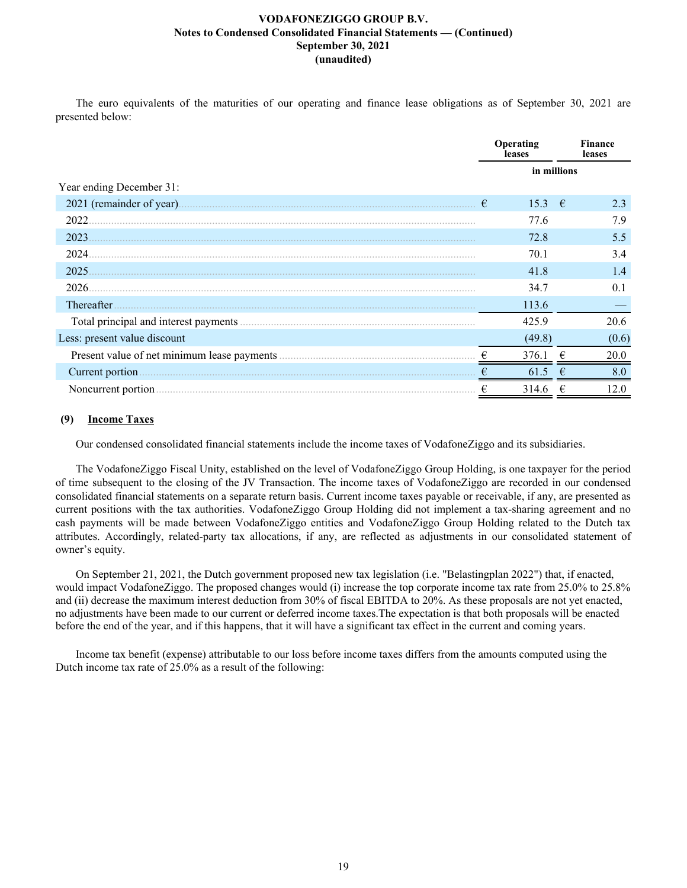The euro equivalents of the maturities of our operating and finance lease obligations as of September 30, 2021 are presented below:

|                                        |             | Operating<br>leases |            | <b>Finance</b><br>leases |
|----------------------------------------|-------------|---------------------|------------|--------------------------|
|                                        | in millions |                     |            |                          |
| Year ending December 31:               |             |                     |            |                          |
| 2021 (remainder of year).              | €           | 15.3                | $\epsilon$ | 2.3                      |
| 2022                                   |             | 77.6                |            | 7.9                      |
| 2023                                   |             | 72.8                |            | 5.5                      |
| 2024.                                  |             | 70.1                |            | 3.4                      |
| 2025                                   |             | 41.8                |            | 1.4                      |
| 2026.                                  |             | 34.7                |            | 0.1                      |
| Thereafter                             |             | 113.6               |            |                          |
| Total principal and interest payments. |             | 425.9               |            | 20.6                     |
| Less: present value discount           |             | (49.8)              |            | (0.6)                    |
|                                        | €           | 376.1               |            | 20.0                     |
| Current portion                        |             | 61.5                | €          | 8.0                      |
| Noncurrent portion.                    |             | 314.6               |            | 12.0                     |

## **(9) Income Taxes**

Our condensed consolidated financial statements include the income taxes of VodafoneZiggo and its subsidiaries.

The VodafoneZiggo Fiscal Unity, established on the level of VodafoneZiggo Group Holding, is one taxpayer for the period of time subsequent to the closing of the JV Transaction. The income taxes of VodafoneZiggo are recorded in our condensed consolidated financial statements on a separate return basis. Current income taxes payable or receivable, if any, are presented as current positions with the tax authorities. VodafoneZiggo Group Holding did not implement a tax-sharing agreement and no cash payments will be made between VodafoneZiggo entities and VodafoneZiggo Group Holding related to the Dutch tax attributes. Accordingly, related-party tax allocations, if any, are reflected as adjustments in our consolidated statement of owner's equity.

On September 21, 2021, the Dutch government proposed new tax legislation (i.e. "Belastingplan 2022") that, if enacted, would impact VodafoneZiggo. The proposed changes would (i) increase the top corporate income tax rate from 25.0% to 25.8% and (ii) decrease the maximum interest deduction from 30% of fiscal EBITDA to 20%. As these proposals are not yet enacted, no adjustments have been made to our current or deferred income taxes.The expectation is that both proposals will be enacted before the end of the year, and if this happens, that it will have a significant tax effect in the current and coming years.

Income tax benefit (expense) attributable to our loss before income taxes differs from the amounts computed using the Dutch income tax rate of 25.0% as a result of the following: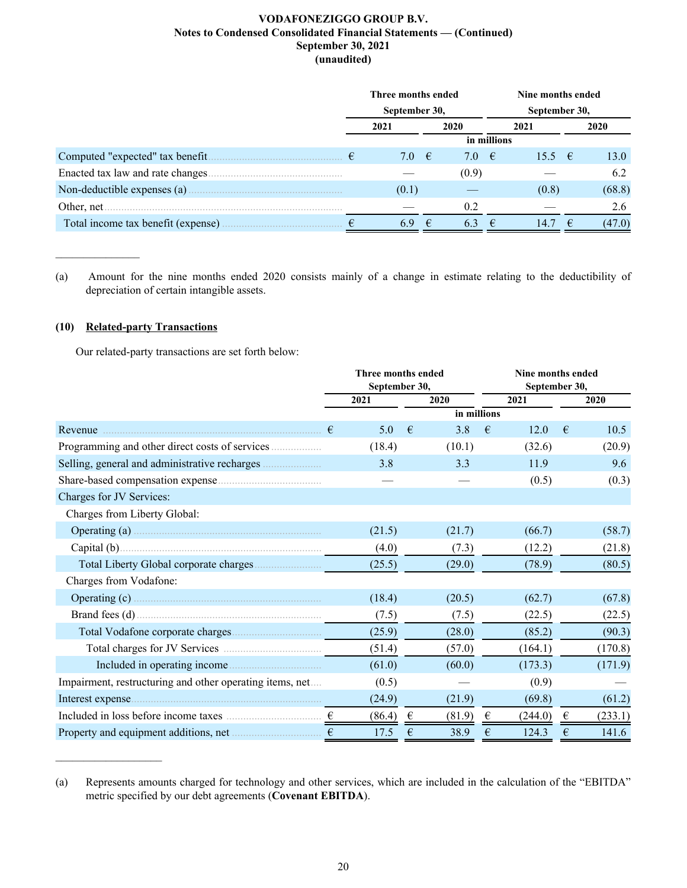|                                    | Three months ended |                |     |                |   | Nine months ended |    |        |  |
|------------------------------------|--------------------|----------------|-----|----------------|---|-------------------|----|--------|--|
|                                    |                    | September 30,  |     |                |   | September 30,     |    |        |  |
|                                    |                    | 2021           |     | 2020           |   | 2021              |    | 2020   |  |
|                                    |                    |                |     | in millions    |   |                   |    |        |  |
| Computed "expected" tax benefit    |                    | 7.0 $\epsilon$ |     | 7.0 $\epsilon$ |   | 15.5 $\epsilon$   |    | 13.0   |  |
| Enacted tax law and rate changes.  |                    |                |     | (0.9)          |   |                   |    | 6.2    |  |
|                                    |                    | (0.1)          |     |                |   | (0.8)             |    | (68.8) |  |
| Other, net                         |                    |                |     | 0.2            |   |                   |    | 2.6    |  |
| Total income tax benefit (expense) |                    | 69             | - € | 6.3            | € | 14.7              | −€ | (47.0) |  |

(a) Amount for the nine months ended 2020 consists mainly of a change in estimate relating to the deductibility of depreciation of certain intangible assets.

## **(10) Related-party Transactions**

 $\mathcal{L}=\mathcal{L}^{\mathcal{L}}$ 

 $\mathcal{L}_\text{max}$  , where  $\mathcal{L}_\text{max}$  and  $\mathcal{L}_\text{max}$ 

Our related-party transactions are set forth below:

|                                                          |               | Three months ended |      |             | Nine months ended |               |            |         |  |  |      |  |  |      |
|----------------------------------------------------------|---------------|--------------------|------|-------------|-------------------|---------------|------------|---------|--|--|------|--|--|------|
|                                                          | September 30, |                    |      |             |                   | September 30, |            |         |  |  |      |  |  |      |
|                                                          |               | 2021               | 2020 |             |                   |               |            |         |  |  | 2021 |  |  | 2020 |
|                                                          |               |                    |      | in millions |                   |               |            |         |  |  |      |  |  |      |
| Revenue                                                  | €             | 5.0                | €    | 3.8         | $\epsilon$        | 12.0          | $\epsilon$ | 10.5    |  |  |      |  |  |      |
|                                                          |               | (18.4)             |      | (10.1)      |                   | (32.6)        |            | (20.9)  |  |  |      |  |  |      |
|                                                          |               | 3.8                |      | 3.3         |                   | 11.9          |            | 9.6     |  |  |      |  |  |      |
|                                                          |               |                    |      |             |                   | (0.5)         |            | (0.3)   |  |  |      |  |  |      |
| Charges for JV Services:                                 |               |                    |      |             |                   |               |            |         |  |  |      |  |  |      |
| Charges from Liberty Global:                             |               |                    |      |             |                   |               |            |         |  |  |      |  |  |      |
| Operating (a) $\ldots$                                   |               | (21.5)             |      | (21.7)      |                   | (66.7)        |            | (58.7)  |  |  |      |  |  |      |
|                                                          |               | (4.0)              |      | (7.3)       |                   | (12.2)        |            | (21.8)  |  |  |      |  |  |      |
|                                                          |               | (25.5)             |      | (29.0)      |                   | (78.9)        |            | (80.5)  |  |  |      |  |  |      |
| Charges from Vodafone:                                   |               |                    |      |             |                   |               |            |         |  |  |      |  |  |      |
|                                                          |               | (18.4)             |      | (20.5)      |                   | (62.7)        |            | (67.8)  |  |  |      |  |  |      |
|                                                          |               | (7.5)              |      | (7.5)       |                   | (22.5)        |            | (22.5)  |  |  |      |  |  |      |
|                                                          |               | (25.9)             |      | (28.0)      |                   | (85.2)        |            | (90.3)  |  |  |      |  |  |      |
|                                                          |               | (51.4)             |      | (57.0)      |                   | (164.1)       |            | (170.8) |  |  |      |  |  |      |
| Included in operating income                             |               | (61.0)             |      | (60.0)      |                   | (173.3)       |            | (171.9) |  |  |      |  |  |      |
| Impairment, restructuring and other operating items, net |               | (0.5)              |      |             |                   | (0.9)         |            |         |  |  |      |  |  |      |
| Interest expense.                                        |               | (24.9)             |      | (21.9)      |                   | (69.8)        |            | (61.2)  |  |  |      |  |  |      |
|                                                          |               | (86.4)             | €    | (81.9)      | €                 | (244.0)       | €          | (233.1) |  |  |      |  |  |      |
|                                                          | €             | 17.5               | €    | 38.9        | €                 | 124.3         | €          | 141.6   |  |  |      |  |  |      |

<sup>(</sup>a) Represents amounts charged for technology and other services, which are included in the calculation of the "EBITDA" metric specified by our debt agreements (**Covenant EBITDA**).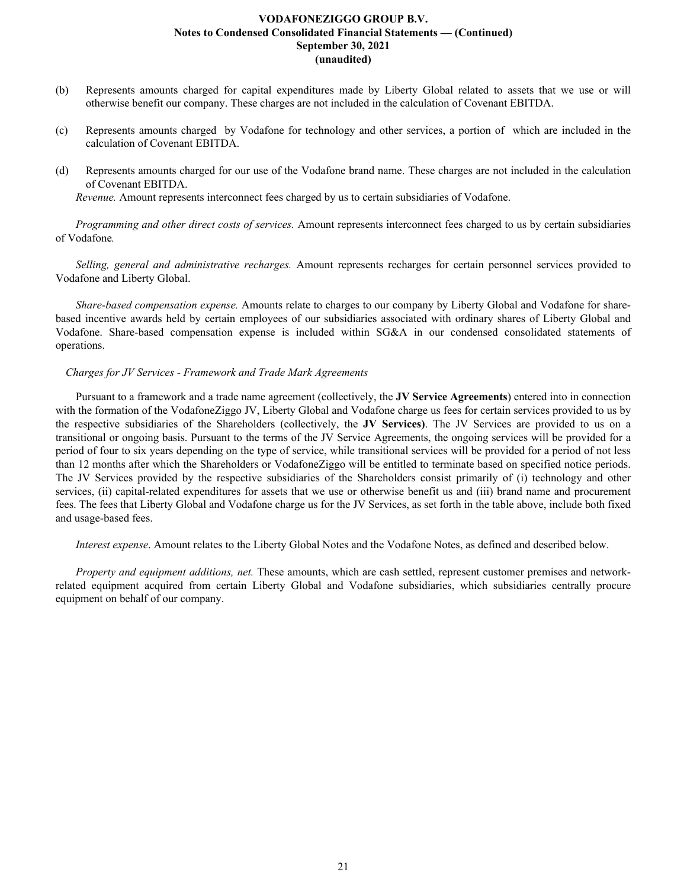- (b) Represents amounts charged for capital expenditures made by Liberty Global related to assets that we use or will otherwise benefit our company. These charges are not included in the calculation of Covenant EBITDA.
- (c) Represents amounts charged by Vodafone for technology and other services, a portion of which are included in the calculation of Covenant EBITDA.
- (d) Represents amounts charged for our use of the Vodafone brand name. These charges are not included in the calculation of Covenant EBITDA.

*Revenue.* Amount represents interconnect fees charged by us to certain subsidiaries of Vodafone.

*Programming and other direct costs of services.* Amount represents interconnect fees charged to us by certain subsidiaries of Vodafone*.*

*Selling, general and administrative recharges.* Amount represents recharges for certain personnel services provided to Vodafone and Liberty Global.

*Share-based compensation expense.* Amounts relate to charges to our company by Liberty Global and Vodafone for sharebased incentive awards held by certain employees of our subsidiaries associated with ordinary shares of Liberty Global and Vodafone. Share-based compensation expense is included within SG&A in our condensed consolidated statements of operations.

#### *Charges for JV Services - Framework and Trade Mark Agreements*

Pursuant to a framework and a trade name agreement (collectively, the **JV Service Agreements**) entered into in connection with the formation of the VodafoneZiggo JV, Liberty Global and Vodafone charge us fees for certain services provided to us by the respective subsidiaries of the Shareholders (collectively, the **JV Services)**. The JV Services are provided to us on a transitional or ongoing basis. Pursuant to the terms of the JV Service Agreements, the ongoing services will be provided for a period of four to six years depending on the type of service, while transitional services will be provided for a period of not less than 12 months after which the Shareholders or VodafoneZiggo will be entitled to terminate based on specified notice periods. The JV Services provided by the respective subsidiaries of the Shareholders consist primarily of (i) technology and other services, (ii) capital-related expenditures for assets that we use or otherwise benefit us and (iii) brand name and procurement fees. The fees that Liberty Global and Vodafone charge us for the JV Services, as set forth in the table above, include both fixed and usage-based fees.

*Interest expense*. Amount relates to the Liberty Global Notes and the Vodafone Notes, as defined and described below.

*Property and equipment additions, net.* These amounts, which are cash settled, represent customer premises and networkrelated equipment acquired from certain Liberty Global and Vodafone subsidiaries, which subsidiaries centrally procure equipment on behalf of our company.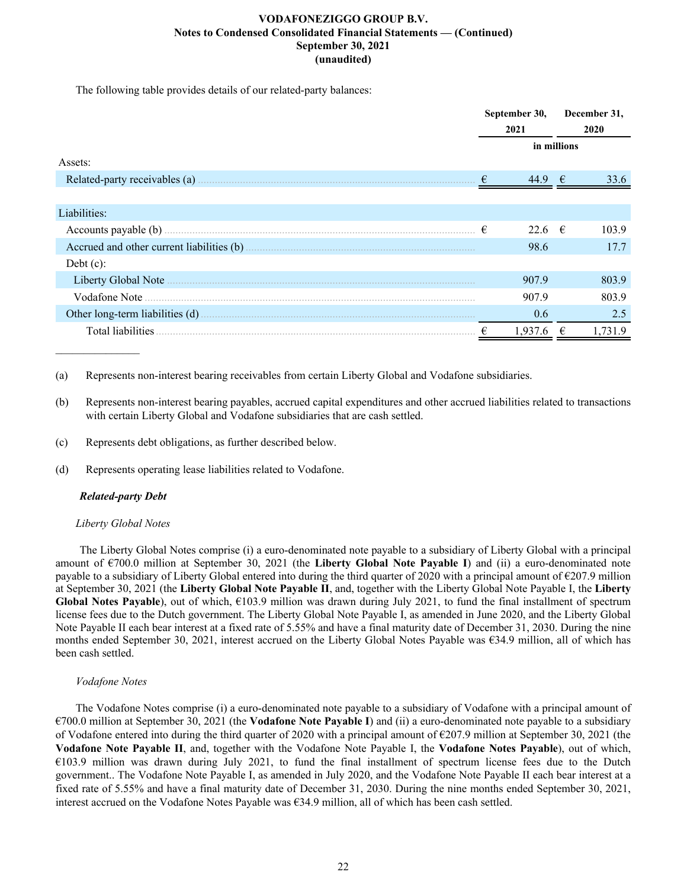The following table provides details of our related-party balances:

|                          |            | September 30,   |             | December 31, |  |
|--------------------------|------------|-----------------|-------------|--------------|--|
|                          |            | 2021            | 2020        |              |  |
|                          |            |                 | in millions |              |  |
| Assets:                  |            |                 |             |              |  |
|                          | $\epsilon$ | 44.9            | $\epsilon$  | 33.6         |  |
|                          |            |                 |             |              |  |
| Liabilities:             |            |                 |             |              |  |
| Accounts payable (b).    | €          | 22.6 $\epsilon$ |             | 103.9        |  |
|                          |            | 98.6            |             | 17.7         |  |
| Debt $(c)$ :             |            |                 |             |              |  |
| Liberty Global Note      |            | 907.9           |             | 803.9        |  |
|                          |            | 907.9           |             | 803.9        |  |
|                          |            | 0.6             |             | 2.5          |  |
| <b>Total liabilities</b> |            | 1.937.6         |             | 1.731.9      |  |

(a) Represents non-interest bearing receivables from certain Liberty Global and Vodafone subsidiaries.

(b) Represents non-interest bearing payables, accrued capital expenditures and other accrued liabilities related to transactions with certain Liberty Global and Vodafone subsidiaries that are cash settled.

- (c) Represents debt obligations, as further described below.
- (d) Represents operating lease liabilities related to Vodafone.

## *Related-party Debt*

## *Liberty Global Notes*

 The Liberty Global Notes comprise (i) a euro-denominated note payable to a subsidiary of Liberty Global with a principal amount of €700.0 million at September 30, 2021 (the **Liberty Global Note Payable I**) and (ii) a euro-denominated note payable to a subsidiary of Liberty Global entered into during the third quarter of 2020 with a principal amount of €207.9 million at September 30, 2021 (the **Liberty Global Note Payable II**, and, together with the Liberty Global Note Payable I, the **Liberty Global Notes Payable**), out of which, €103.9 million was drawn during July 2021, to fund the final installment of spectrum license fees due to the Dutch government. The Liberty Global Note Payable I, as amended in June 2020, and the Liberty Global Note Payable II each bear interest at a fixed rate of 5.55% and have a final maturity date of December 31, 2030. During the nine months ended September 30, 2021, interest accrued on the Liberty Global Notes Payable was €34.9 million, all of which has been cash settled.

## *Vodafone Notes*

The Vodafone Notes comprise (i) a euro-denominated note payable to a subsidiary of Vodafone with a principal amount of €700.0 million at September 30, 2021 (the **Vodafone Note Payable I**) and (ii) a euro-denominated note payable to a subsidiary of Vodafone entered into during the third quarter of 2020 with a principal amount of  $\epsilon$ 207.9 million at September 30, 2021 (the **Vodafone Note Payable II**, and, together with the Vodafone Note Payable I, the **Vodafone Notes Payable**), out of which, €103.9 million was drawn during July 2021, to fund the final installment of spectrum license fees due to the Dutch government.. The Vodafone Note Payable I, as amended in July 2020, and the Vodafone Note Payable II each bear interest at a fixed rate of 5.55% and have a final maturity date of December 31, 2030. During the nine months ended September 30, 2021, interest accrued on the Vodafone Notes Payable was €34.9 million, all of which has been cash settled.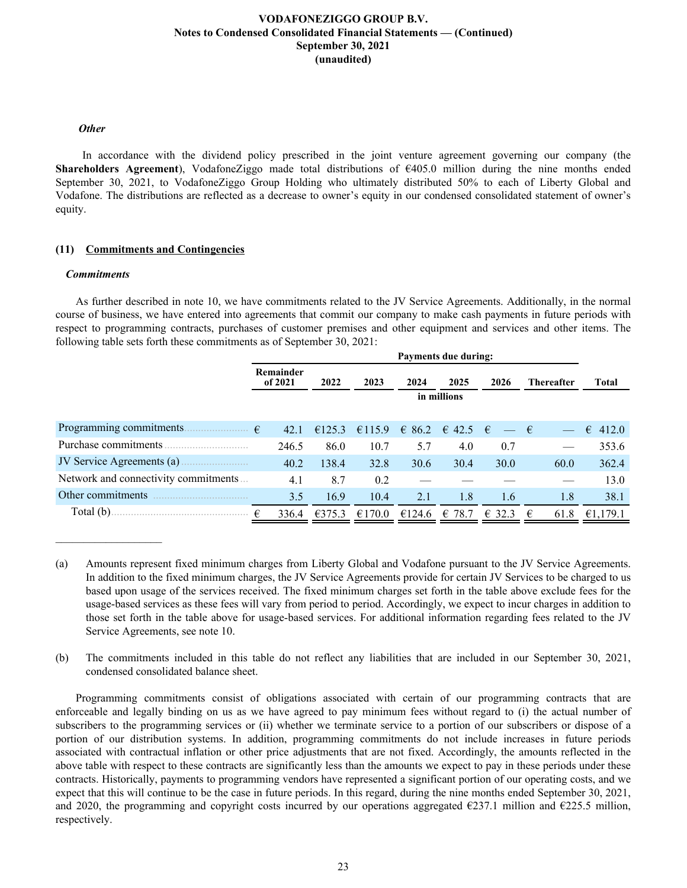## *Other*

 In accordance with the dividend policy prescribed in the joint venture agreement governing our company (the **Shareholders Agreement**), VodafoneZiggo made total distributions of €405.0 million during the nine months ended September 30, 2021, to VodafoneZiggo Group Holding who ultimately distributed 50% to each of Liberty Global and Vodafone. The distributions are reflected as a decrease to owner's equity in our condensed consolidated statement of owner's equity.

## **(11) Commitments and Contingencies**

#### *Commitments*

 $\mathcal{L}_\text{max}$  , where  $\mathcal{L}_\text{max}$  and  $\mathcal{L}_\text{max}$ 

As further described in note 10, we have commitments related to the JV Service Agreements. Additionally, in the normal course of business, we have entered into agreements that commit our company to make cash payments in future periods with respect to programming contracts, purchases of customer premises and other equipment and services and other items. The following table sets forth these commitments as of September 30, 2021:

|                                      | <b>Payments due during:</b> |             |        |        |                             |                 |                   |                  |  |  |  |
|--------------------------------------|-----------------------------|-------------|--------|--------|-----------------------------|-----------------|-------------------|------------------|--|--|--|
|                                      | Remainder<br>of 2021        | 2022        | 2023   | 2024   | 2025                        | 2026            | <b>Thereafter</b> | Total            |  |  |  |
|                                      |                             | in millions |        |        |                             |                 |                   |                  |  |  |  |
| Programming commitments.             | €<br>42.1                   | €125.3      | €115.9 |        | $\in$ 86.2 $\in$ 42.5 $\in$ | $-\epsilon$     |                   | $\epsilon$ 412.0 |  |  |  |
| Purchase commitments                 | 246.5                       | 86.0        | 10.7   | 5.7    | 4.0                         | 0.7             |                   | 353.6            |  |  |  |
|                                      | 40.2                        | 138.4       | 32.8   | 30.6   | 30.4                        | 30.0            | 60.0              | 362.4            |  |  |  |
| Network and connectivity commitments | 4.1                         | 8.7         | 0.2    |        |                             |                 |                   | 13.0             |  |  |  |
| Other commitments                    | 3.5                         | 16.9        | 10.4   | 2.1    | 1.8                         | 1.6             | 1.8               | 38.1             |  |  |  |
| Total $(b)$ .                        | 336.4<br>€                  | €375.3      | €170.0 | €124.6 | € 78.7                      | $\epsilon$ 32.3 | 61.8<br>€         | €1,179.1         |  |  |  |

<sup>(</sup>a) Amounts represent fixed minimum charges from Liberty Global and Vodafone pursuant to the JV Service Agreements. In addition to the fixed minimum charges, the JV Service Agreements provide for certain JV Services to be charged to us based upon usage of the services received. The fixed minimum charges set forth in the table above exclude fees for the usage-based services as these fees will vary from period to period. Accordingly, we expect to incur charges in addition to those set forth in the table above for usage-based services. For additional information regarding fees related to the JV Service Agreements, see note 10.

(b) The commitments included in this table do not reflect any liabilities that are included in our September 30, 2021, condensed consolidated balance sheet.

Programming commitments consist of obligations associated with certain of our programming contracts that are enforceable and legally binding on us as we have agreed to pay minimum fees without regard to (i) the actual number of subscribers to the programming services or (ii) whether we terminate service to a portion of our subscribers or dispose of a portion of our distribution systems. In addition, programming commitments do not include increases in future periods associated with contractual inflation or other price adjustments that are not fixed. Accordingly, the amounts reflected in the above table with respect to these contracts are significantly less than the amounts we expect to pay in these periods under these contracts. Historically, payments to programming vendors have represented a significant portion of our operating costs, and we expect that this will continue to be the case in future periods. In this regard, during the nine months ended September 30, 2021, and 2020, the programming and copyright costs incurred by our operations aggregated  $\epsilon$ 237.1 million and  $\epsilon$ 225.5 million, respectively.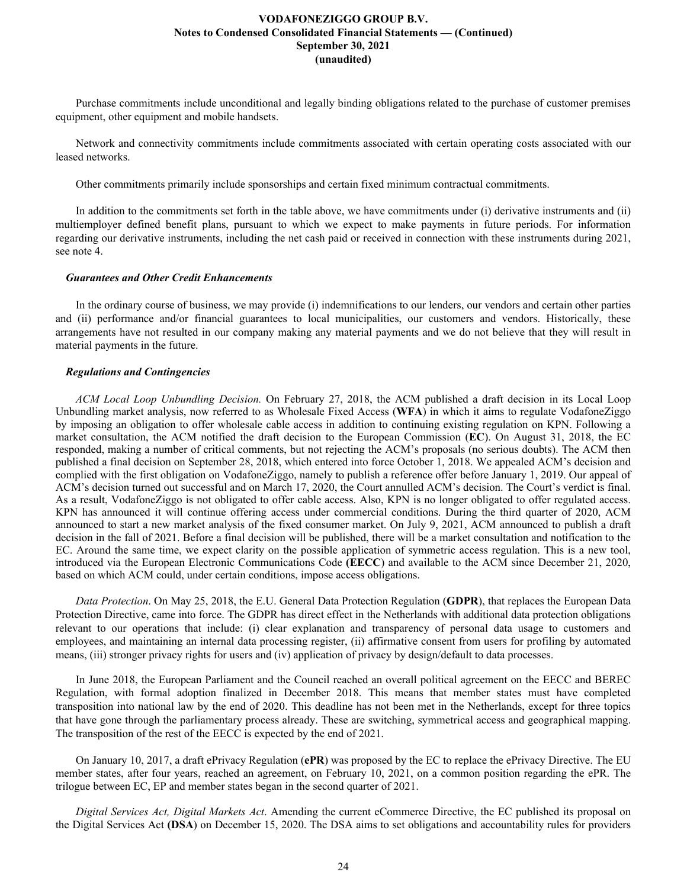Purchase commitments include unconditional and legally binding obligations related to the purchase of customer premises equipment, other equipment and mobile handsets.

Network and connectivity commitments include commitments associated with certain operating costs associated with our leased networks.

Other commitments primarily include sponsorships and certain fixed minimum contractual commitments.

In addition to the commitments set forth in the table above, we have commitments under (i) derivative instruments and (ii) multiemployer defined benefit plans, pursuant to which we expect to make payments in future periods. For information regarding our derivative instruments, including the net cash paid or received in connection with these instruments during 2021, see note 4.

#### *Guarantees and Other Credit Enhancements*

In the ordinary course of business, we may provide (i) indemnifications to our lenders, our vendors and certain other parties and (ii) performance and/or financial guarantees to local municipalities, our customers and vendors. Historically, these arrangements have not resulted in our company making any material payments and we do not believe that they will result in material payments in the future.

#### *Regulations and Contingencies*

*ACM Local Loop Unbundling Decision.* On February 27, 2018, the ACM published a draft decision in its Local Loop Unbundling market analysis, now referred to as Wholesale Fixed Access (**WFA**) in which it aims to regulate VodafoneZiggo by imposing an obligation to offer wholesale cable access in addition to continuing existing regulation on KPN. Following a market consultation, the ACM notified the draft decision to the European Commission (**EC**). On August 31, 2018, the EC responded, making a number of critical comments, but not rejecting the ACM's proposals (no serious doubts). The ACM then published a final decision on September 28, 2018, which entered into force October 1, 2018. We appealed ACM's decision and complied with the first obligation on VodafoneZiggo, namely to publish a reference offer before January 1, 2019. Our appeal of ACM's decision turned out successful and on March 17, 2020, the Court annulled ACM's decision. The Court's verdict is final. As a result, VodafoneZiggo is not obligated to offer cable access. Also, KPN is no longer obligated to offer regulated access. KPN has announced it will continue offering access under commercial conditions. During the third quarter of 2020, ACM announced to start a new market analysis of the fixed consumer market. On July 9, 2021, ACM announced to publish a draft decision in the fall of 2021. Before a final decision will be published, there will be a market consultation and notification to the EC. Around the same time, we expect clarity on the possible application of symmetric access regulation. This is a new tool, introduced via the European Electronic Communications Code **(EECC**) and available to the ACM since December 21, 2020, based on which ACM could, under certain conditions, impose access obligations.

*Data Protection*. On May 25, 2018, the E.U. General Data Protection Regulation (**GDPR**), that replaces the European Data Protection Directive, came into force. The GDPR has direct effect in the Netherlands with additional data protection obligations relevant to our operations that include: (i) clear explanation and transparency of personal data usage to customers and employees, and maintaining an internal data processing register, (ii) affirmative consent from users for profiling by automated means, (iii) stronger privacy rights for users and (iv) application of privacy by design/default to data processes.

In June 2018, the European Parliament and the Council reached an overall political agreement on the EECC and BEREC Regulation, with formal adoption finalized in December 2018. This means that member states must have completed transposition into national law by the end of 2020. This deadline has not been met in the Netherlands, except for three topics that have gone through the parliamentary process already. These are switching, symmetrical access and geographical mapping. The transposition of the rest of the EECC is expected by the end of 2021.

On January 10, 2017, a draft ePrivacy Regulation (**ePR**) was proposed by the EC to replace the ePrivacy Directive. The EU member states, after four years, reached an agreement, on February 10, 2021, on a common position regarding the ePR. The trilogue between EC, EP and member states began in the second quarter of 2021.

*Digital Services Act, Digital Markets Act*. Amending the current eCommerce Directive, the EC published its proposal on the Digital Services Act **(DSA**) on December 15, 2020. The DSA aims to set obligations and accountability rules for providers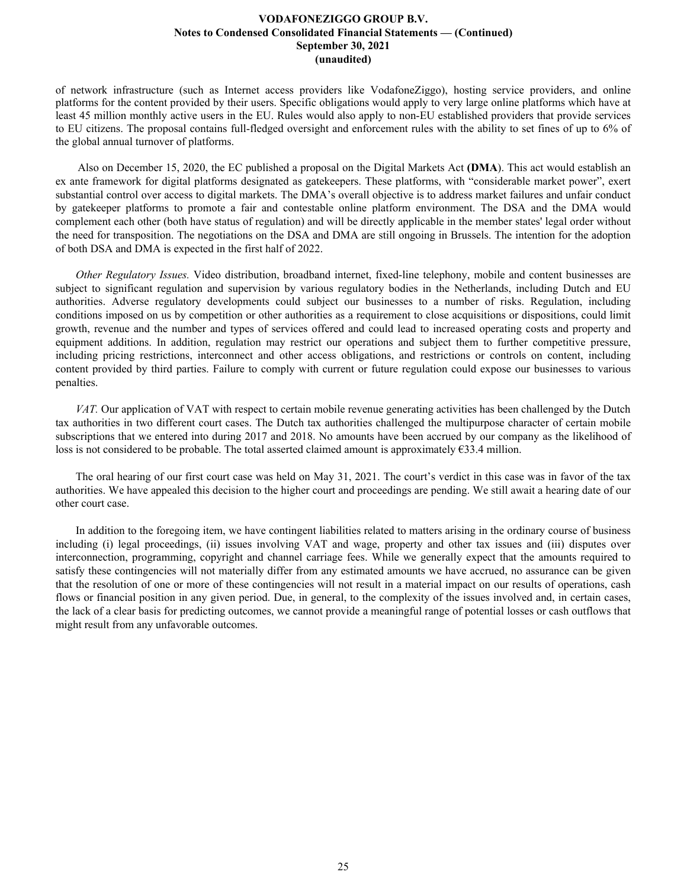of network infrastructure (such as Internet access providers like VodafoneZiggo), hosting service providers, and online platforms for the content provided by their users. Specific obligations would apply to very large online platforms which have at least 45 million monthly active users in the EU. Rules would also apply to non-EU established providers that provide services to EU citizens. The proposal contains full-fledged oversight and enforcement rules with the ability to set fines of up to 6% of the global annual turnover of platforms.

 Also on December 15, 2020, the EC published a proposal on the Digital Markets Act **(DMA**). This act would establish an ex ante framework for digital platforms designated as gatekeepers. These platforms, with "considerable market power", exert substantial control over access to digital markets. The DMA's overall objective is to address market failures and unfair conduct by gatekeeper platforms to promote a fair and contestable online platform environment. The DSA and the DMA would complement each other (both have status of regulation) and will be directly applicable in the member states' legal order without the need for transposition. The negotiations on the DSA and DMA are still ongoing in Brussels. The intention for the adoption of both DSA and DMA is expected in the first half of 2022.

*Other Regulatory Issues.* Video distribution, broadband internet, fixed-line telephony, mobile and content businesses are subject to significant regulation and supervision by various regulatory bodies in the Netherlands, including Dutch and EU authorities. Adverse regulatory developments could subject our businesses to a number of risks. Regulation, including conditions imposed on us by competition or other authorities as a requirement to close acquisitions or dispositions, could limit growth, revenue and the number and types of services offered and could lead to increased operating costs and property and equipment additions. In addition, regulation may restrict our operations and subject them to further competitive pressure, including pricing restrictions, interconnect and other access obligations, and restrictions or controls on content, including content provided by third parties. Failure to comply with current or future regulation could expose our businesses to various penalties.

*VAT.* Our application of VAT with respect to certain mobile revenue generating activities has been challenged by the Dutch tax authorities in two different court cases. The Dutch tax authorities challenged the multipurpose character of certain mobile subscriptions that we entered into during 2017 and 2018. No amounts have been accrued by our company as the likelihood of loss is not considered to be probable. The total asserted claimed amount is approximately  $\epsilon$ 33.4 million.

The oral hearing of our first court case was held on May 31, 2021. The court's verdict in this case was in favor of the tax authorities. We have appealed this decision to the higher court and proceedings are pending. We still await a hearing date of our other court case.

In addition to the foregoing item, we have contingent liabilities related to matters arising in the ordinary course of business including (i) legal proceedings, (ii) issues involving VAT and wage, property and other tax issues and (iii) disputes over interconnection, programming, copyright and channel carriage fees. While we generally expect that the amounts required to satisfy these contingencies will not materially differ from any estimated amounts we have accrued, no assurance can be given that the resolution of one or more of these contingencies will not result in a material impact on our results of operations, cash flows or financial position in any given period. Due, in general, to the complexity of the issues involved and, in certain cases, the lack of a clear basis for predicting outcomes, we cannot provide a meaningful range of potential losses or cash outflows that might result from any unfavorable outcomes.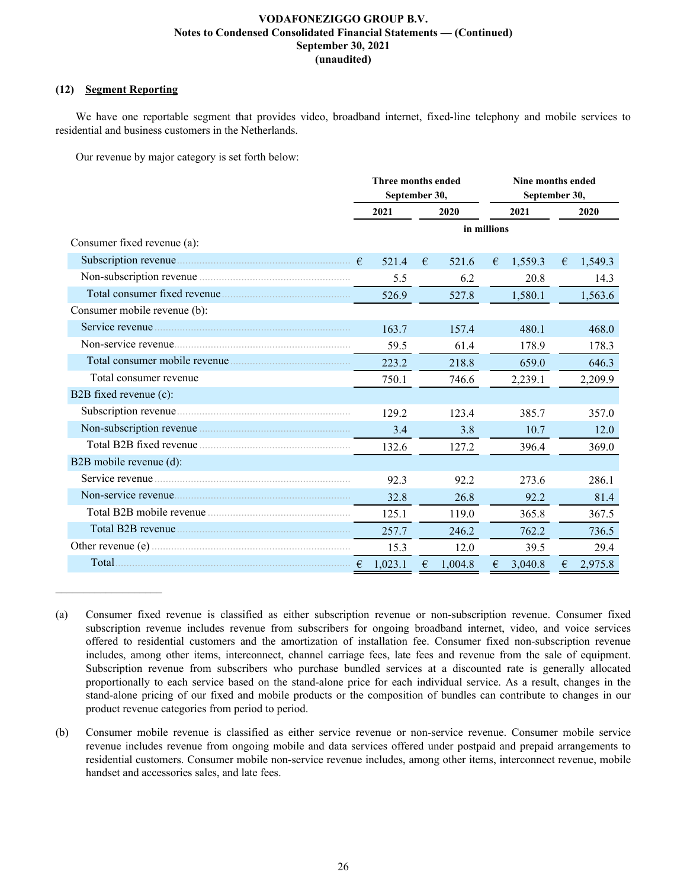## **(12) Segment Reporting**

 $\mathcal{L}_\text{max}$  , where  $\mathcal{L}_\text{max}$  and  $\mathcal{L}_\text{max}$ 

We have one reportable segment that provides video, broadband internet, fixed-line telephony and mobile services to residential and business customers in the Netherlands.

Our revenue by major category is set forth below:

|                              | Three months ended<br>September 30, |         |   | Nine months ended<br>September 30, |      |         |   |         |  |
|------------------------------|-------------------------------------|---------|---|------------------------------------|------|---------|---|---------|--|
|                              |                                     | 2021    |   | 2020                               | 2021 |         |   | 2020    |  |
|                              |                                     |         |   | in millions                        |      |         |   |         |  |
| Consumer fixed revenue (a):  |                                     |         |   |                                    |      |         |   |         |  |
|                              |                                     | 521.4   | € | 521.6                              | €    | 1,559.3 | € | 1,549.3 |  |
|                              |                                     | 5.5     |   | 6.2                                |      | 20.8    |   | 14.3    |  |
|                              |                                     | 526.9   |   | 527.8                              |      | 1,580.1 |   | 1,563.6 |  |
| Consumer mobile revenue (b): |                                     |         |   |                                    |      |         |   |         |  |
|                              |                                     | 163.7   |   | 157.4                              |      | 480.1   |   | 468.0   |  |
|                              |                                     | 59.5    |   | 61.4                               |      | 178.9   |   | 178.3   |  |
|                              |                                     | 223.2   |   | 218.8                              |      | 659.0   |   | 646.3   |  |
| Total consumer revenue       |                                     | 750.1   |   | 746.6                              |      | 2,239.1 |   | 2,209.9 |  |
| B2B fixed revenue (c):       |                                     |         |   |                                    |      |         |   |         |  |
|                              |                                     | 129.2   |   | 1234                               |      | 385.7   |   | 357.0   |  |
|                              |                                     | 3.4     |   | 3.8                                |      | 10.7    |   | 12.0    |  |
| Total B2B fixed revenue      |                                     | 132.6   |   | 127.2                              |      | 396.4   |   | 369.0   |  |
| B2B mobile revenue (d):      |                                     |         |   |                                    |      |         |   |         |  |
| Service revenue              |                                     | 92.3    |   | 92.2                               |      | 273.6   |   | 286.1   |  |
|                              |                                     | 32.8    |   | 26.8                               |      | 92.2    |   | 81.4    |  |
|                              |                                     | 125.1   |   | 119.0                              |      | 365.8   |   | 367.5   |  |
|                              |                                     | 257.7   |   | 246.2                              |      | 762.2   |   | 736.5   |  |
|                              |                                     | 15.3    |   | 12.0                               |      | 39.5    |   | 29.4    |  |
| Total                        | €                                   | 1,023.1 | € | 1,004.8                            | €    | 3,040.8 | € | 2,975.8 |  |

<sup>(</sup>a) Consumer fixed revenue is classified as either subscription revenue or non-subscription revenue. Consumer fixed subscription revenue includes revenue from subscribers for ongoing broadband internet, video, and voice services offered to residential customers and the amortization of installation fee. Consumer fixed non-subscription revenue includes, among other items, interconnect, channel carriage fees, late fees and revenue from the sale of equipment. Subscription revenue from subscribers who purchase bundled services at a discounted rate is generally allocated proportionally to each service based on the stand-alone price for each individual service. As a result, changes in the stand-alone pricing of our fixed and mobile products or the composition of bundles can contribute to changes in our product revenue categories from period to period.

<sup>(</sup>b) Consumer mobile revenue is classified as either service revenue or non-service revenue. Consumer mobile service revenue includes revenue from ongoing mobile and data services offered under postpaid and prepaid arrangements to residential customers. Consumer mobile non-service revenue includes, among other items, interconnect revenue, mobile handset and accessories sales, and late fees.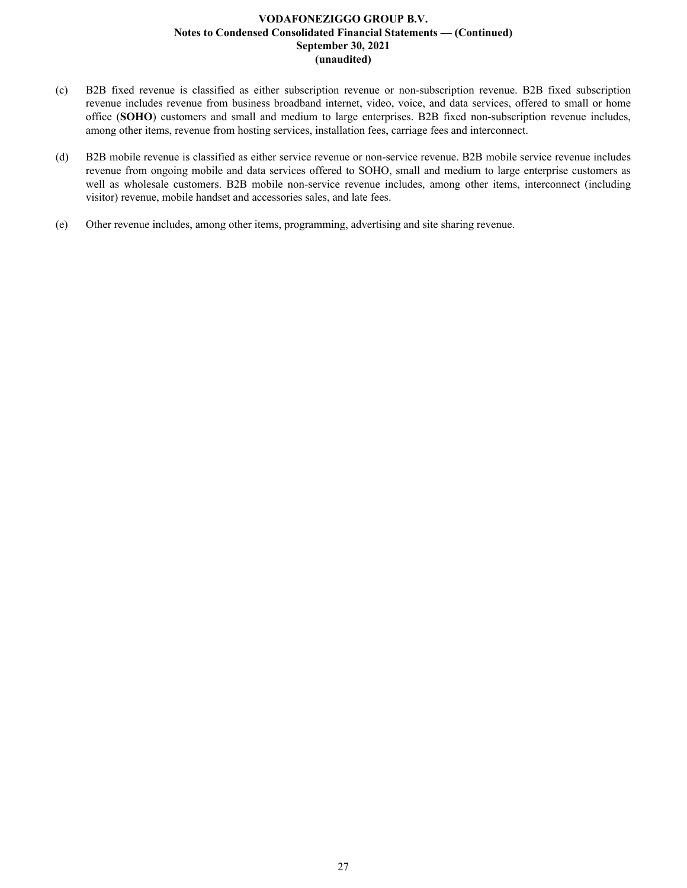- (c) B2B fixed revenue is classified as either subscription revenue or non-subscription revenue. B2B fixed subscription revenue includes revenue from business broadband internet, video, voice, and data services, offered to small or home office (**SOHO**) customers and small and medium to large enterprises. B2B fixed non-subscription revenue includes, among other items, revenue from hosting services, installation fees, carriage fees and interconnect.
- (d) B2B mobile revenue is classified as either service revenue or non-service revenue. B2B mobile service revenue includes revenue from ongoing mobile and data services offered to SOHO, small and medium to large enterprise customers as well as wholesale customers. B2B mobile non-service revenue includes, among other items, interconnect (including visitor) revenue, mobile handset and accessories sales, and late fees.
- (e) Other revenue includes, among other items, programming, advertising and site sharing revenue.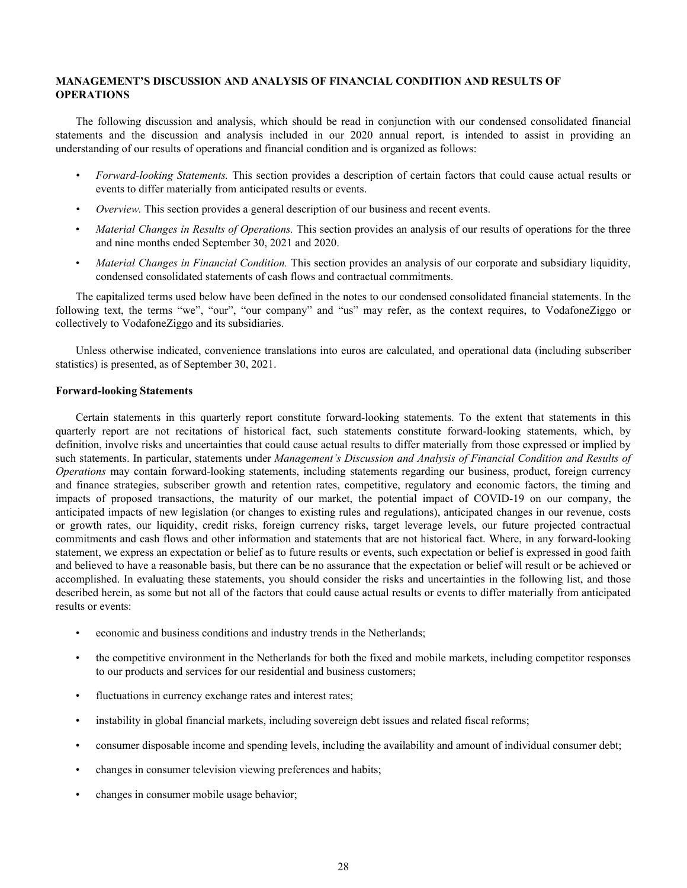## <span id="page-28-0"></span>**MANAGEMENT'S DISCUSSION AND ANALYSIS OF FINANCIAL CONDITION AND RESULTS OF OPERATIONS**

The following discussion and analysis, which should be read in conjunction with our condensed consolidated financial statements and the discussion and analysis included in our 2020 annual report, is intended to assist in providing an understanding of our results of operations and financial condition and is organized as follows:

- *• Forward-looking Statements.* This section provides a description of certain factors that could cause actual results or events to differ materially from anticipated results or events.
- *• Overview.* This section provides a general description of our business and recent events.
- *Material Changes in Results of Operations.* This section provides an analysis of our results of operations for the three and nine months ended September 30, 2021 and 2020.
- *Material Changes in Financial Condition.* This section provides an analysis of our corporate and subsidiary liquidity, condensed consolidated statements of cash flows and contractual commitments.

The capitalized terms used below have been defined in the notes to our condensed consolidated financial statements. In the following text, the terms "we", "our", "our company" and "us" may refer, as the context requires, to VodafoneZiggo or collectively to VodafoneZiggo and its subsidiaries.

Unless otherwise indicated, convenience translations into euros are calculated, and operational data (including subscriber statistics) is presented, as of September 30, 2021.

## **Forward-looking Statements**

Certain statements in this quarterly report constitute forward-looking statements. To the extent that statements in this quarterly report are not recitations of historical fact, such statements constitute forward-looking statements, which, by definition, involve risks and uncertainties that could cause actual results to differ materially from those expressed or implied by such statements. In particular, statements under *Management's Discussion and Analysis of Financial Condition and Results of Operations* may contain forward-looking statements, including statements regarding our business, product, foreign currency and finance strategies, subscriber growth and retention rates, competitive, regulatory and economic factors, the timing and impacts of proposed transactions, the maturity of our market, the potential impact of COVID-19 on our company, the anticipated impacts of new legislation (or changes to existing rules and regulations), anticipated changes in our revenue, costs or growth rates, our liquidity, credit risks, foreign currency risks, target leverage levels, our future projected contractual commitments and cash flows and other information and statements that are not historical fact. Where, in any forward-looking statement, we express an expectation or belief as to future results or events, such expectation or belief is expressed in good faith and believed to have a reasonable basis, but there can be no assurance that the expectation or belief will result or be achieved or accomplished. In evaluating these statements, you should consider the risks and uncertainties in the following list, and those described herein, as some but not all of the factors that could cause actual results or events to differ materially from anticipated results or events:

- economic and business conditions and industry trends in the Netherlands;
- the competitive environment in the Netherlands for both the fixed and mobile markets, including competitor responses to our products and services for our residential and business customers;
- fluctuations in currency exchange rates and interest rates;
- instability in global financial markets, including sovereign debt issues and related fiscal reforms;
- consumer disposable income and spending levels, including the availability and amount of individual consumer debt;
- changes in consumer television viewing preferences and habits;
- changes in consumer mobile usage behavior;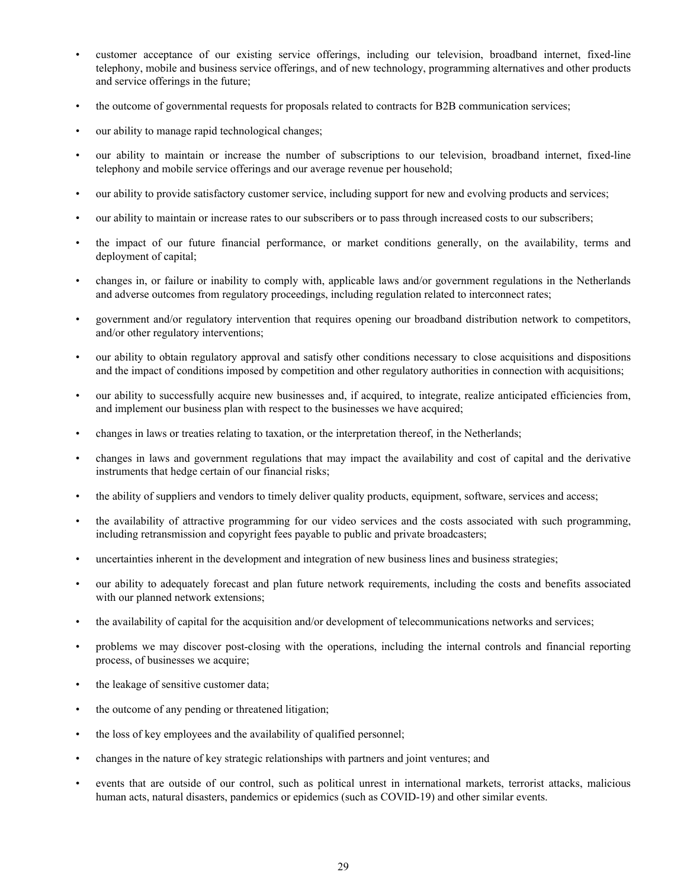- customer acceptance of our existing service offerings, including our television, broadband internet, fixed-line telephony, mobile and business service offerings, and of new technology, programming alternatives and other products and service offerings in the future;
- the outcome of governmental requests for proposals related to contracts for B2B communication services;
- our ability to manage rapid technological changes;
- our ability to maintain or increase the number of subscriptions to our television, broadband internet, fixed-line telephony and mobile service offerings and our average revenue per household;
- our ability to provide satisfactory customer service, including support for new and evolving products and services;
- our ability to maintain or increase rates to our subscribers or to pass through increased costs to our subscribers;
- the impact of our future financial performance, or market conditions generally, on the availability, terms and deployment of capital;
- changes in, or failure or inability to comply with, applicable laws and/or government regulations in the Netherlands and adverse outcomes from regulatory proceedings, including regulation related to interconnect rates;
- government and/or regulatory intervention that requires opening our broadband distribution network to competitors, and/or other regulatory interventions;
- our ability to obtain regulatory approval and satisfy other conditions necessary to close acquisitions and dispositions and the impact of conditions imposed by competition and other regulatory authorities in connection with acquisitions;
- our ability to successfully acquire new businesses and, if acquired, to integrate, realize anticipated efficiencies from, and implement our business plan with respect to the businesses we have acquired;
- changes in laws or treaties relating to taxation, or the interpretation thereof, in the Netherlands;
- changes in laws and government regulations that may impact the availability and cost of capital and the derivative instruments that hedge certain of our financial risks;
- the ability of suppliers and vendors to timely deliver quality products, equipment, software, services and access;
- the availability of attractive programming for our video services and the costs associated with such programming, including retransmission and copyright fees payable to public and private broadcasters;
- uncertainties inherent in the development and integration of new business lines and business strategies;
- our ability to adequately forecast and plan future network requirements, including the costs and benefits associated with our planned network extensions;
- the availability of capital for the acquisition and/or development of telecommunications networks and services;
- problems we may discover post-closing with the operations, including the internal controls and financial reporting process, of businesses we acquire;
- the leakage of sensitive customer data;
- the outcome of any pending or threatened litigation;
- the loss of key employees and the availability of qualified personnel;
- changes in the nature of key strategic relationships with partners and joint ventures; and
- events that are outside of our control, such as political unrest in international markets, terrorist attacks, malicious human acts, natural disasters, pandemics or epidemics (such as COVID-19) and other similar events.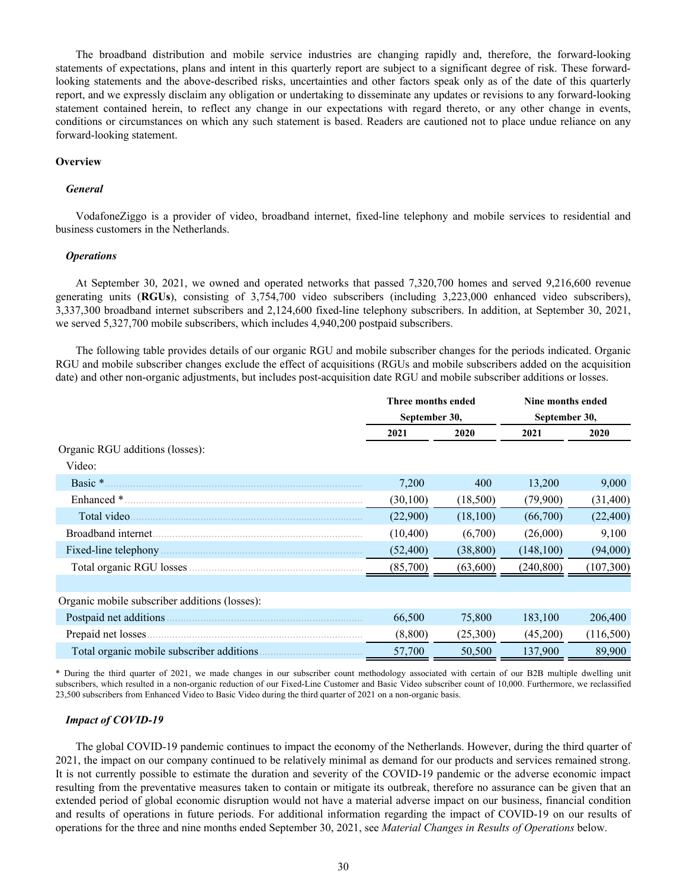The broadband distribution and mobile service industries are changing rapidly and, therefore, the forward-looking statements of expectations, plans and intent in this quarterly report are subject to a significant degree of risk. These forwardlooking statements and the above-described risks, uncertainties and other factors speak only as of the date of this quarterly report, and we expressly disclaim any obligation or undertaking to disseminate any updates or revisions to any forward-looking statement contained herein, to reflect any change in our expectations with regard thereto, or any other change in events, conditions or circumstances on which any such statement is based. Readers are cautioned not to place undue reliance on any forward-looking statement.

#### **Overview**

#### *General*

VodafoneZiggo is a provider of video, broadband internet, fixed-line telephony and mobile services to residential and business customers in the Netherlands.

#### *Operations*

At September 30, 2021, we owned and operated networks that passed 7,320,700 homes and served 9,216,600 revenue generating units (**RGUs**), consisting of 3,754,700 video subscribers (including 3,223,000 enhanced video subscribers), 3,337,300 broadband internet subscribers and 2,124,600 fixed-line telephony subscribers. In addition, at September 30, 2021, we served 5,327,700 mobile subscribers, which includes 4,940,200 postpaid subscribers.

The following table provides details of our organic RGU and mobile subscriber changes for the periods indicated. Organic RGU and mobile subscriber changes exclude the effect of acquisitions (RGUs and mobile subscribers added on the acquisition date) and other non-organic adjustments, but includes post-acquisition date RGU and mobile subscriber additions or losses.

|                                               | Three months ended |           | Nine months ended |           |  |
|-----------------------------------------------|--------------------|-----------|-------------------|-----------|--|
|                                               | September 30,      |           | September 30,     |           |  |
|                                               | 2021               | 2020      | 2021              | 2020      |  |
| Organic RGU additions (losses):               |                    |           |                   |           |  |
| Video:                                        |                    |           |                   |           |  |
| Basic *                                       | 7,200              | 400       | 13,200            | 9,000     |  |
| Enhanced *                                    | (30, 100)          | (18,500)  | (79,900)          | (31, 400) |  |
| Total video.                                  | (22,900)           | (18,100)  | (66,700)          | (22, 400) |  |
| Broadband internet.                           | (10, 400)          | (6,700)   | (26,000)          | 9,100     |  |
| Fixed-line telephony                          | (52, 400)          | (38, 800) | (148, 100)        | (94,000)  |  |
|                                               | (85,700)           | (63,600)  | (240, 800)        | (107,300) |  |
|                                               |                    |           |                   |           |  |
| Organic mobile subscriber additions (losses): |                    |           |                   |           |  |
| Postpaid net additions.                       | 66,500             | 75,800    | 183,100           | 206,400   |  |
| Prepaid net losses.                           | (8,800)            | (25,300)  | (45,200)          | (116,500) |  |
| Total organic mobile subscriber additions.    | 57,700             | 50,500    | 137,900           | 89,900    |  |

\* During the third quarter of 2021, we made changes in our subscriber count methodology associated with certain of our B2B multiple dwelling unit subscribers, which resulted in a non-organic reduction of our Fixed-Line Customer and Basic Video subscriber count of 10,000. Furthermore, we reclassified 23,500 subscribers from Enhanced Video to Basic Video during the third quarter of 2021 on a non-organic basis.

#### *Impact of COVID-19*

The global COVID-19 pandemic continues to impact the economy of the Netherlands. However, during the third quarter of 2021, the impact on our company continued to be relatively minimal as demand for our products and services remained strong. It is not currently possible to estimate the duration and severity of the COVID-19 pandemic or the adverse economic impact resulting from the preventative measures taken to contain or mitigate its outbreak, therefore no assurance can be given that an extended period of global economic disruption would not have a material adverse impact on our business, financial condition and results of operations in future periods. For additional information regarding the impact of COVID-19 on our results of operations for the three and nine months ended September 30, 2021, see *Material Changes in Results of Operations* below.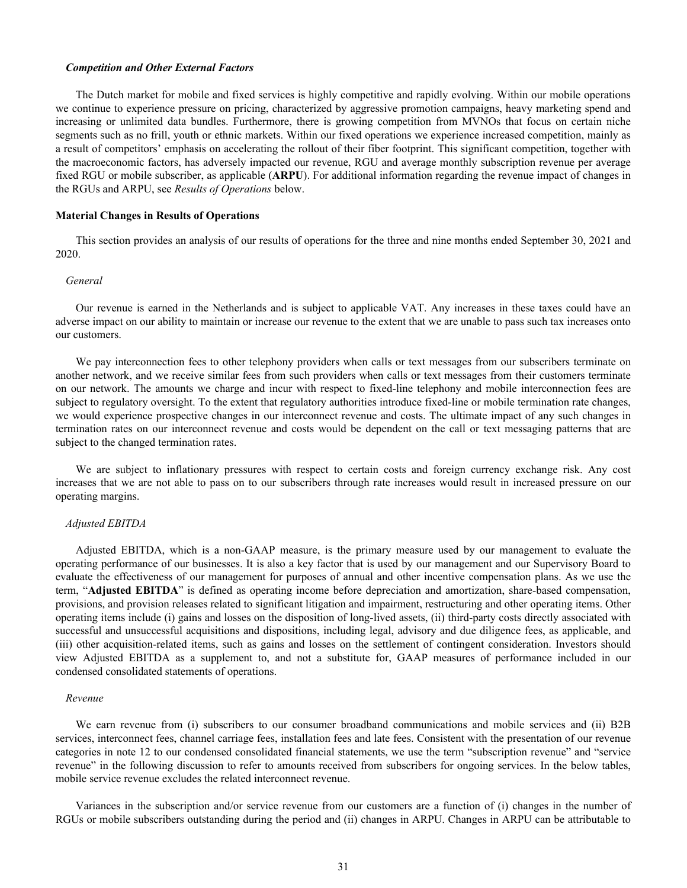#### *Competition and Other External Factors*

The Dutch market for mobile and fixed services is highly competitive and rapidly evolving. Within our mobile operations we continue to experience pressure on pricing, characterized by aggressive promotion campaigns, heavy marketing spend and increasing or unlimited data bundles. Furthermore, there is growing competition from MVNOs that focus on certain niche segments such as no frill, youth or ethnic markets. Within our fixed operations we experience increased competition, mainly as a result of competitors' emphasis on accelerating the rollout of their fiber footprint. This significant competition, together with the macroeconomic factors, has adversely impacted our revenue, RGU and average monthly subscription revenue per average fixed RGU or mobile subscriber, as applicable (**ARPU**). For additional information regarding the revenue impact of changes in the RGUs and ARPU, see *Results of Operations* below.

#### **Material Changes in Results of Operations**

This section provides an analysis of our results of operations for the three and nine months ended September 30, 2021 and 2020.

#### *General*

Our revenue is earned in the Netherlands and is subject to applicable VAT. Any increases in these taxes could have an adverse impact on our ability to maintain or increase our revenue to the extent that we are unable to pass such tax increases onto our customers.

We pay interconnection fees to other telephony providers when calls or text messages from our subscribers terminate on another network, and we receive similar fees from such providers when calls or text messages from their customers terminate on our network. The amounts we charge and incur with respect to fixed-line telephony and mobile interconnection fees are subject to regulatory oversight. To the extent that regulatory authorities introduce fixed-line or mobile termination rate changes, we would experience prospective changes in our interconnect revenue and costs. The ultimate impact of any such changes in termination rates on our interconnect revenue and costs would be dependent on the call or text messaging patterns that are subject to the changed termination rates.

We are subject to inflationary pressures with respect to certain costs and foreign currency exchange risk. Any cost increases that we are not able to pass on to our subscribers through rate increases would result in increased pressure on our operating margins.

#### *Adjusted EBITDA*

Adjusted EBITDA, which is a non-GAAP measure, is the primary measure used by our management to evaluate the operating performance of our businesses. It is also a key factor that is used by our management and our Supervisory Board to evaluate the effectiveness of our management for purposes of annual and other incentive compensation plans. As we use the term, "**Adjusted EBITDA**" is defined as operating income before depreciation and amortization, share-based compensation, provisions, and provision releases related to significant litigation and impairment, restructuring and other operating items. Other operating items include (i) gains and losses on the disposition of long-lived assets, (ii) third-party costs directly associated with successful and unsuccessful acquisitions and dispositions, including legal, advisory and due diligence fees, as applicable, and (iii) other acquisition-related items, such as gains and losses on the settlement of contingent consideration. Investors should view Adjusted EBITDA as a supplement to, and not a substitute for, GAAP measures of performance included in our condensed consolidated statements of operations.

#### *Revenue*

We earn revenue from (i) subscribers to our consumer broadband communications and mobile services and (ii) B2B services, interconnect fees, channel carriage fees, installation fees and late fees. Consistent with the presentation of our revenue categories in note 12 to our condensed consolidated financial statements, we use the term "subscription revenue" and "service revenue" in the following discussion to refer to amounts received from subscribers for ongoing services. In the below tables, mobile service revenue excludes the related interconnect revenue.

Variances in the subscription and/or service revenue from our customers are a function of (i) changes in the number of RGUs or mobile subscribers outstanding during the period and (ii) changes in ARPU. Changes in ARPU can be attributable to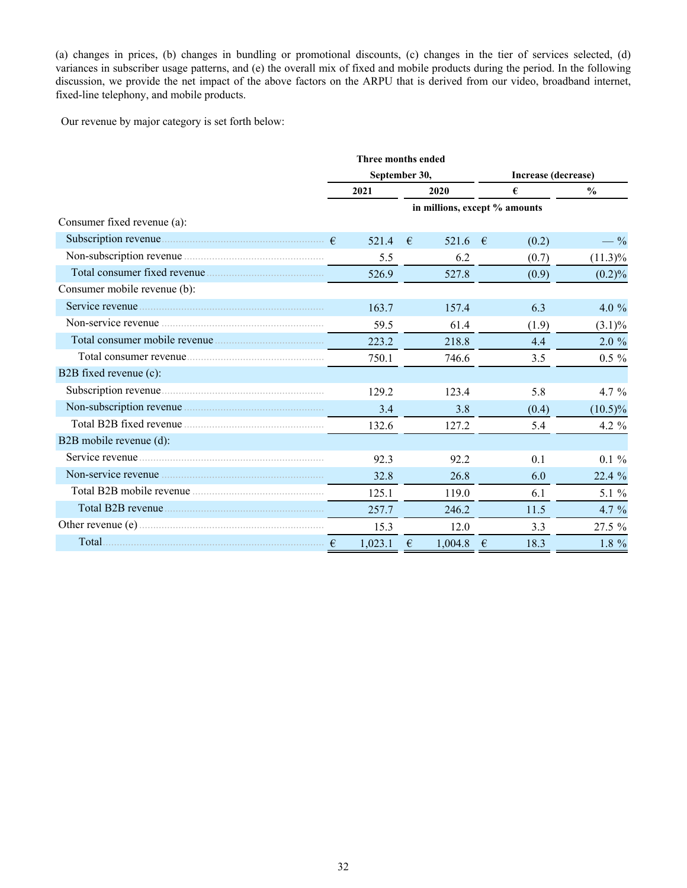(a) changes in prices, (b) changes in bundling or promotional discounts, (c) changes in the tier of services selected, (d) variances in subscriber usage patterns, and (e) the overall mix of fixed and mobile products during the period. In the following discussion, we provide the net impact of the above factors on the ARPU that is derived from our video, broadband internet, fixed-line telephony, and mobile products.

Our revenue by major category is set forth below:

|                              |         | Three months ended |                               |                     |  |  |  |
|------------------------------|---------|--------------------|-------------------------------|---------------------|--|--|--|
|                              |         | September 30,      |                               | Increase (decrease) |  |  |  |
|                              | 2021    | 2020               | €                             | $\frac{0}{0}$       |  |  |  |
|                              |         |                    | in millions, except % amounts |                     |  |  |  |
| Consumer fixed revenue (a):  |         |                    |                               |                     |  |  |  |
|                              | 521.4   | €<br>521.6         | $-\epsilon$<br>(0.2)          | $-$ %               |  |  |  |
|                              | 5.5     | 6.2                | (0.7)                         | $(11.3)\%$          |  |  |  |
|                              | 526.9   | 527.8              | (0.9)                         | $(0.2)\%$           |  |  |  |
| Consumer mobile revenue (b): |         |                    |                               |                     |  |  |  |
|                              | 163.7   | 157.4              | 6.3                           | 4.0 $%$             |  |  |  |
|                              | 59.5    | 61.4               | (1.9)                         | $(3.1)\%$           |  |  |  |
|                              | 223.2   | 218.8              | 4.4                           | $2.0 \%$            |  |  |  |
|                              | 750.1   | 746.6              | 3.5                           | $0.5 \%$            |  |  |  |
| B2B fixed revenue (c):       |         |                    |                               |                     |  |  |  |
|                              | 129.2   | 123.4              | 5.8                           | 4.7 $%$             |  |  |  |
|                              | 3.4     | 3.8                | (0.4)                         | $(10.5)\%$          |  |  |  |
|                              | 132.6   | 127.2              | 5.4                           | 4.2 $%$             |  |  |  |
| B2B mobile revenue (d):      |         |                    |                               |                     |  |  |  |
|                              | 92.3    | 92.2               | 0.1                           | $0.1 \%$            |  |  |  |
|                              | 32.8    | 26.8               | 6.0                           | 22.4 %              |  |  |  |
|                              | 125.1   | 119.0              | 6.1                           | 5.1 %               |  |  |  |
|                              | 257.7   | 246.2              | 11.5                          | 4.7 $%$             |  |  |  |
|                              | 15.3    | 12.0               | 3.3                           | $27.5 \%$           |  |  |  |
| Total $\epsilon$             | 1,023.1 | €<br>1,004.8       | $\epsilon$<br>18.3            | $1.8 \%$            |  |  |  |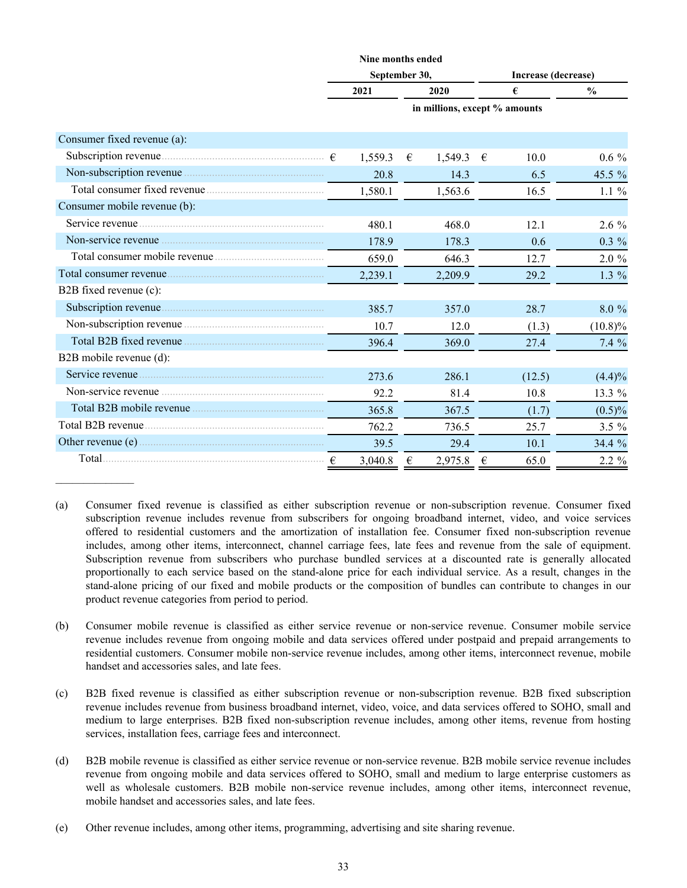|                              |            | Nine months ended |            |                               |   |        |                     |  |  |
|------------------------------|------------|-------------------|------------|-------------------------------|---|--------|---------------------|--|--|
|                              |            | September 30,     |            |                               |   |        | Increase (decrease) |  |  |
|                              |            | 2021              |            | 2020                          |   | €      | $\frac{0}{0}$       |  |  |
|                              |            |                   |            | in millions, except % amounts |   |        |                     |  |  |
| Consumer fixed revenue (a):  |            |                   |            |                               |   |        |                     |  |  |
|                              |            | 1,559.3           | €          | 1,549.3                       | € | 10.0   | $0.6\%$             |  |  |
|                              |            | 20.8              |            | 14.3                          |   | 6.5    | 45.5 %              |  |  |
|                              |            | 1,580.1           |            | 1,563.6                       |   | 16.5   | $1.1\%$             |  |  |
| Consumer mobile revenue (b): |            |                   |            |                               |   |        |                     |  |  |
|                              |            | 480.1             |            | 468.0                         |   | 12.1   | $2.6\%$             |  |  |
| Non-service revenue          |            | 178.9             |            | 178.3                         |   | 0.6    | $0.3 \%$            |  |  |
|                              |            | 659.0             |            | 646.3                         |   | 12.7   | $2.0 \%$            |  |  |
|                              |            | 2,239.1           |            | 2,209.9                       |   | 29.2   | $1.3\%$             |  |  |
| B2B fixed revenue (c):       |            |                   |            |                               |   |        |                     |  |  |
|                              |            | 385.7             |            | 357.0                         |   | 28.7   | $8.0\%$             |  |  |
|                              |            | 10.7              |            | 12.0                          |   | (1.3)  | $(10.8)\%$          |  |  |
|                              |            | 396.4             |            | 369.0                         |   | 27.4   | 7.4%                |  |  |
| B2B mobile revenue (d):      |            |                   |            |                               |   |        |                     |  |  |
|                              |            | 273.6             |            | 286.1                         |   | (12.5) | (4.4)%              |  |  |
| Non-service revenue          |            | 92.2              |            | 81.4                          |   | 10.8   | 13.3 %              |  |  |
|                              |            | 365.8             |            | 367.5                         |   | (1.7)  | $(0.5)\%$           |  |  |
|                              |            | 762.2             |            | 736.5                         |   | 25.7   | $3.5 \%$            |  |  |
|                              |            | 39.5              |            | 29.4                          |   | 10.1   | 34.4 %              |  |  |
|                              | $\epsilon$ | 3,040.8           | $\epsilon$ | 2,975.8                       | € | 65.0   | $2.2 \%$            |  |  |

<sup>(</sup>a) Consumer fixed revenue is classified as either subscription revenue or non-subscription revenue. Consumer fixed subscription revenue includes revenue from subscribers for ongoing broadband internet, video, and voice services offered to residential customers and the amortization of installation fee. Consumer fixed non-subscription revenue includes, among other items, interconnect, channel carriage fees, late fees and revenue from the sale of equipment. Subscription revenue from subscribers who purchase bundled services at a discounted rate is generally allocated proportionally to each service based on the stand-alone price for each individual service. As a result, changes in the stand-alone pricing of our fixed and mobile products or the composition of bundles can contribute to changes in our product revenue categories from period to period.

- (b) Consumer mobile revenue is classified as either service revenue or non-service revenue. Consumer mobile service revenue includes revenue from ongoing mobile and data services offered under postpaid and prepaid arrangements to residential customers. Consumer mobile non-service revenue includes, among other items, interconnect revenue, mobile handset and accessories sales, and late fees.
- (c) B2B fixed revenue is classified as either subscription revenue or non-subscription revenue. B2B fixed subscription revenue includes revenue from business broadband internet, video, voice, and data services offered to SOHO, small and medium to large enterprises. B2B fixed non-subscription revenue includes, among other items, revenue from hosting services, installation fees, carriage fees and interconnect.
- (d) B2B mobile revenue is classified as either service revenue or non-service revenue. B2B mobile service revenue includes revenue from ongoing mobile and data services offered to SOHO, small and medium to large enterprise customers as well as wholesale customers. B2B mobile non-service revenue includes, among other items, interconnect revenue, mobile handset and accessories sales, and late fees.
- (e) Other revenue includes, among other items, programming, advertising and site sharing revenue.

 $\frac{1}{2}$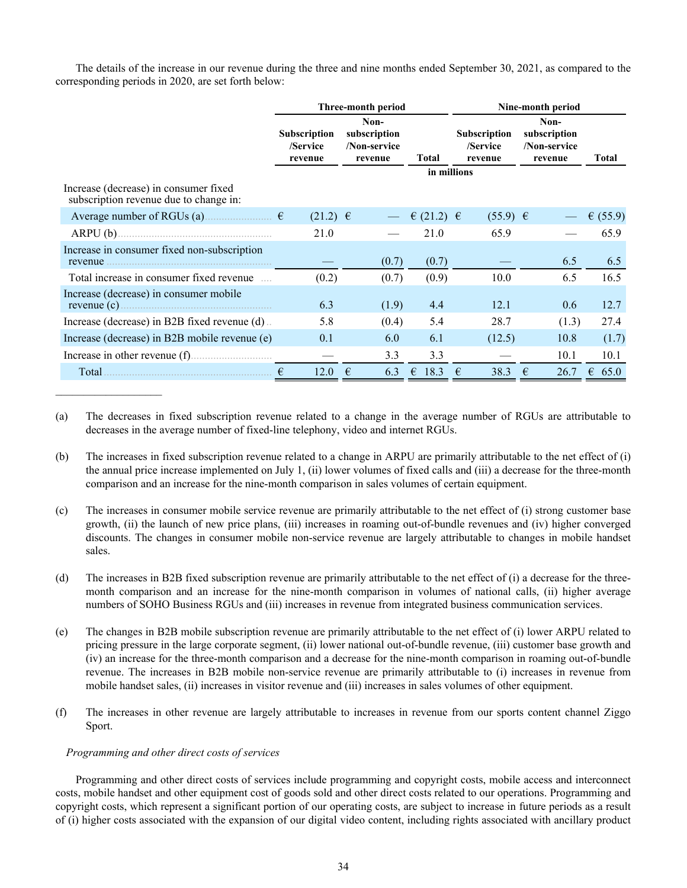The details of the increase in our revenue during the three and nine months ended September 30, 2021, as compared to the corresponding periods in 2020, are set forth below:

|                                                                                 |                                            | Three-month period                                              |                    | Nine-month period                   |                                                 |            |  |  |  |  |
|---------------------------------------------------------------------------------|--------------------------------------------|-----------------------------------------------------------------|--------------------|-------------------------------------|-------------------------------------------------|------------|--|--|--|--|
|                                                                                 | <b>Subscription</b><br>/Service<br>revenue | Non-<br>subscription<br>/Non-service<br><b>Total</b><br>revenue |                    | Subscription<br>/Service<br>revenue | Non-<br>subscription<br>/Non-service<br>revenue | Total      |  |  |  |  |
| Increase (decrease) in consumer fixed<br>subscription revenue due to change in: |                                            |                                                                 |                    | in millions                         |                                                 |            |  |  |  |  |
| Average number of RGUs (a) $\qquad \qquad$ $\in$                                | $(21.2) \t∈$                               |                                                                 | € (21.2) $∈$       | $(55.9) \in$                        |                                                 | € $(55.9)$ |  |  |  |  |
|                                                                                 | 21.0                                       |                                                                 | 21.0               | 65.9                                |                                                 | 65.9       |  |  |  |  |
| Increase in consumer fixed non-subscription<br>revenue                          |                                            | (0.7)                                                           | (0.7)              |                                     | 6.5                                             | 6.5        |  |  |  |  |
| Total increase in consumer fixed revenue                                        | (0.2)                                      | (0.7)                                                           | (0.9)              | 10.0                                | 6.5                                             | 16.5       |  |  |  |  |
| Increase (decrease) in consumer mobile                                          | 6.3                                        | (1.9)                                                           | 4.4                | 12.1                                | 0.6                                             | 12.7       |  |  |  |  |
| Increase (decrease) in B2B fixed revenue (d).                                   | 5.8                                        | (0.4)                                                           | 5.4                | 28.7                                | (1.3)                                           | 27.4       |  |  |  |  |
| Increase (decrease) in B2B mobile revenue (e)                                   | 0.1                                        | 6.0                                                             | 6.1                | (12.5)                              | 10.8                                            | (1.7)      |  |  |  |  |
|                                                                                 |                                            | 3.3                                                             | 3.3                |                                     | 10.1                                            | 10.1       |  |  |  |  |
| Total                                                                           | 12.0                                       | €<br>6.3                                                        | 18.3<br>$\epsilon$ | 38.3<br>€                           | €<br>26.7                                       | €<br>65.0  |  |  |  |  |

- (a) The decreases in fixed subscription revenue related to a change in the average number of RGUs are attributable to decreases in the average number of fixed-line telephony, video and internet RGUs.
- (b) The increases in fixed subscription revenue related to a change in ARPU are primarily attributable to the net effect of (i) the annual price increase implemented on July 1, (ii) lower volumes of fixed calls and (iii) a decrease for the three-month comparison and an increase for the nine-month comparison in sales volumes of certain equipment.
- (c) The increases in consumer mobile service revenue are primarily attributable to the net effect of (i) strong customer base growth, (ii) the launch of new price plans, (iii) increases in roaming out-of-bundle revenues and (iv) higher converged discounts. The changes in consumer mobile non-service revenue are largely attributable to changes in mobile handset sales.
- (d) The increases in B2B fixed subscription revenue are primarily attributable to the net effect of (i) a decrease for the threemonth comparison and an increase for the nine-month comparison in volumes of national calls, (ii) higher average numbers of SOHO Business RGUs and (iii) increases in revenue from integrated business communication services.
- (e) The changes in B2B mobile subscription revenue are primarily attributable to the net effect of (i) lower ARPU related to pricing pressure in the large corporate segment, (ii) lower national out-of-bundle revenue, (iii) customer base growth and (iv) an increase for the three-month comparison and a decrease for the nine-month comparison in roaming out-of-bundle revenue. The increases in B2B mobile non-service revenue are primarily attributable to (i) increases in revenue from mobile handset sales, (ii) increases in visitor revenue and (iii) increases in sales volumes of other equipment.
- (f) The increases in other revenue are largely attributable to increases in revenue from our sports content channel Ziggo Sport.

## *Programming and other direct costs of services*

Programming and other direct costs of services include programming and copyright costs, mobile access and interconnect costs, mobile handset and other equipment cost of goods sold and other direct costs related to our operations. Programming and copyright costs, which represent a significant portion of our operating costs, are subject to increase in future periods as a result of (i) higher costs associated with the expansion of our digital video content, including rights associated with ancillary product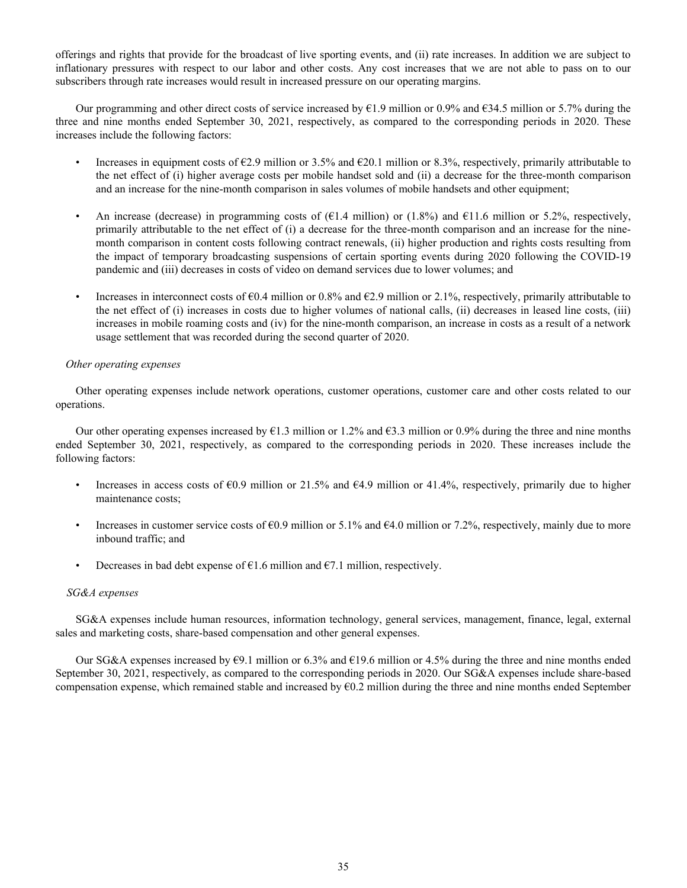offerings and rights that provide for the broadcast of live sporting events, and (ii) rate increases. In addition we are subject to inflationary pressures with respect to our labor and other costs. Any cost increases that we are not able to pass on to our subscribers through rate increases would result in increased pressure on our operating margins.

Our programming and other direct costs of service increased by  $\epsilon$ 1.9 million or 0.9% and  $\epsilon$ 34.5 million or 5.7% during the three and nine months ended September 30, 2021, respectively, as compared to the corresponding periods in 2020. These increases include the following factors:

- Increases in equipment costs of  $\epsilon$ 2.9 million or 3.5% and  $\epsilon$ 20.1 million or 8.3%, respectively, primarily attributable to the net effect of (i) higher average costs per mobile handset sold and (ii) a decrease for the three-month comparison and an increase for the nine-month comparison in sales volumes of mobile handsets and other equipment;
- An increase (decrease) in programming costs of ( $\epsilon$ 1.4 million) or (1.8%) and  $\epsilon$ 11.6 million or 5.2%, respectively, primarily attributable to the net effect of (i) a decrease for the three-month comparison and an increase for the ninemonth comparison in content costs following contract renewals, (ii) higher production and rights costs resulting from the impact of temporary broadcasting suspensions of certain sporting events during 2020 following the COVID-19 pandemic and (iii) decreases in costs of video on demand services due to lower volumes; and
- Increases in interconnect costs of  $\epsilon 0.4$  million or 0.8% and  $\epsilon 2.9$  million or 2.1%, respectively, primarily attributable to the net effect of (i) increases in costs due to higher volumes of national calls, (ii) decreases in leased line costs, (iii) increases in mobile roaming costs and (iv) for the nine-month comparison, an increase in costs as a result of a network usage settlement that was recorded during the second quarter of 2020.

## *Other operating expenses*

Other operating expenses include network operations, customer operations, customer care and other costs related to our operations.

Our other operating expenses increased by  $\epsilon$ 1.3 million or 1.2% and  $\epsilon$ 3.3 million or 0.9% during the three and nine months ended September 30, 2021, respectively, as compared to the corresponding periods in 2020. These increases include the following factors:

- Increases in access costs of  $\epsilon 0.9$  million or 21.5% and  $\epsilon 4.9$  million or 41.4%, respectively, primarily due to higher maintenance costs;
- Increases in customer service costs of  $\epsilon$ 0.9 million or 5.1% and  $\epsilon$ 4.0 million or 7.2%, respectively, mainly due to more inbound traffic; and
- Decreases in bad debt expense of  $\epsilon$ 1.6 million and  $\epsilon$ 7.1 million, respectively.

## *SG&A expenses*

SG&A expenses include human resources, information technology, general services, management, finance, legal, external sales and marketing costs, share-based compensation and other general expenses.

Our SG&A expenses increased by  $\epsilon$ 9.1 million or 6.3% and  $\epsilon$ 19.6 million or 4.5% during the three and nine months ended September 30, 2021, respectively, as compared to the corresponding periods in 2020. Our SG&A expenses include share-based compensation expense, which remained stable and increased by  $60.2$  million during the three and nine months ended September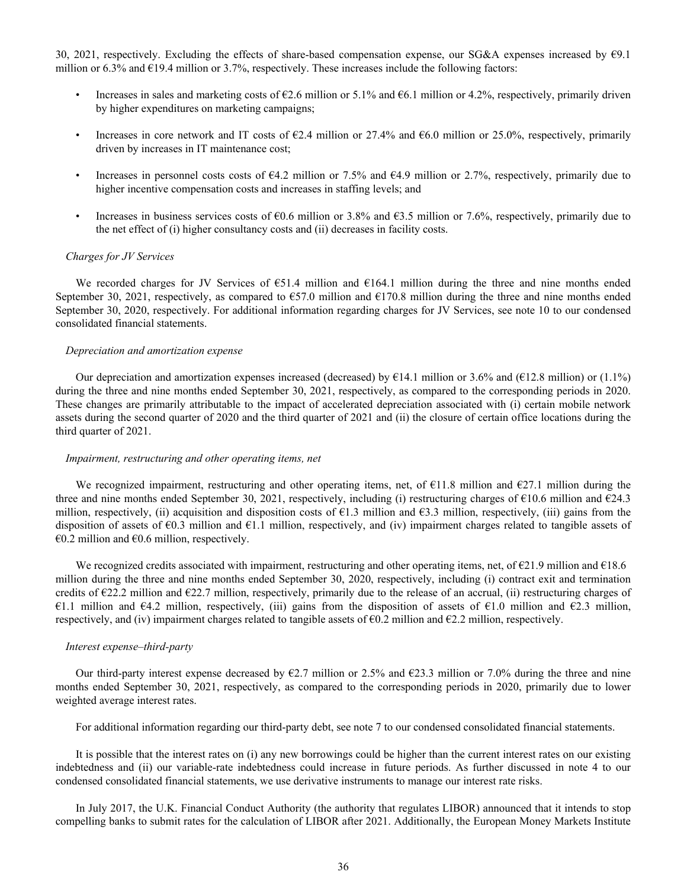30, 2021, respectively. Excluding the effects of share-based compensation expense, our SG&A expenses increased by €9.1 million or 6.3% and  $E$ 19.4 million or 3.7%, respectively. These increases include the following factors:

- Increases in sales and marketing costs of  $\epsilon$ 2.6 million or 5.1% and  $\epsilon$ 6.1 million or 4.2%, respectively, primarily driven by higher expenditures on marketing campaigns;
- Increases in core network and IT costs of €2.4 million or 27.4% and €6.0 million or 25.0%, respectively, primarily driven by increases in IT maintenance cost;
- Increases in personnel costs costs of  $64.2$  million or 7.5% and  $64.9$  million or 2.7%, respectively, primarily due to higher incentive compensation costs and increases in staffing levels; and
- Increases in business services costs of  $60.6$  million or 3.8% and  $63.5$  million or 7.6%, respectively, primarily due to the net effect of (i) higher consultancy costs and (ii) decreases in facility costs.

#### *Charges for JV Services*

We recorded charges for JV Services of €51.4 million and €164.1 million during the three and nine months ended September 30, 2021, respectively, as compared to  $657.0$  million and  $6170.8$  million during the three and nine months ended September 30, 2020, respectively. For additional information regarding charges for JV Services, see note 10 to our condensed consolidated financial statements.

## *Depreciation and amortization expense*

Our depreciation and amortization expenses increased (decreased) by  $\epsilon$ 14.1 million or 3.6% and ( $\epsilon$ 12.8 million) or (1.1%) during the three and nine months ended September 30, 2021, respectively, as compared to the corresponding periods in 2020. These changes are primarily attributable to the impact of accelerated depreciation associated with (i) certain mobile network assets during the second quarter of 2020 and the third quarter of 2021 and (ii) the closure of certain office locations during the third quarter of 2021.

#### *Impairment, restructuring and other operating items, net*

We recognized impairment, restructuring and other operating items, net, of  $\epsilon$ 11.8 million and  $\epsilon$ 27.1 million during the three and nine months ended September 30, 2021, respectively, including (i) restructuring charges of  $\epsilon$ 10.6 million and  $\epsilon$ 24.3 million, respectively, (ii) acquisition and disposition costs of  $\epsilon$ 1.3 million and  $\epsilon$ 3.3 million, respectively, (iii) gains from the disposition of assets of  $\epsilon$ 0.3 million and  $\epsilon$ 1.1 million, respectively, and (iv) impairment charges related to tangible assets of  $€0.2$  million and  $€0.6$  million, respectively.

We recognized credits associated with impairment, restructuring and other operating items, net, of  $\epsilon$ 21.9 million and  $\epsilon$ 18.6 million during the three and nine months ended September 30, 2020, respectively, including (i) contract exit and termination credits of  $E22.2$  million and  $E22.7$  million, respectively, primarily due to the release of an accrual, (ii) restructuring charges of €1.1 million and €4.2 million, respectively, (iii) gains from the disposition of assets of €1.0 million and €2.3 million, respectively, and (iv) impairment charges related to tangible assets of  $\epsilon$ 0.2 million and  $\epsilon$ 2.2 million, respectively.

#### *Interest expense–third-party*

Our third-party interest expense decreased by  $\epsilon$ 2.7 million or 2.5% and  $\epsilon$ 23.3 million or 7.0% during the three and nine months ended September 30, 2021, respectively, as compared to the corresponding periods in 2020, primarily due to lower weighted average interest rates.

For additional information regarding our third-party debt, see note 7 to our condensed consolidated financial statements.

It is possible that the interest rates on (i) any new borrowings could be higher than the current interest rates on our existing indebtedness and (ii) our variable-rate indebtedness could increase in future periods. As further discussed in note 4 to our condensed consolidated financial statements, we use derivative instruments to manage our interest rate risks.

In July 2017, the U.K. Financial Conduct Authority (the authority that regulates LIBOR) announced that it intends to stop compelling banks to submit rates for the calculation of LIBOR after 2021. Additionally, the European Money Markets Institute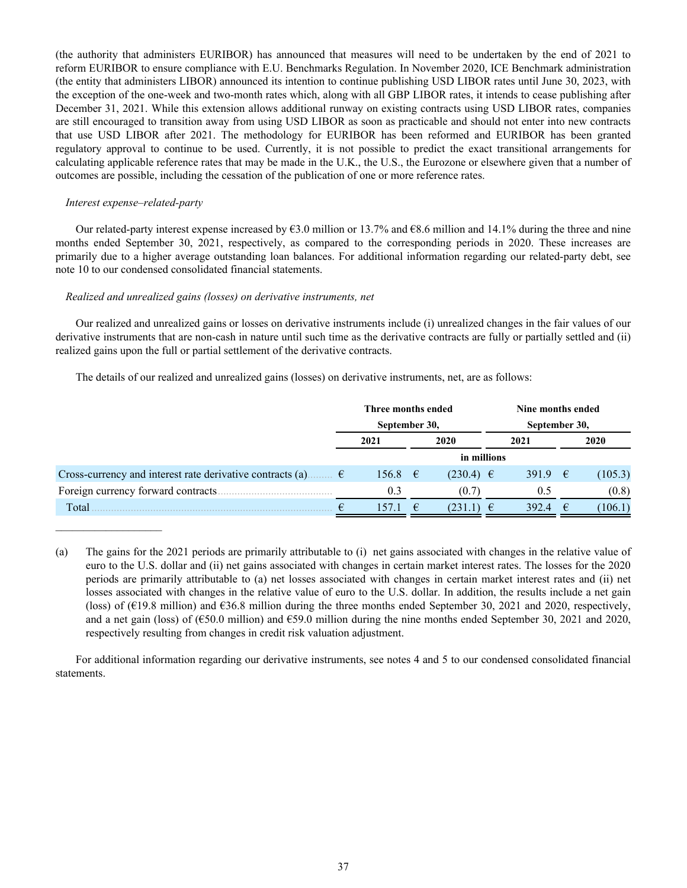(the authority that administers EURIBOR) has announced that measures will need to be undertaken by the end of 2021 to reform EURIBOR to ensure compliance with E.U. Benchmarks Regulation. In November 2020, ICE Benchmark administration (the entity that administers LIBOR) announced its intention to continue publishing USD LIBOR rates until June 30, 2023, with the exception of the one-week and two-month rates which, along with all GBP LIBOR rates, it intends to cease publishing after December 31, 2021. While this extension allows additional runway on existing contracts using USD LIBOR rates, companies are still encouraged to transition away from using USD LIBOR as soon as practicable and should not enter into new contracts that use USD LIBOR after 2021. The methodology for EURIBOR has been reformed and EURIBOR has been granted regulatory approval to continue to be used. Currently, it is not possible to predict the exact transitional arrangements for calculating applicable reference rates that may be made in the U.K., the U.S., the Eurozone or elsewhere given that a number of outcomes are possible, including the cessation of the publication of one or more reference rates.

## *Interest expense–related-party*

 $\mathcal{L}_\text{max}$  , where  $\mathcal{L}_\text{max}$  and  $\mathcal{L}_\text{max}$ 

Our related-party interest expense increased by  $63.0$  million or 13.7% and  $68.6$  million and 14.1% during the three and nine months ended September 30, 2021, respectively, as compared to the corresponding periods in 2020. These increases are primarily due to a higher average outstanding loan balances. For additional information regarding our related-party debt, see note 10 to our condensed consolidated financial statements.

## *Realized and unrealized gains (losses) on derivative instruments, net*

Our realized and unrealized gains or losses on derivative instruments include (i) unrealized changes in the fair values of our derivative instruments that are non-cash in nature until such time as the derivative contracts are fully or partially settled and (ii) realized gains upon the full or partial settlement of the derivative contracts.

The details of our realized and unrealized gains (losses) on derivative instruments, net, are as follows:

|                                                                      |  | Three months ended<br>September 30, |    |               |      |                  | Nine months ended |         |  |
|----------------------------------------------------------------------|--|-------------------------------------|----|---------------|------|------------------|-------------------|---------|--|
|                                                                      |  |                                     |    |               |      | September 30,    |                   |         |  |
|                                                                      |  | 2021<br>2020                        |    |               | 2021 |                  | 2020              |         |  |
|                                                                      |  |                                     |    | in millions   |      |                  |                   |         |  |
| Cross-currency and interest rate derivative contracts (a) $\epsilon$ |  | 156.8 $\epsilon$                    |    | $(230.4) \in$ |      | 391.9 $\epsilon$ |                   | (105.3) |  |
| Foreign currency forward contracts.                                  |  | 0.3                                 |    | (0.7)         |      | 0.5              |                   | (0.8)   |  |
| Total                                                                |  | 157.1                               | −€ | (231.1)       | €    | 392.4            | $\epsilon$        | (106.1) |  |

<sup>(</sup>a) The gains for the 2021 periods are primarily attributable to (i) net gains associated with changes in the relative value of euro to the U.S. dollar and (ii) net gains associated with changes in certain market interest rates. The losses for the 2020 periods are primarily attributable to (a) net losses associated with changes in certain market interest rates and (ii) net losses associated with changes in the relative value of euro to the U.S. dollar. In addition, the results include a net gain (loss) of ( $\epsilon$ 19.8 million) and  $\epsilon$ 36.8 million during the three months ended September 30, 2021 and 2020, respectively, and a net gain (loss) of (€50.0 million) and €59.0 million during the nine months ended September 30, 2021 and 2020, respectively resulting from changes in credit risk valuation adjustment.

For additional information regarding our derivative instruments, see notes 4 and 5 to our condensed consolidated financial statements.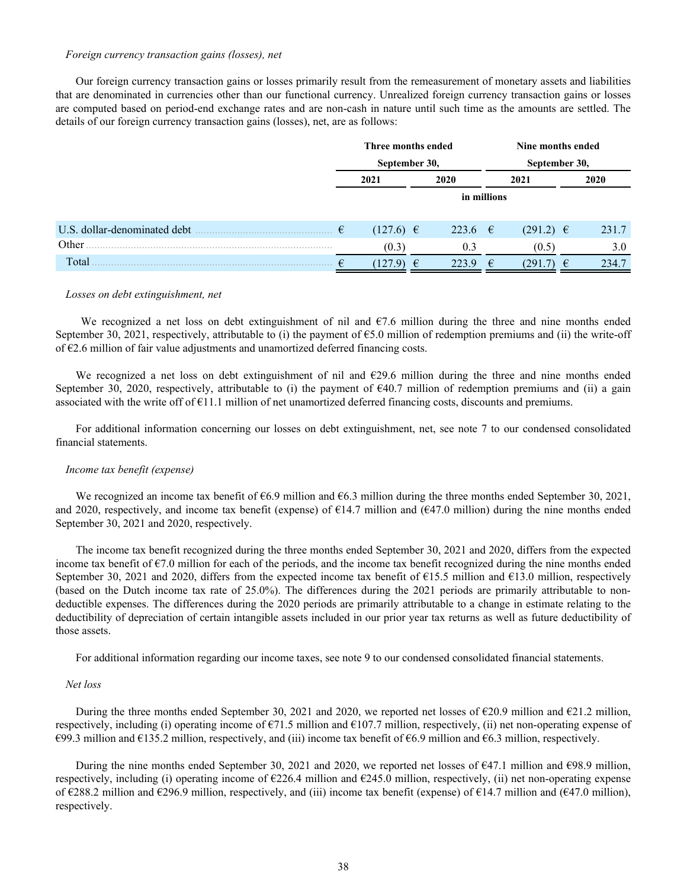#### *Foreign currency transaction gains (losses), net*

Our foreign currency transaction gains or losses primarily result from the remeasurement of monetary assets and liabilities that are denominated in currencies other than our functional currency. Unrealized foreign currency transaction gains or losses are computed based on period-end exchange rates and are non-cash in nature until such time as the amounts are settled. The details of our foreign currency transaction gains (losses), net, are as follows:

|                              | Three months ended |                 |      |             |      | Nine months ended<br>September 30, |   |       |
|------------------------------|--------------------|-----------------|------|-------------|------|------------------------------------|---|-------|
|                              |                    | September 30,   |      |             |      |                                    |   |       |
|                              |                    | 2021            | 2020 |             | 2021 |                                    |   | 2020  |
|                              |                    |                 |      | in millions |      |                                    |   |       |
| U.S. dollar-denominated debt | €                  | $(127.6)$ $\in$ |      | 223.6 €     |      | $(291.2) \in$                      |   | 231.7 |
| Other                        |                    | (0.3)           |      | 0.3         |      | (0.5)                              |   | 3.0   |
| Total                        |                    | 127.9)          | €    | 223.9       | €    | (291.7                             | € | 234.7 |

#### *Losses on debt extinguishment, net*

We recognized a net loss on debt extinguishment of nil and  $\epsilon$ 7.6 million during the three and nine months ended September 30, 2021, respectively, attributable to (i) the payment of €5.0 million of redemption premiums and (ii) the write-off of  $\epsilon$ 2.6 million of fair value adjustments and unamortized deferred financing costs.

We recognized a net loss on debt extinguishment of nil and  $\epsilon$ 29.6 million during the three and nine months ended September 30, 2020, respectively, attributable to (i) the payment of €40.7 million of redemption premiums and (ii) a gain associated with the write off of  $\epsilon$ 11.1 million of net unamortized deferred financing costs, discounts and premiums.

For additional information concerning our losses on debt extinguishment, net, see note 7 to our condensed consolidated financial statements.

#### *Income tax benefit (expense)*

We recognized an income tax benefit of  $66.9$  million and  $66.3$  million during the three months ended September 30, 2021, and 2020, respectively, and income tax benefit (expense) of  $\epsilon$ 14.7 million and ( $\epsilon$ 47.0 million) during the nine months ended September 30, 2021 and 2020, respectively.

The income tax benefit recognized during the three months ended September 30, 2021 and 2020, differs from the expected income tax benefit of €7.0 million for each of the periods, and the income tax benefit recognized during the nine months ended September 30, 2021 and 2020, differs from the expected income tax benefit of  $\epsilon$ 15.5 million and  $\epsilon$ 13.0 million, respectively (based on the Dutch income tax rate of 25.0%). The differences during the 2021 periods are primarily attributable to nondeductible expenses. The differences during the 2020 periods are primarily attributable to a change in estimate relating to the deductibility of depreciation of certain intangible assets included in our prior year tax returns as well as future deductibility of those assets.

For additional information regarding our income taxes, see note 9 to our condensed consolidated financial statements.

#### *Net loss*

During the three months ended September 30, 2021 and 2020, we reported net losses of  $\epsilon$ 20.9 million and  $\epsilon$ 21.2 million, respectively, including (i) operating income of  $\epsilon$ 71.5 million and  $\epsilon$ 107.7 million, respectively, (ii) net non-operating expense of €99.3 million and €135.2 million, respectively, and (iii) income tax benefit of €6.9 million and €6.3 million, respectively.

During the nine months ended September 30, 2021 and 2020, we reported net losses of  $\epsilon$ 47.1 million and  $\epsilon$ 98.9 million, respectively, including (i) operating income of  $\epsilon$ 226.4 million and  $\epsilon$ 245.0 million, respectively, (ii) net non-operating expense of  $\epsilon$ 288.2 million and  $\epsilon$ 296.9 million, respectively, and (iii) income tax benefit (expense) of  $\epsilon$ 14.7 million and ( $\epsilon$ 47.0 million), respectively.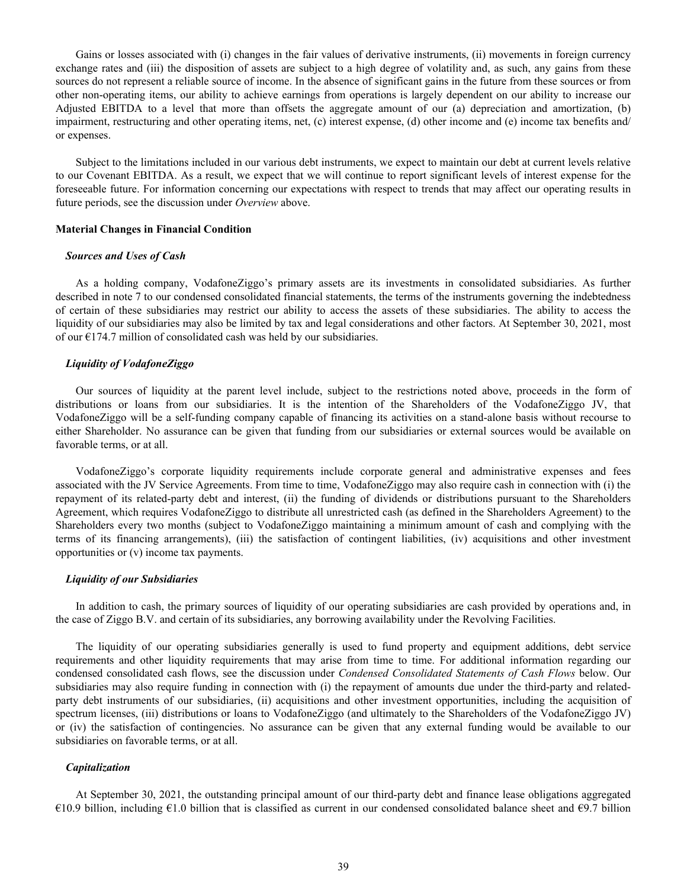Gains or losses associated with (i) changes in the fair values of derivative instruments, (ii) movements in foreign currency exchange rates and (iii) the disposition of assets are subject to a high degree of volatility and, as such, any gains from these sources do not represent a reliable source of income. In the absence of significant gains in the future from these sources or from other non-operating items, our ability to achieve earnings from operations is largely dependent on our ability to increase our Adjusted EBITDA to a level that more than offsets the aggregate amount of our (a) depreciation and amortization, (b) impairment, restructuring and other operating items, net, (c) interest expense, (d) other income and (e) income tax benefits and/ or expenses.

Subject to the limitations included in our various debt instruments, we expect to maintain our debt at current levels relative to our Covenant EBITDA. As a result, we expect that we will continue to report significant levels of interest expense for the foreseeable future. For information concerning our expectations with respect to trends that may affect our operating results in future periods, see the discussion under *Overview* above.

#### **Material Changes in Financial Condition**

#### *Sources and Uses of Cash*

As a holding company, VodafoneZiggo's primary assets are its investments in consolidated subsidiaries. As further described in note 7 to our condensed consolidated financial statements, the terms of the instruments governing the indebtedness of certain of these subsidiaries may restrict our ability to access the assets of these subsidiaries. The ability to access the liquidity of our subsidiaries may also be limited by tax and legal considerations and other factors. At September 30, 2021, most of our  $E174.7$  million of consolidated cash was held by our subsidiaries.

## *Liquidity of VodafoneZiggo*

Our sources of liquidity at the parent level include, subject to the restrictions noted above, proceeds in the form of distributions or loans from our subsidiaries. It is the intention of the Shareholders of the VodafoneZiggo JV, that VodafoneZiggo will be a self-funding company capable of financing its activities on a stand-alone basis without recourse to either Shareholder. No assurance can be given that funding from our subsidiaries or external sources would be available on favorable terms, or at all.

VodafoneZiggo's corporate liquidity requirements include corporate general and administrative expenses and fees associated with the JV Service Agreements. From time to time, VodafoneZiggo may also require cash in connection with (i) the repayment of its related-party debt and interest, (ii) the funding of dividends or distributions pursuant to the Shareholders Agreement, which requires VodafoneZiggo to distribute all unrestricted cash (as defined in the Shareholders Agreement) to the Shareholders every two months (subject to VodafoneZiggo maintaining a minimum amount of cash and complying with the terms of its financing arrangements), (iii) the satisfaction of contingent liabilities, (iv) acquisitions and other investment opportunities or (v) income tax payments.

#### *Liquidity of our Subsidiaries*

In addition to cash, the primary sources of liquidity of our operating subsidiaries are cash provided by operations and, in the case of Ziggo B.V. and certain of its subsidiaries, any borrowing availability under the Revolving Facilities.

The liquidity of our operating subsidiaries generally is used to fund property and equipment additions, debt service requirements and other liquidity requirements that may arise from time to time. For additional information regarding our condensed consolidated cash flows, see the discussion under *Condensed Consolidated Statements of Cash Flows* below. Our subsidiaries may also require funding in connection with (i) the repayment of amounts due under the third-party and relatedparty debt instruments of our subsidiaries, (ii) acquisitions and other investment opportunities, including the acquisition of spectrum licenses, (iii) distributions or loans to VodafoneZiggo (and ultimately to the Shareholders of the VodafoneZiggo JV) or (iv) the satisfaction of contingencies. No assurance can be given that any external funding would be available to our subsidiaries on favorable terms, or at all.

#### *Capitalization*

At September 30, 2021, the outstanding principal amount of our third-party debt and finance lease obligations aggregated €10.9 billion, including €1.0 billion that is classified as current in our condensed consolidated balance sheet and €9.7 billion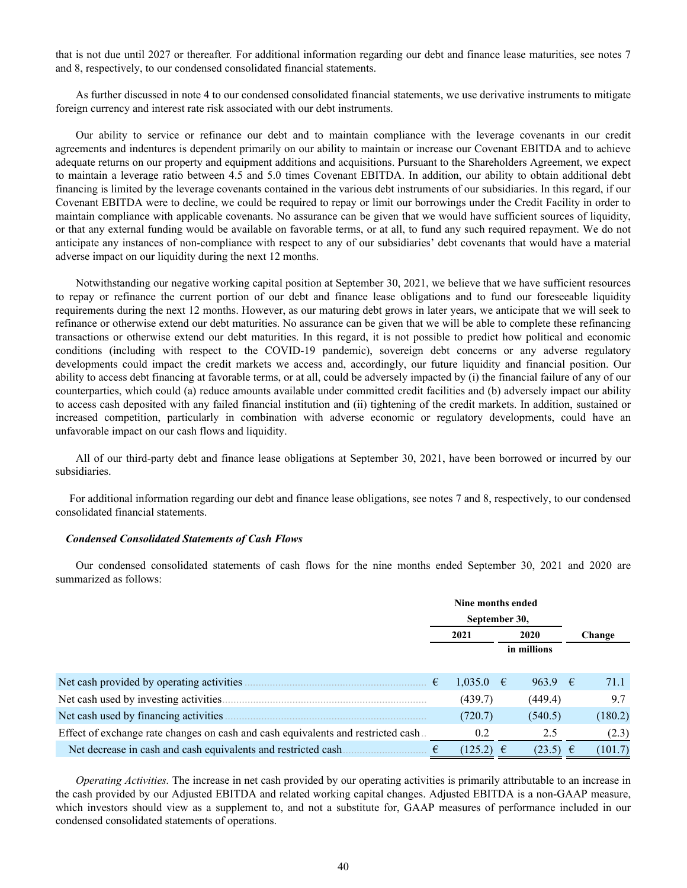that is not due until 2027 or thereafter*.* For additional information regarding our debt and finance lease maturities, see notes 7 and 8, respectively, to our condensed consolidated financial statements.

As further discussed in note 4 to our condensed consolidated financial statements, we use derivative instruments to mitigate foreign currency and interest rate risk associated with our debt instruments.

Our ability to service or refinance our debt and to maintain compliance with the leverage covenants in our credit agreements and indentures is dependent primarily on our ability to maintain or increase our Covenant EBITDA and to achieve adequate returns on our property and equipment additions and acquisitions. Pursuant to the Shareholders Agreement, we expect to maintain a leverage ratio between 4.5 and 5.0 times Covenant EBITDA. In addition, our ability to obtain additional debt financing is limited by the leverage covenants contained in the various debt instruments of our subsidiaries. In this regard, if our Covenant EBITDA were to decline, we could be required to repay or limit our borrowings under the Credit Facility in order to maintain compliance with applicable covenants. No assurance can be given that we would have sufficient sources of liquidity, or that any external funding would be available on favorable terms, or at all, to fund any such required repayment. We do not anticipate any instances of non-compliance with respect to any of our subsidiaries' debt covenants that would have a material adverse impact on our liquidity during the next 12 months.

Notwithstanding our negative working capital position at September 30, 2021, we believe that we have sufficient resources to repay or refinance the current portion of our debt and finance lease obligations and to fund our foreseeable liquidity requirements during the next 12 months. However, as our maturing debt grows in later years, we anticipate that we will seek to refinance or otherwise extend our debt maturities. No assurance can be given that we will be able to complete these refinancing transactions or otherwise extend our debt maturities. In this regard, it is not possible to predict how political and economic conditions (including with respect to the COVID-19 pandemic), sovereign debt concerns or any adverse regulatory developments could impact the credit markets we access and, accordingly, our future liquidity and financial position. Our ability to access debt financing at favorable terms, or at all, could be adversely impacted by (i) the financial failure of any of our counterparties, which could (a) reduce amounts available under committed credit facilities and (b) adversely impact our ability to access cash deposited with any failed financial institution and (ii) tightening of the credit markets. In addition, sustained or increased competition, particularly in combination with adverse economic or regulatory developments, could have an unfavorable impact on our cash flows and liquidity.

All of our third-party debt and finance lease obligations at September 30, 2021, have been borrowed or incurred by our subsidiaries.

 For additional information regarding our debt and finance lease obligations, see notes 7 and 8, respectively, to our condensed consolidated financial statements.

#### *Condensed Consolidated Statements of Cash Flows*

Our condensed consolidated statements of cash flows for the nine months ended September 30, 2021 and 2020 are summarized as follows:

|                                                                                  | Nine months ended |               |  |             |        |         |
|----------------------------------------------------------------------------------|-------------------|---------------|--|-------------|--------|---------|
|                                                                                  | September 30,     |               |  |             |        |         |
|                                                                                  | 2021<br>2020      |               |  |             | Change |         |
|                                                                                  |                   | in millions   |  |             |        |         |
|                                                                                  |                   |               |  |             |        |         |
| Net cash provided by operating activities                                        | €                 | $1,035.0$ €   |  | 963.9 $\in$ |        | 71.1    |
| Net cash used by investing activities.                                           |                   | (439.7)       |  | (449.4)     |        | 9.7     |
| Net cash used by financing activities.                                           |                   | (720.7)       |  | (540.5)     |        | (180.2) |
| Effect of exchange rate changes on cash and cash equivalents and restricted cash |                   | 0.2           |  | 2.5         |        | (2.3)   |
| Net decrease in cash and cash equivalents and restricted cash.                   |                   | $(125.2) \in$ |  | (23.5)      |        | (101.7) |

*Operating Activities.* The increase in net cash provided by our operating activities is primarily attributable to an increase in the cash provided by our Adjusted EBITDA and related working capital changes. Adjusted EBITDA is a non-GAAP measure, which investors should view as a supplement to, and not a substitute for, GAAP measures of performance included in our condensed consolidated statements of operations.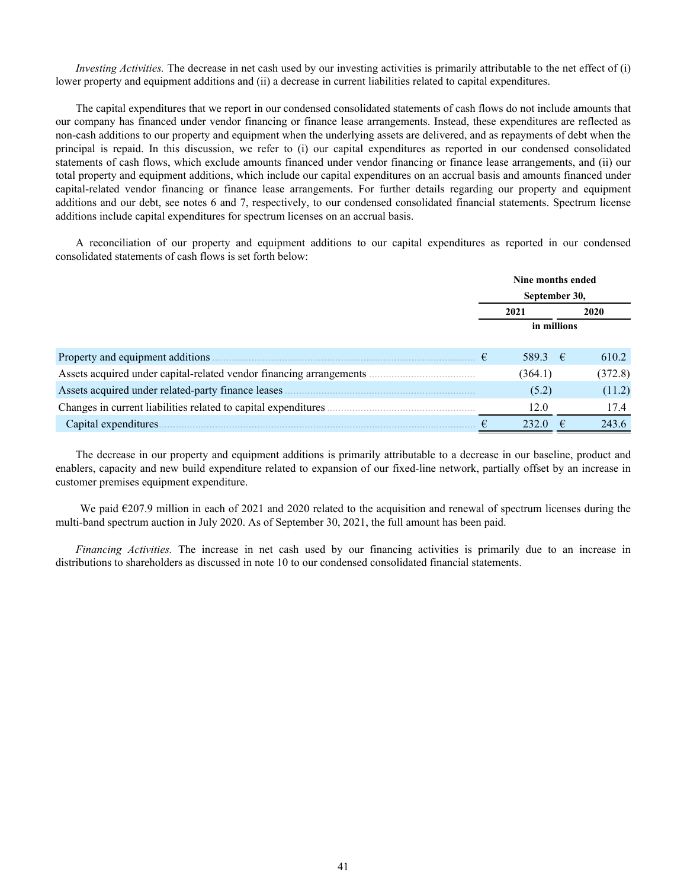*Investing Activities.* The decrease in net cash used by our investing activities is primarily attributable to the net effect of (i) lower property and equipment additions and (ii) a decrease in current liabilities related to capital expenditures.

The capital expenditures that we report in our condensed consolidated statements of cash flows do not include amounts that our company has financed under vendor financing or finance lease arrangements. Instead, these expenditures are reflected as non-cash additions to our property and equipment when the underlying assets are delivered, and as repayments of debt when the principal is repaid. In this discussion, we refer to (i) our capital expenditures as reported in our condensed consolidated statements of cash flows, which exclude amounts financed under vendor financing or finance lease arrangements, and (ii) our total property and equipment additions, which include our capital expenditures on an accrual basis and amounts financed under capital-related vendor financing or finance lease arrangements. For further details regarding our property and equipment additions and our debt, see notes 6 and 7, respectively, to our condensed consolidated financial statements. Spectrum license additions include capital expenditures for spectrum licenses on an accrual basis.

A reconciliation of our property and equipment additions to our capital expenditures as reported in our condensed consolidated statements of cash flows is set forth below:

|                                                                     |   | Nine months ended |      |         |  |  |
|---------------------------------------------------------------------|---|-------------------|------|---------|--|--|
|                                                                     |   | September 30,     |      |         |  |  |
|                                                                     |   | 2021              | 2020 |         |  |  |
|                                                                     |   | in millions       |      |         |  |  |
|                                                                     |   |                   |      |         |  |  |
| Property and equipment additions                                    | € | 589.3 €           |      | 610.2   |  |  |
| Assets acquired under capital-related vendor financing arrangements |   | (364.1)           |      | (372.8) |  |  |
| Assets acquired under related-party finance leases                  |   | (5.2)             |      | (11.2)  |  |  |
| Changes in current liabilities related to capital expenditures.     |   | 12.0              |      | 17.4    |  |  |
| Capital expenditures.                                               |   | 232.0             | €    | 243.6   |  |  |

The decrease in our property and equipment additions is primarily attributable to a decrease in our baseline, product and enablers, capacity and new build expenditure related to expansion of our fixed-line network, partially offset by an increase in customer premises equipment expenditure.

 We paid €207.9 million in each of 2021 and 2020 related to the acquisition and renewal of spectrum licenses during the multi-band spectrum auction in July 2020. As of September 30, 2021, the full amount has been paid.

*Financing Activities.* The increase in net cash used by our financing activities is primarily due to an increase in distributions to shareholders as discussed in note 10 to our condensed consolidated financial statements.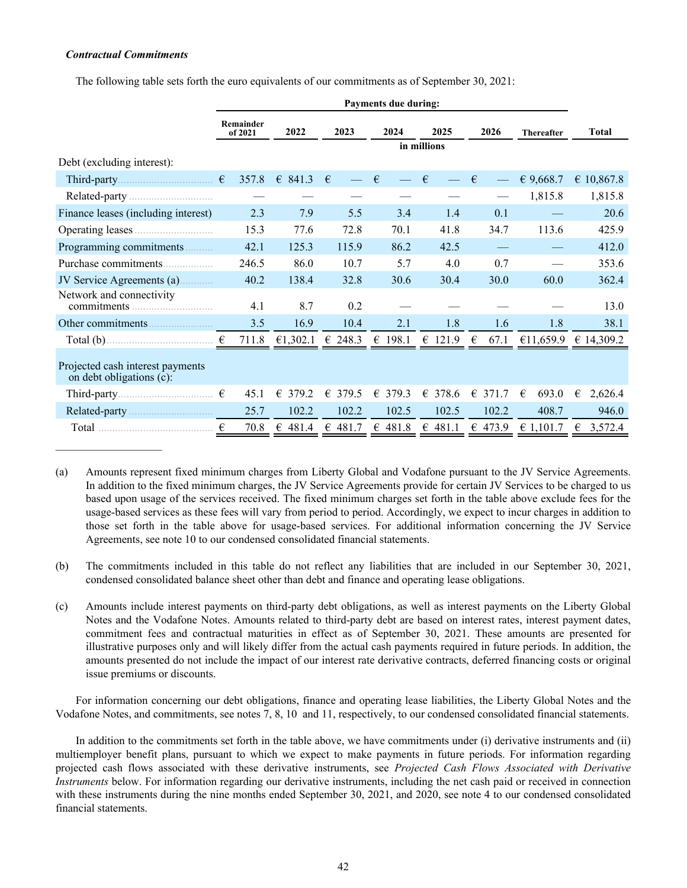## *Contractual Commitments*

The following table sets forth the euro equivalents of our commitments as of September 30, 2021:

|                                                                                                                           | <b>Payments due during:</b> |          |            |            |                  |            |                   |              |  |  |  |  |  |
|---------------------------------------------------------------------------------------------------------------------------|-----------------------------|----------|------------|------------|------------------|------------|-------------------|--------------|--|--|--|--|--|
|                                                                                                                           | Remainder<br>of 2021        | 2022     | 2023       | 2024       | 2025             | 2026       | <b>Thereafter</b> | <b>Total</b> |  |  |  |  |  |
|                                                                                                                           |                             |          |            |            | in millions      |            |                   |              |  |  |  |  |  |
| Debt (excluding interest):                                                                                                |                             |          |            |            |                  |            |                   |              |  |  |  |  |  |
|                                                                                                                           | 357.8                       | € 841.3  | $\epsilon$ | $\epsilon$ | $\epsilon$       | €          | € 9,668.7         | € 10,867.8   |  |  |  |  |  |
|                                                                                                                           |                             |          |            |            |                  |            | 1,815.8           | 1,815.8      |  |  |  |  |  |
| Finance leases (including interest)                                                                                       | 2.3                         | 7.9      | 5.5        | 3.4        | 1.4              | 0.1        |                   | 20.6         |  |  |  |  |  |
|                                                                                                                           | 15.3                        | 77.6     | 72.8       | 70.1       | 41.8             | 34.7       | 113.6             | 425.9        |  |  |  |  |  |
| Programming commitments                                                                                                   | 42.1                        | 125.3    | 115.9      | 86.2       | 42.5             |            |                   | 412.0        |  |  |  |  |  |
| Purchase commitments                                                                                                      | 246.5                       | 86.0     | 10.7       | 5.7        | 4.0              | 0.7        |                   | 353.6        |  |  |  |  |  |
| JV Service Agreements (a)                                                                                                 | 40.2                        | 138.4    | 32.8       | 30.6       | 30.4             | 30.0       | 60.0              | 362.4        |  |  |  |  |  |
| Network and connectivity                                                                                                  | 4.1                         | 8.7      | 0.2        |            |                  |            |                   | 13.0         |  |  |  |  |  |
|                                                                                                                           | 3.5                         | 16.9     | 10.4       | 2.1        | 1.8              | 1.6        | 1.8               | 38.1         |  |  |  |  |  |
| Total (b) $\qquad \qquad$ $\qquad \qquad$ $\qquad \qquad$ $\qquad \qquad$ $\qquad \qquad$ $\qquad \qquad$ $\qquad \qquad$ | 711.8                       | €1,302.1 | € 248.3    | € 198.1    | $\epsilon$ 121.9 | €<br>67.1  | €11,659.9         | € 14,309.2   |  |  |  |  |  |
| Projected cash interest payments<br>on debt obligations (c):                                                              |                             |          |            |            |                  |            |                   |              |  |  |  |  |  |
|                                                                                                                           | 45.1                        | € 379.2  | € 379.5    | 379.3<br>€ | 378.6<br>€       | €<br>371.7 | €<br>693.0        | €<br>2,626.4 |  |  |  |  |  |
|                                                                                                                           | 25.7                        | 102.2    | 102.2      | 102.5      | 102.5            | 102.2      | 408.7             | 946.0        |  |  |  |  |  |
|                                                                                                                           | €<br>70.8                   | € 481.4  | € 481.7    | € 481.8    | € 481.1          | € 473.9    | € 1.101.7         | € 3,572.4    |  |  |  |  |  |

(a) Amounts represent fixed minimum charges from Liberty Global and Vodafone pursuant to the JV Service Agreements. In addition to the fixed minimum charges, the JV Service Agreements provide for certain JV Services to be charged to us based upon usage of the services received. The fixed minimum charges set forth in the table above exclude fees for the usage-based services as these fees will vary from period to period. Accordingly, we expect to incur charges in addition to those set forth in the table above for usage-based services. For additional information concerning the JV Service Agreements, see note 10 to our condensed consolidated financial statements.

(b) The commitments included in this table do not reflect any liabilities that are included in our September 30, 2021, condensed consolidated balance sheet other than debt and finance and operating lease obligations.

(c) Amounts include interest payments on third-party debt obligations, as well as interest payments on the Liberty Global Notes and the Vodafone Notes. Amounts related to third-party debt are based on interest rates, interest payment dates, commitment fees and contractual maturities in effect as of September 30, 2021. These amounts are presented for illustrative purposes only and will likely differ from the actual cash payments required in future periods. In addition, the amounts presented do not include the impact of our interest rate derivative contracts, deferred financing costs or original issue premiums or discounts.

For information concerning our debt obligations, finance and operating lease liabilities, the Liberty Global Notes and the Vodafone Notes, and commitments, see notes 7, 8, 10 and 11, respectively, to our condensed consolidated financial statements.

In addition to the commitments set forth in the table above, we have commitments under (i) derivative instruments and (ii) multiemployer benefit plans, pursuant to which we expect to make payments in future periods. For information regarding projected cash flows associated with these derivative instruments, see *Projected Cash Flows Associated with Derivative Instruments* below. For information regarding our derivative instruments, including the net cash paid or received in connection with these instruments during the nine months ended September 30, 2021, and 2020, see note 4 to our condensed consolidated financial statements.